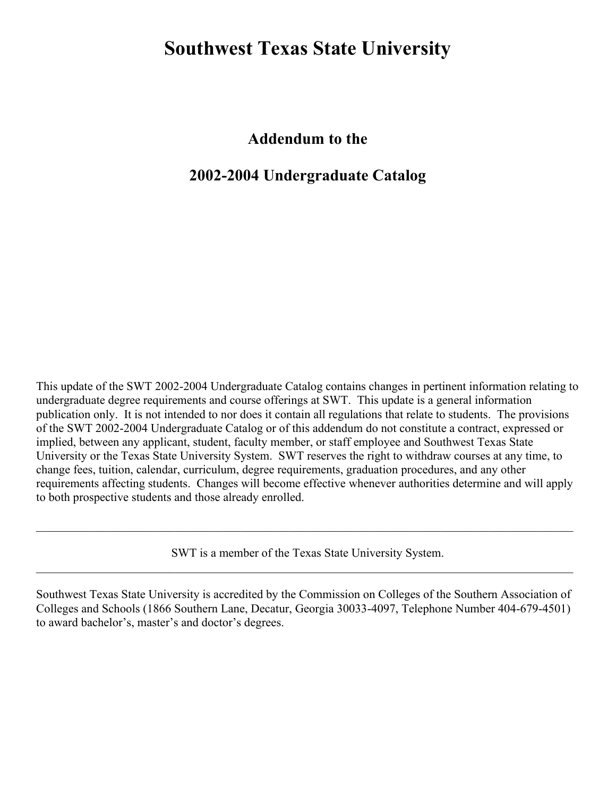# **Southwest Texas State University**

**Addendum to the**

# **2002-2004 Undergraduate Catalog**

This update of the SWT 2002-2004 Undergraduate Catalog contains changes in pertinent information relating to undergraduate degree requirements and course offerings at SWT. This update is a general information publication only. It is not intended to nor does it contain all regulations that relate to students. The provisions of the SWT 2002-2004 Undergraduate Catalog or of this addendum do not constitute a contract, expressed or implied, between any applicant, student, faculty member, or staff employee and Southwest Texas State University or the Texas State University System. SWT reserves the right to withdraw courses at any time, to change fees, tuition, calendar, curriculum, degree requirements, graduation procedures, and any other requirements affecting students. Changes will become effective whenever authorities determine and will apply to both prospective students and those already enrolled.

SWT is a member of the Texas State University System.  $\mathcal{L}_\mathcal{L} = \mathcal{L}_\mathcal{L} = \mathcal{L}_\mathcal{L} = \mathcal{L}_\mathcal{L} = \mathcal{L}_\mathcal{L} = \mathcal{L}_\mathcal{L} = \mathcal{L}_\mathcal{L} = \mathcal{L}_\mathcal{L} = \mathcal{L}_\mathcal{L} = \mathcal{L}_\mathcal{L} = \mathcal{L}_\mathcal{L} = \mathcal{L}_\mathcal{L} = \mathcal{L}_\mathcal{L} = \mathcal{L}_\mathcal{L} = \mathcal{L}_\mathcal{L} = \mathcal{L}_\mathcal{L} = \mathcal{L}_\mathcal{L}$ 

 $\mathcal{L}_\mathcal{L} = \mathcal{L}_\mathcal{L} = \mathcal{L}_\mathcal{L} = \mathcal{L}_\mathcal{L} = \mathcal{L}_\mathcal{L} = \mathcal{L}_\mathcal{L} = \mathcal{L}_\mathcal{L} = \mathcal{L}_\mathcal{L} = \mathcal{L}_\mathcal{L} = \mathcal{L}_\mathcal{L} = \mathcal{L}_\mathcal{L} = \mathcal{L}_\mathcal{L} = \mathcal{L}_\mathcal{L} = \mathcal{L}_\mathcal{L} = \mathcal{L}_\mathcal{L} = \mathcal{L}_\mathcal{L} = \mathcal{L}_\mathcal{L}$ 

Southwest Texas State University is accredited by the Commission on Colleges of the Southern Association of Colleges and Schools (1866 Southern Lane, Decatur, Georgia 30033-4097, Telephone Number 404-679-4501) to award bachelor's, master's and doctor's degrees.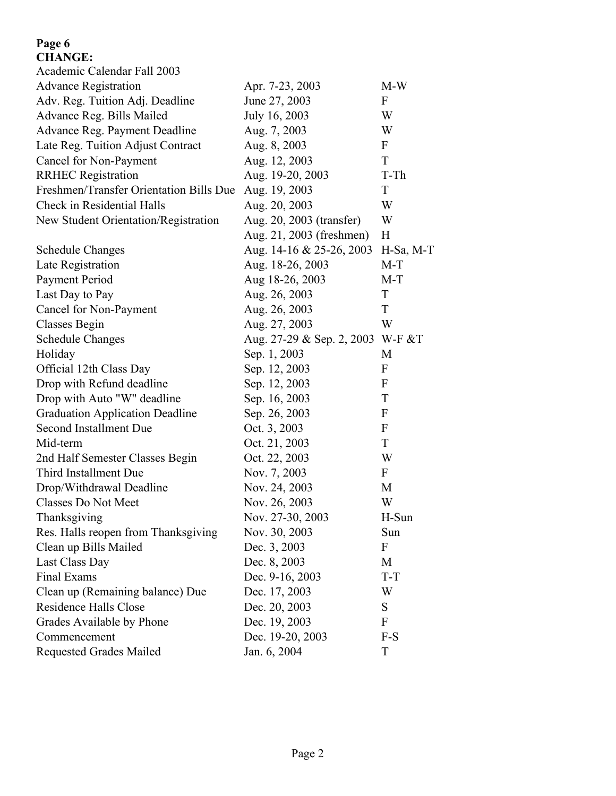## **Page 6 CHANGE:**

| CILANUL.                                |                           |                  |
|-----------------------------------------|---------------------------|------------------|
| Academic Calendar Fall 2003             |                           |                  |
| <b>Advance Registration</b>             | Apr. 7-23, 2003           | $M-W$            |
| Adv. Reg. Tuition Adj. Deadline         | June 27, 2003             | F                |
| Advance Reg. Bills Mailed               | July 16, 2003             | W                |
| Advance Reg. Payment Deadline           | Aug. 7, 2003              | W                |
| Late Reg. Tuition Adjust Contract       | Aug. 8, 2003              | $\mathbf{F}$     |
| Cancel for Non-Payment                  | Aug. 12, 2003             | T                |
| <b>RRHEC Registration</b>               | Aug. 19-20, 2003          | T-Th             |
| Freshmen/Transfer Orientation Bills Due | Aug. 19, 2003             | $\mathbf T$      |
| Check in Residential Halls              | Aug. 20, 2003             | W                |
| New Student Orientation/Registration    | Aug. 20, 2003 (transfer)  | W                |
|                                         | Aug. 21, 2003 (freshmen)  | H                |
| <b>Schedule Changes</b>                 | Aug. 14-16 & 25-26, 2003  | H-Sa, M-T        |
| Late Registration                       | Aug. 18-26, 2003          | $M-T$            |
| Payment Period                          | Aug 18-26, 2003           | $M-T$            |
| Last Day to Pay                         | Aug. 26, 2003             | T                |
| Cancel for Non-Payment                  | Aug. 26, 2003             | T                |
| Classes Begin                           | Aug. 27, 2003             | W                |
| <b>Schedule Changes</b>                 | Aug. 27-29 & Sep. 2, 2003 | $W-F & T$        |
| Holiday                                 | Sep. 1, 2003              | M                |
| Official 12th Class Day                 | Sep. 12, 2003             | F                |
| Drop with Refund deadline               | Sep. 12, 2003             | $\boldsymbol{F}$ |
| Drop with Auto "W" deadline             | Sep. 16, 2003             | T                |
| <b>Graduation Application Deadline</b>  | Sep. 26, 2003             | F                |
| <b>Second Installment Due</b>           | Oct. 3, 2003              | F                |
| Mid-term                                | Oct. 21, 2003             | T                |
| 2nd Half Semester Classes Begin         | Oct. 22, 2003             | W                |
| Third Installment Due                   | Nov. 7, 2003              | F                |
| Drop/Withdrawal Deadline                | Nov. 24, 2003             | M                |
| <b>Classes Do Not Meet</b>              | Nov. 26, 2003             | W                |
| Thanksgiving                            | Nov. 27-30, 2003          | H-Sun            |
| Res. Halls reopen from Thanksgiving     | Nov. 30, 2003             | Sun              |
| Clean up Bills Mailed                   | Dec. 3, 2003              | F                |
| Last Class Day                          | Dec. 8, 2003              | M                |
| Final Exams                             | Dec. 9-16, 2003           | T-T              |
| Clean up (Remaining balance) Due        | Dec. 17, 2003             | W                |
| Residence Halls Close                   | Dec. 20, 2003             | S                |
| Grades Available by Phone               | Dec. 19, 2003             | F                |
| Commencement                            | Dec. 19-20, 2003          | F-S              |
| <b>Requested Grades Mailed</b>          | Jan. 6, 2004              | T                |
|                                         |                           |                  |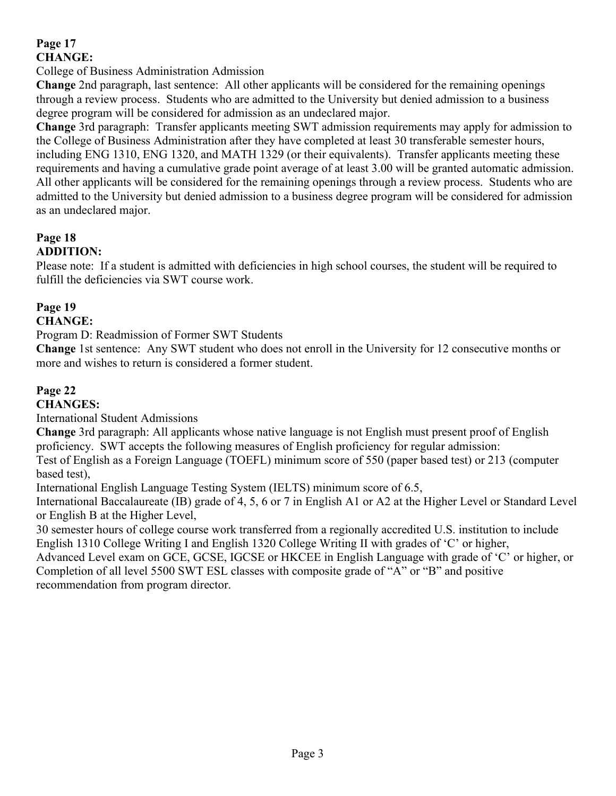## **Page 17 CHANGE:**

## College of Business Administration Admission

**Change** 2nd paragraph, last sentence: All other applicants will be considered for the remaining openings through a review process. Students who are admitted to the University but denied admission to a business degree program will be considered for admission as an undeclared major.

**Change** 3rd paragraph: Transfer applicants meeting SWT admission requirements may apply for admission to the College of Business Administration after they have completed at least 30 transferable semester hours, including ENG 1310, ENG 1320, and MATH 1329 (or their equivalents). Transfer applicants meeting these requirements and having a cumulative grade point average of at least 3.00 will be granted automatic admission. All other applicants will be considered for the remaining openings through a review process. Students who are admitted to the University but denied admission to a business degree program will be considered for admission as an undeclared major.

#### **Page 18 ADDITION:**

Please note: If a student is admitted with deficiencies in high school courses, the student will be required to fulfill the deficiencies via SWT course work.

## **Page 19**

## **CHANGE:**

Program D: Readmission of Former SWT Students

**Change** 1st sentence: Any SWT student who does not enroll in the University for 12 consecutive months or more and wishes to return is considered a former student.

## **Page 22**

## **CHANGES:**

International Student Admissions

**Change** 3rd paragraph: All applicants whose native language is not English must present proof of English proficiency. SWT accepts the following measures of English proficiency for regular admission:

Test of English as a Foreign Language (TOEFL) minimum score of 550 (paper based test) or 213 (computer based test),

International English Language Testing System (IELTS) minimum score of 6.5,

International Baccalaureate (IB) grade of 4, 5, 6 or 7 in English A1 or A2 at the Higher Level or Standard Level or English B at the Higher Level,

30 semester hours of college course work transferred from a regionally accredited U.S. institution to include English 1310 College Writing I and English 1320 College Writing II with grades of "C" or higher, Advanced Level exam on GCE, GCSE, IGCSE or HKCEE in English Language with grade of "C" or higher, or Completion of all level 5500 SWT ESL classes with composite grade of "A" or "B" and positive recommendation from program director.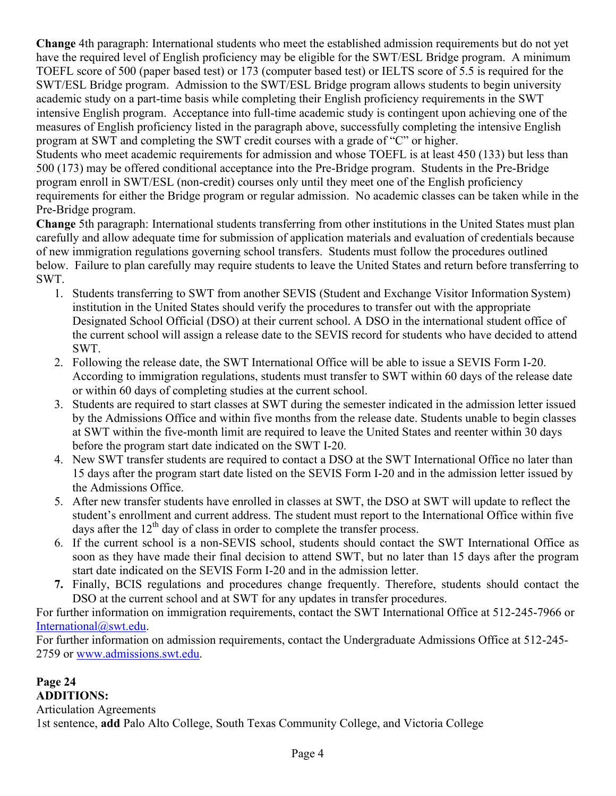**Change** 4th paragraph: International students who meet the established admission requirements but do not yet have the required level of English proficiency may be eligible for the SWT/ESL Bridge program. A minimum TOEFL score of 500 (paper based test) or 173 (computer based test) or IELTS score of 5.5 is required for the SWT/ESL Bridge program. Admission to the SWT/ESL Bridge program allows students to begin university academic study on a part-time basis while completing their English proficiency requirements in the SWT intensive English program. Acceptance into full-time academic study is contingent upon achieving one of the measures of English proficiency listed in the paragraph above, successfully completing the intensive English program at SWT and completing the SWT credit courses with a grade of "C" or higher.

Students who meet academic requirements for admission and whose TOEFL is at least 450 (133) but less than 500 (173) may be offered conditional acceptance into the Pre-Bridge program. Students in the Pre-Bridge program enroll in SWT/ESL (non-credit) courses only until they meet one of the English proficiency requirements for either the Bridge program or regular admission. No academic classes can be taken while in the Pre-Bridge program.

**Change** 5th paragraph: International students transferring from other institutions in the United States must plan carefully and allow adequate time for submission of application materials and evaluation of credentials because of new immigration regulations governing school transfers. Students must follow the procedures outlined below. Failure to plan carefully may require students to leave the United States and return before transferring to SWT.

- 1. Students transferring to SWT from another SEVIS (Student and Exchange Visitor Information System) institution in the United States should verify the procedures to transfer out with the appropriate Designated School Official (DSO) at their current school. A DSO in the international student office of the current school will assign a release date to the SEVIS record for students who have decided to attend SWT.
- 2. Following the release date, the SWT International Office will be able to issue a SEVIS Form I-20. According to immigration regulations, students must transfer to SWT within 60 days of the release date or within 60 days of completing studies at the current school.
- 3. Students are required to start classes at SWT during the semester indicated in the admission letter issued by the Admissions Office and within five months from the release date. Students unable to begin classes at SWT within the five-month limit are required to leave the United States and reenter within 30 days before the program start date indicated on the SWT I-20.
- 4. New SWT transfer students are required to contact a DSO at the SWT International Office no later than 15 days after the program start date listed on the SEVIS Form I-20 and in the admission letter issued by the Admissions Office.
- 5. After new transfer students have enrolled in classes at SWT, the DSO at SWT will update to reflect the student's enrollment and current address. The student must report to the International Office within five days after the  $12<sup>th</sup>$  day of class in order to complete the transfer process.
- 6. If the current school is a non-SEVIS school, students should contact the SWT International Office as soon as they have made their final decision to attend SWT, but no later than 15 days after the program start date indicated on the SEVIS Form I-20 and in the admission letter.
- **7.** Finally, BCIS regulations and procedures change frequently. Therefore, students should contact the DSO at the current school and at SWT for any updates in transfer procedures.

For further information on immigration requirements, contact the SWT International Office at 512-245-7966 or [International@swt.edu.](mailto:International@swt.edu)

For further information on admission requirements, contact the Undergraduate Admissions Office at 512-245- 2759 or [www.admissions.swt.edu.](http://www.admissions.swt.edu/)

## **Page 24 ADDITIONS:**

Articulation Agreements 1st sentence, **add** Palo Alto College, South Texas Community College, and Victoria College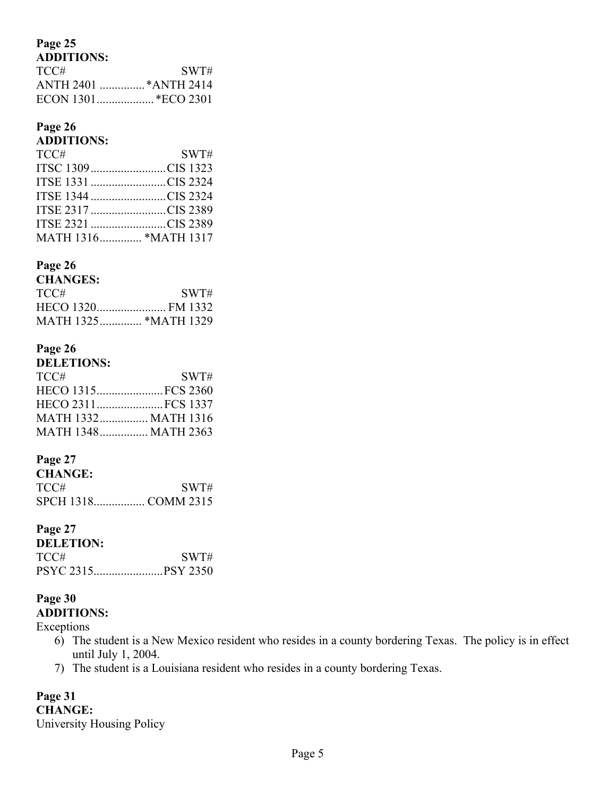# **Page 25**

| TCC# | SWT# |
|------|------|
|      |      |
|      |      |

## **Page 26**

## **ADDITIONS:**

| TCC#                 | SWT# |
|----------------------|------|
| ITSC 1309CIS 1323    |      |
| ITSE 1331 CIS 2324   |      |
| ITSE 1344 CIS 2324   |      |
| ITSE 2317 CIS 2389   |      |
| ITSE 2321 CIS 2389   |      |
| MATH 1316 *MATH 1317 |      |

## **Page 26**

| <b>CHANGES:</b> |      |
|-----------------|------|
| TCC#            | SWT# |
|                 |      |
|                 |      |

## **Page 26**

| <b>DELETIONS:</b>          |      |
|----------------------------|------|
| TCC#                       | SWT# |
| HECO 1315FCS 2360          |      |
| HECO 2311FCS 1337          |      |
| <b>MATH 1332 MATH 1316</b> |      |
| MATH 1348 MATH 2363        |      |

## **Page 27**

| <b>CHANGE:</b> |      |
|----------------|------|
| TCC#           | SWT# |
|                |      |

## **Page 27**

| <b>DELETION:</b> |      |
|------------------|------|
| TCC#_            | SWT# |
|                  |      |

# **Page 30**

**ADDITIONS:**

Exceptions

- 6) The student is a New Mexico resident who resides in a county bordering Texas. The policy is in effect until July 1, 2004.
- 7) The student is a Louisiana resident who resides in a county bordering Texas.

# **Page 31**

**CHANGE:** University Housing Policy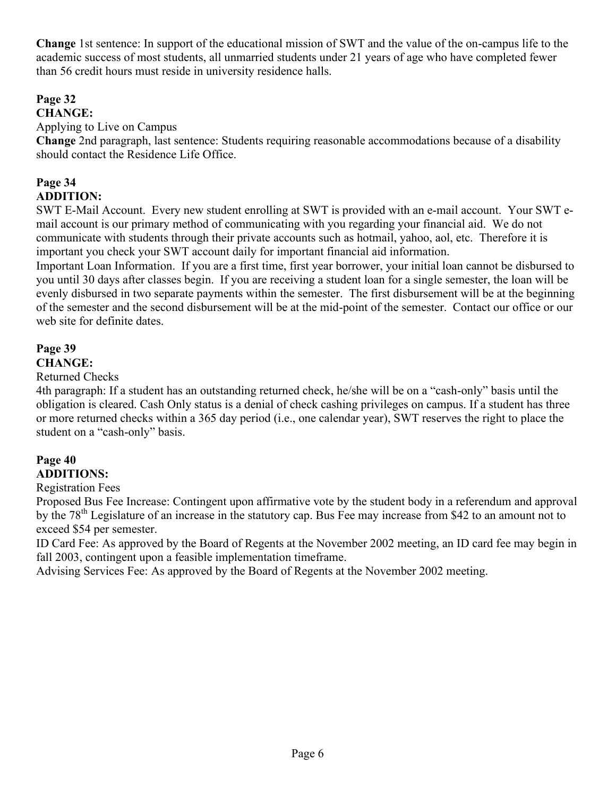**Change** 1st sentence: In support of the educational mission of SWT and the value of the on-campus life to the academic success of most students, all unmarried students under 21 years of age who have completed fewer than 56 credit hours must reside in university residence halls.

# **Page 32**

## **CHANGE:**

## Applying to Live on Campus

**Change** 2nd paragraph, last sentence: Students requiring reasonable accommodations because of a disability should contact the Residence Life Office.

# **Page 34**

## **ADDITION:**

SWT E-Mail Account. Every new student enrolling at SWT is provided with an e-mail account. Your SWT email account is our primary method of communicating with you regarding your financial aid. We do not communicate with students through their private accounts such as hotmail, yahoo, aol, etc. Therefore it is important you check your SWT account daily for important financial aid information.

Important Loan Information. If you are a first time, first year borrower, your initial loan cannot be disbursed to you until 30 days after classes begin. If you are receiving a student loan for a single semester, the loan will be evenly disbursed in two separate payments within the semester. The first disbursement will be at the beginning of the semester and the second disbursement will be at the mid-point of the semester. Contact our office or our web site for definite dates.

# **Page 39**

## **CHANGE:**

## Returned Checks

4th paragraph: If a student has an outstanding returned check, he/she will be on a "cash-only" basis until the obligation is cleared. Cash Only status is a denial of check cashing privileges on campus. If a student has three or more returned checks within a 365 day period (i.e., one calendar year), SWT reserves the right to place the student on a "cash-only" basis.

## **Page 40 ADDITIONS:**

## Registration Fees

Proposed Bus Fee Increase: Contingent upon affirmative vote by the student body in a referendum and approval by the 78<sup>th</sup> Legislature of an increase in the statutory cap. Bus Fee may increase from \$42 to an amount not to exceed \$54 per semester.

ID Card Fee: As approved by the Board of Regents at the November 2002 meeting, an ID card fee may begin in fall 2003, contingent upon a feasible implementation timeframe.

Advising Services Fee: As approved by the Board of Regents at the November 2002 meeting.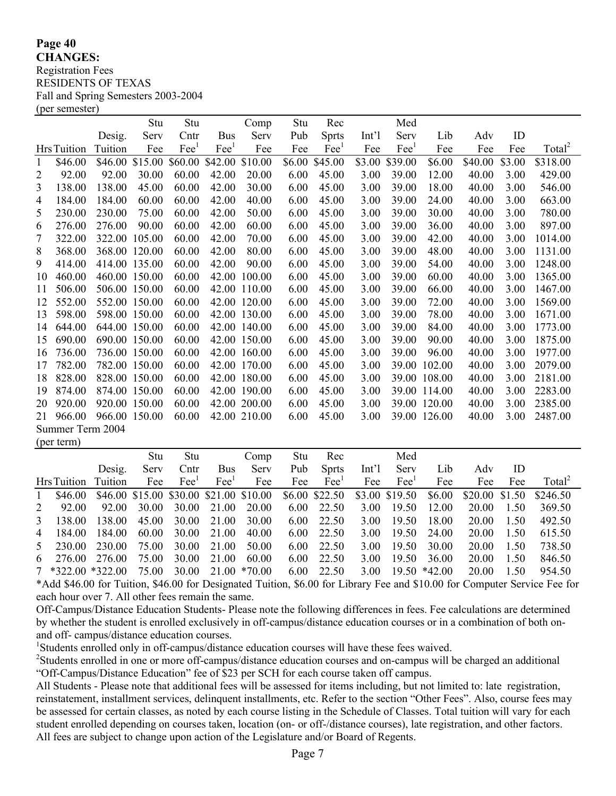**Page 40 CHANGES:** Registration Fees RESIDENTS OF TEXAS Fall and Spring Semesters 2003-2004 (per semester)

|                |                   |         | Stu           | Stu           |                        | Comp         | Stu    | Rec           |                  | Med            |              |         |        |                    |
|----------------|-------------------|---------|---------------|---------------|------------------------|--------------|--------|---------------|------------------|----------------|--------------|---------|--------|--------------------|
|                |                   | Desig.  | Serv          | Cntr          | <b>Bus</b>             | Serv         | Pub    | <b>Sprts</b>  | Int <sup>1</sup> | Serv           | Lib          | Adv     | ID     |                    |
|                | <b>HrsTuition</b> | Tuition | Fee           | $\text{Fe}^1$ | $\text{Fe}^{\text{1}}$ | Fee          | Fee    | $\text{Fe}^1$ | Fee              | $\text{Fee}^1$ | Fee          | Fee     | Fee    | Total <sup>2</sup> |
| 1              | \$46.00           | \$46.00 | \$15.00       | \$60.00       | \$42.00                | \$10.00      | \$6.00 | \$45.00       | \$3.00           | \$39.00        | \$6.00       | \$40.00 | \$3.00 | \$318.00           |
| $\overline{2}$ | 92.00             | 92.00   | 30.00         | 60.00         | 42.00                  | 20.00        | 6.00   | 45.00         | 3.00             | 39.00          | 12.00        | 40.00   | 3.00   | 429.00             |
| 3              | 138.00            | 138.00  | 45.00         | 60.00         | 42.00                  | 30.00        | 6.00   | 45.00         | 3.00             | 39.00          | 18.00        | 40.00   | 3.00   | 546.00             |
| 4              | 184.00            | 184.00  | 60.00         | 60.00         | 42.00                  | 40.00        | 6.00   | 45.00         | 3.00             | 39.00          | 24.00        | 40.00   | 3.00   | 663.00             |
| 5              | 230.00            | 230.00  | 75.00         | 60.00         | 42.00                  | 50.00        | 6.00   | 45.00         | 3.00             | 39.00          | 30.00        | 40.00   | 3.00   | 780.00             |
| 6              | 276.00            | 276.00  | 90.00         | 60.00         | 42.00                  | 60.00        | 6.00   | 45.00         | 3.00             | 39.00          | 36.00        | 40.00   | 3.00   | 897.00             |
| 7              | 322.00            | 322.00  | 105.00        | 60.00         | 42.00                  | 70.00        | 6.00   | 45.00         | 3.00             | 39.00          | 42.00        | 40.00   | 3.00   | 1014.00            |
| 8              | 368.00            |         | 368.00 120.00 | 60.00         | 42.00                  | 80.00        | 6.00   | 45.00         | 3.00             | 39.00          | 48.00        | 40.00   | 3.00   | 1131.00            |
| 9              | 414.00            |         | 414.00 135.00 | 60.00         | 42.00                  | 90.00        | 6.00   | 45.00         | 3.00             | 39.00          | 54.00        | 40.00   | 3.00   | 1248.00            |
| 10             | 460.00            |         | 460.00 150.00 | 60.00         | 42.00                  | 100.00       | 6.00   | 45.00         | 3.00             | 39.00          | 60.00        | 40.00   | 3.00   | 1365.00            |
| 11             | 506.00            |         | 506.00 150.00 | 60.00         |                        | 42.00 110.00 | 6.00   | 45.00         | 3.00             | 39.00          | 66.00        | 40.00   | 3.00   | 1467.00            |
| 12             | 552.00            |         | 552.00 150.00 | 60.00         |                        | 42.00 120.00 | 6.00   | 45.00         | 3.00             | 39.00          | 72.00        | 40.00   | 3.00   | 1569.00            |
| 13             | 598.00            |         | 598.00 150.00 | 60.00         |                        | 42.00 130.00 | 6.00   | 45.00         | 3.00             | 39.00          | 78.00        | 40.00   | 3.00   | 1671.00            |
| 14             | 644.00            |         | 644.00 150.00 | 60.00         |                        | 42.00 140.00 | 6.00   | 45.00         | 3.00             | 39.00          | 84.00        | 40.00   | 3.00   | 1773.00            |
| 15             | 690.00            |         | 690.00 150.00 | 60.00         |                        | 42.00 150.00 | 6.00   | 45.00         | 3.00             | 39.00          | 90.00        | 40.00   | 3.00   | 1875.00            |
| 16             | 736.00            |         | 736.00 150.00 | 60.00         |                        | 42.00 160.00 | 6.00   | 45.00         | 3.00             | 39.00          | 96.00        | 40.00   | 3.00   | 1977.00            |
| 17             | 782.00            |         | 782.00 150.00 | 60.00         |                        | 42.00 170.00 | 6.00   | 45.00         | 3.00             | 39.00          | 102.00       | 40.00   | 3.00   | 2079.00            |
| 18             | 828.00            |         | 828.00 150.00 | 60.00         |                        | 42.00 180.00 | 6.00   | 45.00         | 3.00             |                | 39.00 108.00 | 40.00   | 3.00   | 2181.00            |
| 19             | 874.00            |         | 874.00 150.00 | 60.00         |                        | 42.00 190.00 | 6.00   | 45.00         | 3.00             |                | 39.00 114.00 | 40.00   | 3.00   | 2283.00            |
| 20             | 920.00            |         | 920.00 150.00 | 60.00         |                        | 42.00 200.00 | 6.00   | 45.00         | 3.00             |                | 39.00 120.00 | 40.00   | 3.00   | 2385.00            |
| 21             | 966.00            |         | 966.00 150.00 | 60.00         |                        | 42.00 210.00 | 6.00   | 45.00         | 3.00             |                | 39.00 126.00 | 40.00   | 3.00   | 2487.00            |
|                | Summer Term 2004  |         |               |               |                        |              |        |               |                  |                |              |         |        |                    |
|                | (per term)        |         |               |               |                        |              |        |               |                  |                |              |         |        |                    |

|               |                     |        | Stu   | Stu            |                                         | Comp                                                   | Stu  | Rec                                                                                                             |                  | Med            |                                                   |                |      |                    |  |
|---------------|---------------------|--------|-------|----------------|-----------------------------------------|--------------------------------------------------------|------|-----------------------------------------------------------------------------------------------------------------|------------------|----------------|---------------------------------------------------|----------------|------|--------------------|--|
|               |                     | Desig. | Serv  | Cntr           | <b>Bus</b>                              | Serv                                                   | Pub  | <b>Sprts</b>                                                                                                    | Int <sup>1</sup> | Serv           | Lib                                               | Adv            | ID   |                    |  |
|               | Hrs Tuition Tuition |        | Fee   | $\text{Fee}^1$ | $\text{Fe}^{\scriptscriptstyle{\perp}}$ | Fee                                                    | Fee  | $\text{Fee}^1$                                                                                                  | Fee              | $\text{Fee}^1$ | Fee                                               | Fee            | Fee  | Total <sup>2</sup> |  |
| $\mathbf{1}$  | \$46.00             |        |       |                |                                         | \$46.00 \$15.00 \$30.00 \$21.00 \$10.00 \$6.00 \$22.50 |      |                                                                                                                 |                  | \$3.00 \$19.50 | \$6.00                                            | \$20.00 \$1.50 |      | \$246.50           |  |
| 2             | 92.00               | 92.00  | 30.00 | 30.00          | 21.00                                   | 20.00                                                  |      | 6.00 22.50                                                                                                      | 3.00             | 19.50          | 12.00                                             | 20.00          | 1.50 | 369.50             |  |
| $\mathcal{E}$ | 138.00              | 138.00 | 45.00 | 30.00          | 21.00                                   | 30.00                                                  | 6.00 | 22.50                                                                                                           | 3.00             | 19.50          | 18.00                                             | 20.00          | 1.50 | 492.50             |  |
| 4             | 184.00              | 184.00 | 60.00 | 30.00          | 21.00                                   | 40.00                                                  | 6.00 | 22.50                                                                                                           | 3.00             | 19.50          | 24.00                                             | 20.00          | 1.50 | 615.50             |  |
|               | 5 230.00            | 230.00 | 75.00 | 30.00          | 21.00                                   | 50.00                                                  | 6.00 | 22.50                                                                                                           | 3.00             | 19.50          | 30.00                                             | 20.00          | 1.50 | 738.50             |  |
|               | 6 276.00 276.00     |        | 75.00 | 30.00          | 21.00                                   | 60.00                                                  | 6.00 | 22.50                                                                                                           | 3.00             | 19.50          | 36.00                                             | 20.00          | 1.50 | 846.50             |  |
|               | $7 *322.00 *322.00$ |        | 75.00 | 30.00          |                                         | 21.00 *70.00                                           | 6.00 | 22.50                                                                                                           | 3.00             | 19.50 *42.00   |                                                   | 20.00          | 1.50 | 954.50             |  |
|               |                     |        |       |                |                                         |                                                        |      | $\rightarrow$ $\rightarrow$ $\rightarrow$ $\rightarrow$ $\rightarrow$ $\rightarrow$ $\rightarrow$ $\rightarrow$ |                  |                | $\bullet$ $\bullet$ $\bullet$ $\bullet$ $\bullet$ |                |      |                    |  |

\*Add \$46.00 for Tuition, \$46.00 for Designated Tuition, \$6.00 for Library Fee and \$10.00 for Computer Service Fee for each hour over 7. All other fees remain the same.

Off-Campus/Distance Education Students- Please note the following differences in fees. Fee calculations are determined by whether the student is enrolled exclusively in off-campus/distance education courses or in a combination of both onand off- campus/distance education courses.

<sup>1</sup>Students enrolled only in off-campus/distance education courses will have these fees waived.

<sup>2</sup>Students enrolled in one or more off-campus/distance education courses and on-campus will be charged an additional "Off-Campus/Distance Education" fee of \$23 per SCH for each course taken off campus.

All Students - Please note that additional fees will be assessed for items including, but not limited to: late registration, reinstatement, installment services, delinquent installments, etc. Refer to the section "Other Fees". Also, course fees may be assessed for certain classes, as noted by each course listing in the Schedule of Classes. Total tuition will vary for each student enrolled depending on courses taken, location (on- or off-/distance courses), late registration, and other factors. All fees are subject to change upon action of the Legislature and/or Board of Regents.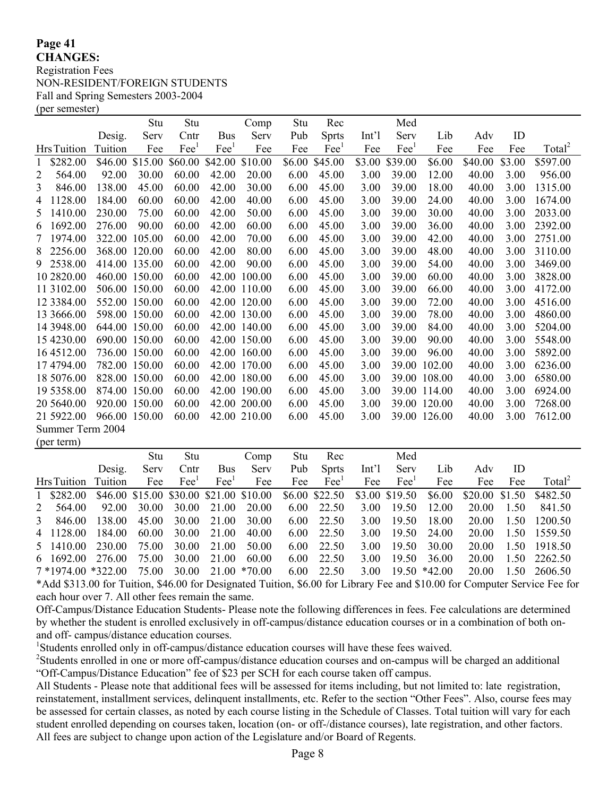#### **Page 41 CHANGES:**

Registration Fees NON-RESIDENT/FOREIGN STUDENTS Fall and Spring Semesters 2003-2004 (per semester)

|                            |         | Stu           | Stu                       |               | Comp         | Stu    | Rec           |                  | Med           |              |         |        |                    |
|----------------------------|---------|---------------|---------------------------|---------------|--------------|--------|---------------|------------------|---------------|--------------|---------|--------|--------------------|
|                            | Desig.  | Serv          | Cntr                      | <b>Bus</b>    | Serv         | Pub    | <b>Sprts</b>  | Int <sup>1</sup> | Serv          | Lib          | Adv     | ID     |                    |
| Hrs Tuition                | Tuition | Fee           | $\text{F}ee$ <sup>1</sup> | $\text{Fe}^1$ | Fee          | Fee    | $\text{Fe}^1$ | Fee              | $\text{Fe}^1$ | Fee          | Fee     | Fee    | Total <sup>2</sup> |
| \$282.00                   | \$46.00 | \$15.00       | \$60.00                   | \$42.00       | \$10.00      | \$6.00 | \$45.00       | \$3.00           | \$39.00       | \$6.00       | \$40.00 | \$3.00 | \$597.00           |
| 2<br>564.00                | 92.00   | 30.00         | 60.00                     | 42.00         | 20.00        | 6.00   | 45.00         | 3.00             | 39.00         | 12.00        | 40.00   | 3.00   | 956.00             |
| 3<br>846.00                | 138.00  | 45.00         | 60.00                     | 42.00         | 30.00        | 6.00   | 45.00         | 3.00             | 39.00         | 18.00        | 40.00   | 3.00   | 1315.00            |
| 1128.00<br>4               | 184.00  | 60.00         | 60.00                     | 42.00         | 40.00        | 6.00   | 45.00         | 3.00             | 39.00         | 24.00        | 40.00   | 3.00   | 1674.00            |
| 1410.00<br>5               | 230.00  | 75.00         | 60.00                     | 42.00         | 50.00        | 6.00   | 45.00         | 3.00             | 39.00         | 30.00        | 40.00   | 3.00   | 2033.00            |
| 1692.00<br>6               | 276.00  | 90.00         | 60.00                     | 42.00         | 60.00        | 6.00   | 45.00         | 3.00             | 39.00         | 36.00        | 40.00   | 3.00   | 2392.00            |
| 1974.00<br>$7\phantom{.0}$ | 322.00  | 105.00        | 60.00                     | 42.00         | 70.00        | 6.00   | 45.00         | 3.00             | 39.00         | 42.00        | 40.00   | 3.00   | 2751.00            |
| 2256.00<br>8               |         | 368.00 120.00 | 60.00                     | 42.00         | 80.00        | 6.00   | 45.00         | 3.00             | 39.00         | 48.00        | 40.00   | 3.00   | 3110.00            |
| 9 2538.00                  |         | 414.00 135.00 | 60.00                     | 42.00         | 90.00        | 6.00   | 45.00         | 3.00             | 39.00         | 54.00        | 40.00   | 3.00   | 3469.00            |
| 10 2820.00                 |         | 460.00 150.00 | 60.00                     | 42.00         | 100.00       | 6.00   | 45.00         | 3.00             | 39.00         | 60.00        | 40.00   | 3.00   | 3828.00            |
| 11 3102.00                 |         | 506.00 150.00 | 60.00                     |               | 42.00 110.00 | 6.00   | 45.00         | 3.00             | 39.00         | 66.00        | 40.00   | 3.00   | 4172.00            |
| 12 3384.00                 |         | 552.00 150.00 | 60.00                     |               | 42.00 120.00 | 6.00   | 45.00         | 3.00             | 39.00         | 72.00        | 40.00   | 3.00   | 4516.00            |
| 13 3666.00                 |         | 598.00 150.00 | 60.00                     |               | 42.00 130.00 | 6.00   | 45.00         | 3.00             | 39.00         | 78.00        | 40.00   | 3.00   | 4860.00            |
| 14 3948.00                 |         | 644.00 150.00 | 60.00                     |               | 42.00 140.00 | 6.00   | 45.00         | 3.00             | 39.00         | 84.00        | 40.00   | 3.00   | 5204.00            |
| 15 4230.00                 |         | 690.00 150.00 | 60.00                     |               | 42.00 150.00 | 6.00   | 45.00         | 3.00             | 39.00         | 90.00        | 40.00   | 3.00   | 5548.00            |
| 16 45 12.00                |         | 736.00 150.00 | 60.00                     |               | 42.00 160.00 | 6.00   | 45.00         | 3.00             | 39.00         | 96.00        | 40.00   | 3.00   | 5892.00            |
| 17 4794.00                 |         | 782.00 150.00 | 60.00                     |               | 42.00 170.00 | 6.00   | 45.00         | 3.00             | 39.00         | 102.00       | 40.00   | 3.00   | 6236.00            |
| 18 5076.00                 |         | 828.00 150.00 | 60.00                     |               | 42.00 180.00 | 6.00   | 45.00         | 3.00             |               | 39.00 108.00 | 40.00   | 3.00   | 6580.00            |
| 19 5358.00                 |         | 874.00 150.00 | 60.00                     |               | 42.00 190.00 | 6.00   | 45.00         | 3.00             |               | 39.00 114.00 | 40.00   | 3.00   | 6924.00            |
| 20 5 640.00                |         | 920.00 150.00 | 60.00                     |               | 42.00 200.00 | 6.00   | 45.00         | 3.00             | 39.00         | 120.00       | 40.00   | 3.00   | 7268.00            |
| 21 5922.00                 |         | 966.00 150.00 | 60.00                     |               | 42.00 210.00 | 6.00   | 45.00         | 3.00             | 39.00         | 126.00       | 40.00   | 3.00   | 7612.00            |
| Summer Term 2004           |         |               |                           |               |              |        |               |                  |               |              |         |        |                    |
| (per term)                 |         |               |                           |               |              |        |               |                  |               |              |         |        |                    |

|                                                                                                                                                                                                                                                                                                                                       |        | Stu   | Stu            |                | Comp                                                   | Stu  | Rec            |       | Med                   |             |                |      |                    |
|---------------------------------------------------------------------------------------------------------------------------------------------------------------------------------------------------------------------------------------------------------------------------------------------------------------------------------------|--------|-------|----------------|----------------|--------------------------------------------------------|------|----------------|-------|-----------------------|-------------|----------------|------|--------------------|
|                                                                                                                                                                                                                                                                                                                                       | Desig. | Serv  | Cntr           | Bus            | Serv                                                   | Pub  | <b>Sprts</b>   | Int'l | Serv                  | Lib         | Adv            | ID   |                    |
| Hrs Tuition Tuition                                                                                                                                                                                                                                                                                                                   |        | Fee   | $\text{Fee}^1$ | $\text{Fee}^1$ | Fee                                                    | Fee  | $\text{Fee}^1$ | Fee   | $\text{Fee}^1$        | Fee         | Fee            | Fee  | Total <sup>2</sup> |
| 1 \$282.00                                                                                                                                                                                                                                                                                                                            |        |       |                |                | \$46.00 \$15.00 \$30.00 \$21.00 \$10.00 \$6.00 \$22.50 |      |                |       | \$3.00 \$19.50 \$6.00 |             | \$20.00 \$1.50 |      | \$482.50           |
| 2 564.00                                                                                                                                                                                                                                                                                                                              | 92.00  | 30.00 |                |                | 30.00 21.00 20.00                                      |      | 6.00 22.50     | 3.00  | 19.50                 | 12.00       | 20.00          | 1.50 | 841.50             |
| 3 846.00                                                                                                                                                                                                                                                                                                                              | 138.00 | 45.00 |                | 30.00 21.00    | 30.00                                                  | 6.00 | 22.50          | 3.00  | 19.50                 | 18.00       | 20.00          | 1.50 | 1200.50            |
| 4 1128.00                                                                                                                                                                                                                                                                                                                             | 184.00 | 60.00 |                | 30.00 21.00    | 40.00                                                  |      | 6.00 22.50     | 3.00  | 19.50 24.00           |             | 20.00          |      | 1.50 1559.50       |
| 5 1410.00                                                                                                                                                                                                                                                                                                                             | 230.00 | 75.00 | 30.00          | 21.00          | 50.00                                                  | 6.00 | 22.50          | 3.00  | 19.50                 | 30.00       | 20.00          | 1.50 | 1918.50            |
| 6 1692.00 276.00                                                                                                                                                                                                                                                                                                                      |        | 75.00 | 30.00          | 21.00          | 60.00                                                  |      | 6.00 22.50     | 3.00  |                       | 19.50 36.00 | 20.00          |      | 1.50 2262.50       |
| $7*1974.00*322.00$                                                                                                                                                                                                                                                                                                                    |        | 75.00 |                |                | 30.00 21.00 *70.00                                     |      | 6.00 22.50     |       | $3.00$ 19.50 $*42.00$ |             | 20.00          |      | 1.50 2606.50       |
| $*$ $\lambda$ 11 0010 00 $\ell$ , $\Gamma$ , $\mu$ , $\mu$ $\lambda$ 00 $\ell$ , $\Gamma$ , $\mu$ , $\lambda$ , $\Gamma$ $\Gamma$ , $\mu$ , $\mu$ , $\mu$ , $\Gamma$ , $\Gamma$ , $\Gamma$ , $\mu$ , $\Gamma$ , $\mu$ , $\mu$ , $\mu$ , $\mu$ , $\mu$ , $\mu$ , $\mu$ , $\mu$ , $\mu$ , $\mu$ , $\mu$ , $\mu$ , $\mu$ , $\mu$ , $\mu$ |        |       |                |                |                                                        |      |                |       |                       |             |                |      |                    |

\*Add \$313.00 for Tuition, \$46.00 for Designated Tuition, \$6.00 for Library Fee and \$10.00 for Computer Service Fee for each hour over 7. All other fees remain the same.

Off-Campus/Distance Education Students- Please note the following differences in fees. Fee calculations are determined by whether the student is enrolled exclusively in off-campus/distance education courses or in a combination of both onand off- campus/distance education courses.

<sup>1</sup>Students enrolled only in off-campus/distance education courses will have these fees waived.

<sup>2</sup>Students enrolled in one or more off-campus/distance education courses and on-campus will be charged an additional "Off-Campus/Distance Education" fee of \$23 per SCH for each course taken off campus.

All Students - Please note that additional fees will be assessed for items including, but not limited to: late registration, reinstatement, installment services, delinquent installments, etc. Refer to the section "Other Fees". Also, course fees may be assessed for certain classes, as noted by each course listing in the Schedule of Classes. Total tuition will vary for each student enrolled depending on courses taken, location (on- or off-/distance courses), late registration, and other factors. All fees are subject to change upon action of the Legislature and/or Board of Regents.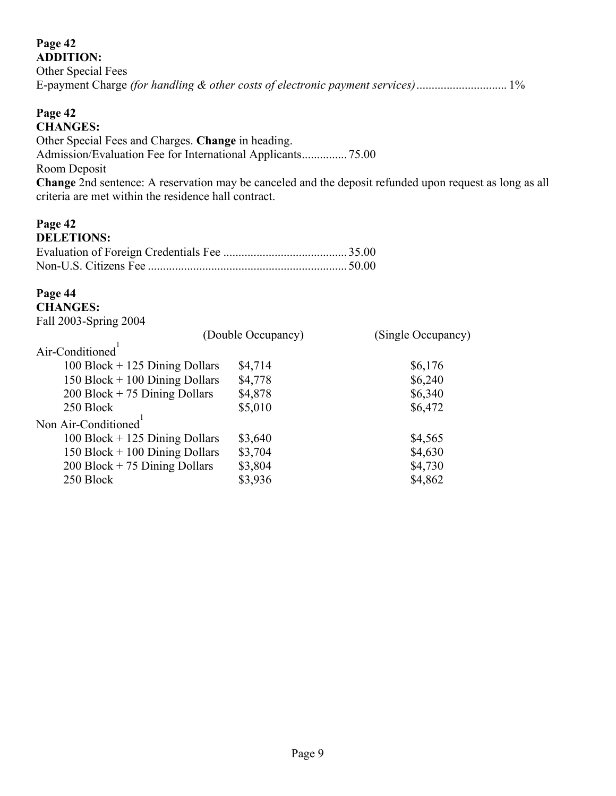#### **Page 42 ADDITION:**

| 11911110111                                                                    |  |
|--------------------------------------------------------------------------------|--|
| Other Special Fees                                                             |  |
| E-payment Charge (for handling & other costs of electronic payment services)1% |  |

## **Page 42 CHANGES:**

Other Special Fees and Charges. **Change** in heading. Admission/Evaluation Fee for International Applicants............... 75.00 Room Deposit **Change** 2nd sentence: A reservation may be canceled and the deposit refunded upon request as long as all criteria are met within the residence hall contract.

#### **Page 42** DELETIONS.

| DELETIONS: |  |
|------------|--|
|            |  |
|            |  |

# **Page 44**

#### **CHANGES:** Fall 2003-Spring 2004

| $\frac{1}{2}$ all $\frac{200}{7}$ -opting $\frac{200}{7}$ |                    |                    |
|-----------------------------------------------------------|--------------------|--------------------|
|                                                           | (Double Occupancy) | (Single Occupancy) |
| Air-Conditioned                                           |                    |                    |
| $100$ Block + 125 Dining Dollars                          | \$4,714            | \$6,176            |
| 150 Block $+$ 100 Dining Dollars                          | \$4,778            | \$6,240            |
| $200$ Block + 75 Dining Dollars                           | \$4,878            | \$6,340            |
| 250 Block                                                 | \$5,010            | \$6,472            |
| Non Air-Conditioned <sup>1</sup>                          |                    |                    |
| $100$ Block + 125 Dining Dollars                          | \$3,640            | \$4,565            |
| 150 Block $+$ 100 Dining Dollars                          | \$3,704            | \$4,630            |
| $200$ Block + 75 Dining Dollars                           | \$3,804            | \$4,730            |
| 250 Block                                                 | \$3,936            | \$4,862            |
|                                                           |                    |                    |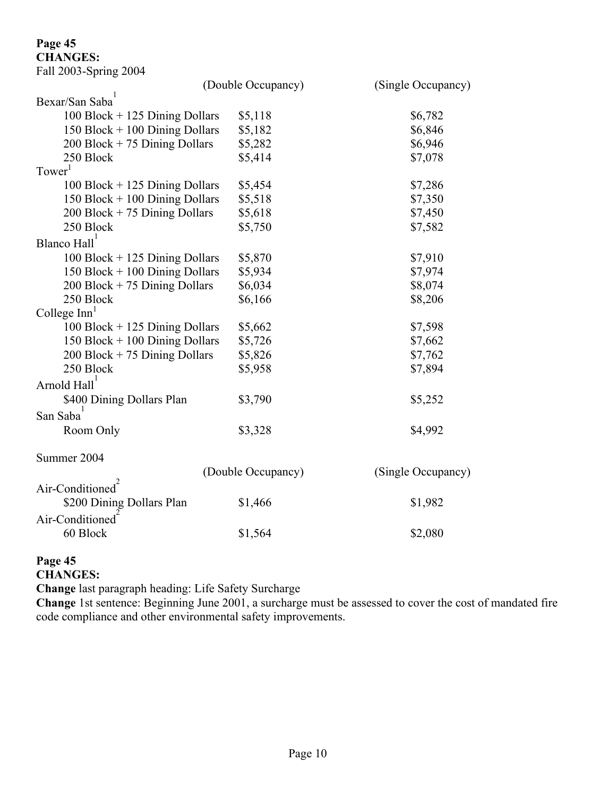# **Page 45**

**CHANGES:**  $Fe<sub>11</sub> 2002.$  Spring 2004

| Fall 2003-Spring 2004            |                    |                    |
|----------------------------------|--------------------|--------------------|
|                                  | (Double Occupancy) | (Single Occupancy) |
| Bexar/San Saba                   |                    |                    |
| $100$ Block + 125 Dining Dollars | \$5,118            | \$6,782            |
| 150 Block $+$ 100 Dining Dollars | \$5,182            | \$6,846            |
| $200$ Block + 75 Dining Dollars  | \$5,282            | \$6,946            |
| 250 Block                        | \$5,414            | \$7,078            |
| Tower <sup>1</sup>               |                    |                    |
| $100$ Block + 125 Dining Dollars | \$5,454            | \$7,286            |
| 150 Block $+$ 100 Dining Dollars | \$5,518            | \$7,350            |
| $200$ Block + 75 Dining Dollars  | \$5,618            | \$7,450            |
| 250 Block                        | \$5,750            | \$7,582            |
| Blanco Hall <sup>1</sup>         |                    |                    |
| $100$ Block + 125 Dining Dollars | \$5,870            | \$7,910            |
| 150 Block $+$ 100 Dining Dollars | \$5,934            | \$7,974            |
| $200$ Block + 75 Dining Dollars  | \$6,034            | \$8,074            |
| 250 Block                        | \$6,166            | \$8,206            |
| College Inn <sup>1</sup>         |                    |                    |
| $100$ Block + 125 Dining Dollars | \$5,662            | \$7,598            |
| 150 Block $+$ 100 Dining Dollars | \$5,726            | \$7,662            |
| $200$ Block + 75 Dining Dollars  | \$5,826            | \$7,762            |
| 250 Block                        | \$5,958            | \$7,894            |
| Arnold Hall <sup>1</sup>         |                    |                    |
| \$400 Dining Dollars Plan        | \$3,790            | \$5,252            |
| San Saba                         |                    |                    |
| Room Only                        | \$3,328            | \$4,992            |
| Summer 2004                      |                    |                    |
|                                  | (Double Occupancy) | (Single Occupancy) |
| Air-Conditioned                  |                    |                    |
| \$200 Dining Dollars Plan        | \$1,466            | \$1,982            |
| Air-Conditioned                  |                    |                    |
| 60 Block                         | \$1,564            | \$2,080            |
|                                  |                    |                    |

#### **Page 45 CHANGES:**

**Change** last paragraph heading: Life Safety Surcharge

**Change** 1st sentence: Beginning June 2001, a surcharge must be assessed to cover the cost of mandated fire code compliance and other environmental safety improvements.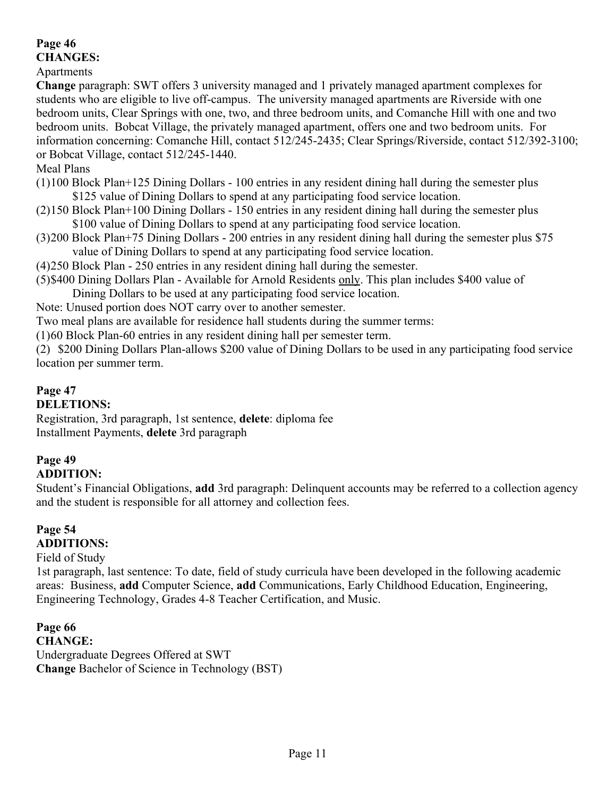# **Page 46**

**CHANGES:**

Apartments

**Change** paragraph: SWT offers 3 university managed and 1 privately managed apartment complexes for students who are eligible to live off-campus. The university managed apartments are Riverside with one bedroom units, Clear Springs with one, two, and three bedroom units, and Comanche Hill with one and two bedroom units. Bobcat Village, the privately managed apartment, offers one and two bedroom units. For information concerning: Comanche Hill, contact 512/245-2435; Clear Springs/Riverside, contact 512/392-3100; or Bobcat Village, contact 512/245-1440.

## Meal Plans

- (1)100 Block Plan+125 Dining Dollars 100 entries in any resident dining hall during the semester plus \$125 value of Dining Dollars to spend at any participating food service location.
- (2)150 Block Plan+100 Dining Dollars 150 entries in any resident dining hall during the semester plus \$100 value of Dining Dollars to spend at any participating food service location.
- (3)200 Block Plan+75 Dining Dollars 200 entries in any resident dining hall during the semester plus \$75 value of Dining Dollars to spend at any participating food service location.
- (4)250 Block Plan 250 entries in any resident dining hall during the semester.
- (5)\$400 Dining Dollars Plan Available for Arnold Residents only. This plan includes \$400 value of Dining Dollars to be used at any participating food service location.
- Note: Unused portion does NOT carry over to another semester.

Two meal plans are available for residence hall students during the summer terms:

(1)60 Block Plan-60 entries in any resident dining hall per semester term.

(2) \$200 Dining Dollars Plan-allows \$200 value of Dining Dollars to be used in any participating food service location per summer term.

## **Page 47**

## **DELETIONS:**

Registration, 3rd paragraph, 1st sentence, **delete**: diploma fee Installment Payments, **delete** 3rd paragraph

## **Page 49 ADDITION:**

Student"s Financial Obligations, **add** 3rd paragraph: Delinquent accounts may be referred to a collection agency and the student is responsible for all attorney and collection fees.

## **Page 54 ADDITIONS:**

Field of Study

1st paragraph, last sentence: To date, field of study curricula have been developed in the following academic areas: Business, **add** Computer Science, **add** Communications, Early Childhood Education, Engineering, Engineering Technology, Grades 4-8 Teacher Certification, and Music.

**Page 66 CHANGE:** Undergraduate Degrees Offered at SWT **Change** Bachelor of Science in Technology (BST)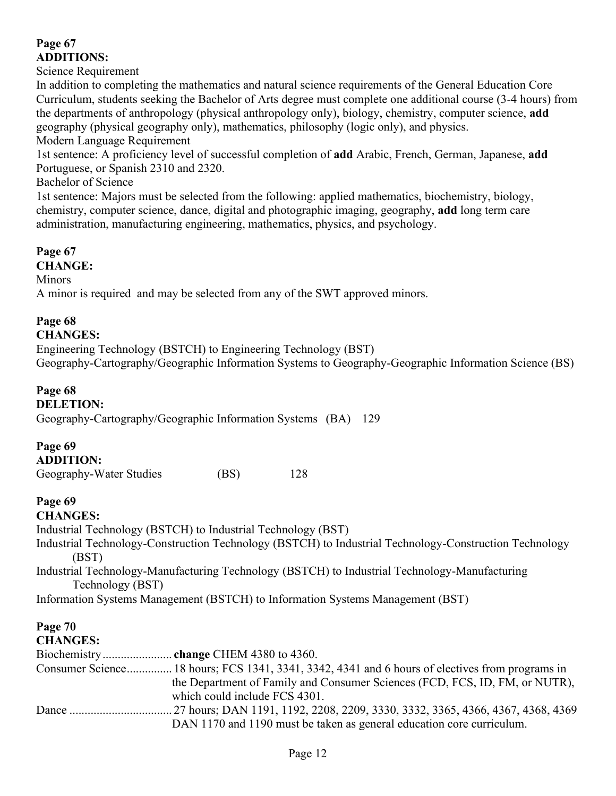## **Page 67 ADDITIONS:**

Science Requirement

In addition to completing the mathematics and natural science requirements of the General Education Core Curriculum, students seeking the Bachelor of Arts degree must complete one additional course (3-4 hours) from the departments of anthropology (physical anthropology only), biology, chemistry, computer science, **add** geography (physical geography only), mathematics, philosophy (logic only), and physics.

Modern Language Requirement

1st sentence: A proficiency level of successful completion of **add** Arabic, French, German, Japanese, **add**  Portuguese, or Spanish 2310 and 2320.

Bachelor of Science

1st sentence: Majors must be selected from the following: applied mathematics, biochemistry, biology, chemistry, computer science, dance, digital and photographic imaging, geography, **add** long term care administration, manufacturing engineering, mathematics, physics, and psychology.

**Page 67**

**CHANGE:**

Minors

A minor is required and may be selected from any of the SWT approved minors.

### **Page 68**

#### **CHANGES:**

Engineering Technology (BSTCH) to Engineering Technology (BST) Geography-Cartography/Geographic Information Systems to Geography-Geographic Information Science (BS)

#### **Page 68**

**DELETION:**

Geography-Cartography/Geographic Information Systems (BA) 129

## **Page 69**

| <b>ADDITION:</b>        |      |     |
|-------------------------|------|-----|
| Geography-Water Studies | (BS) | 128 |

#### **Page 69**

#### **CHANGES:**

Industrial Technology (BSTCH) to Industrial Technology (BST) Industrial Technology-Construction Technology (BSTCH) to Industrial Technology-Construction Technology (BST) Industrial Technology-Manufacturing Technology (BSTCH) to Industrial Technology-Manufacturing

Technology (BST)

Information Systems Management (BSTCH) to Information Systems Management (BST)

#### **Page 70 CHANGES:**

| Consumer Science 18 hours; FCS 1341, 3341, 3342, 4341 and 6 hours of electives from programs in |
|-------------------------------------------------------------------------------------------------|
| the Department of Family and Consumer Sciences (FCD, FCS, ID, FM, or NUTR),                     |
| which could include FCS 4301.                                                                   |
|                                                                                                 |
| DAN 1170 and 1190 must be taken as general education core curriculum.                           |
|                                                                                                 |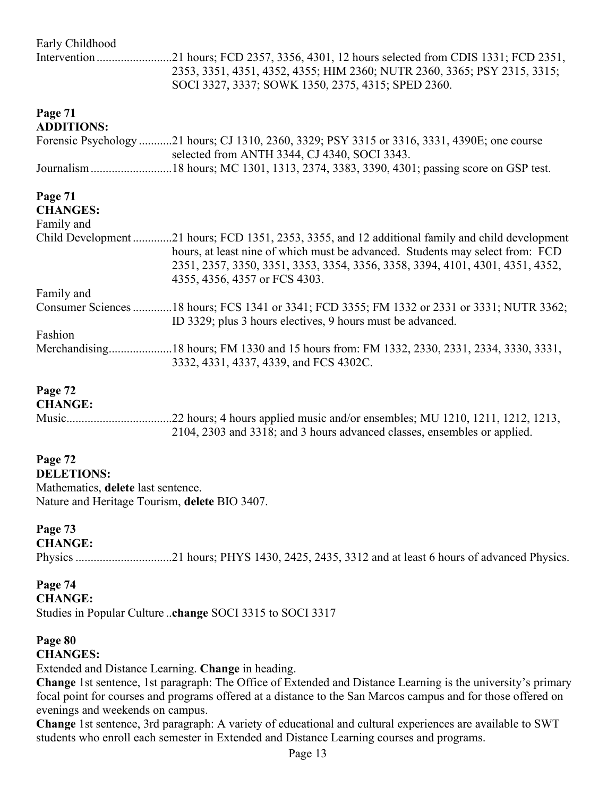| Early Childhood   |                                                                                                                                              |
|-------------------|----------------------------------------------------------------------------------------------------------------------------------------------|
|                   | .21 hours; FCD 2357, 3356, 4301, 12 hours selected from CDIS 1331; FCD 2351,                                                                 |
|                   | 2353, 3351, 4351, 4352, 4355; HIM 2360; NUTR 2360, 3365; PSY 2315, 3315;                                                                     |
|                   | SOCI 3327, 3337; SOWK 1350, 2375, 4315; SPED 2360.                                                                                           |
| Page 71           |                                                                                                                                              |
| <b>ADDITIONS:</b> |                                                                                                                                              |
|                   | Forensic Psychology 21 hours; CJ 1310, 2360, 3329; PSY 3315 or 3316, 3331, 4390E; one course<br>selected from ANTH 3344, CJ 4340, SOCI 3343. |
|                   |                                                                                                                                              |
|                   |                                                                                                                                              |
| Page 71           |                                                                                                                                              |
| <b>CHANGES:</b>   |                                                                                                                                              |
| Family and        |                                                                                                                                              |
|                   | Child Development 21 hours; FCD 1351, 2353, 3355, and 12 additional family and child development                                             |
|                   |                                                                                                                                              |
|                   | hours, at least nine of which must be advanced. Students may select from: FCD                                                                |
|                   | 2351, 2357, 3350, 3351, 3353, 3354, 3356, 3358, 3394, 4101, 4301, 4351, 4352,                                                                |
|                   | 4355, 4356, 4357 or FCS 4303.                                                                                                                |
| Family and        |                                                                                                                                              |
|                   | Consumer Sciences 18 hours; FCS 1341 or 3341; FCD 3355; FM 1332 or 2331 or 3331; NUTR 3362;                                                  |
|                   | ID 3329; plus 3 hours electives, 9 hours must be advanced.                                                                                   |
| Fashion           |                                                                                                                                              |
|                   |                                                                                                                                              |
|                   | 3332, 4331, 4337, 4339, and FCS 4302C.                                                                                                       |
|                   |                                                                                                                                              |

### **Page 72**

#### **CHANGE:**

Music...................................22 hours; 4 hours applied music and/or ensembles; MU 1210, 1211, 1212, 1213, 2104, 2303 and 3318; and 3 hours advanced classes, ensembles or applied.

# **Page 72**

**DELETIONS:** Mathematics, **delete** last sentence. Nature and Heritage Tourism, **delete** BIO 3407.

#### **Page 73**

**CHANGE:**

Physics ................................21 hours; PHYS 1430, 2425, 2435, 3312 and at least 6 hours of advanced Physics.

#### **Page 74**

**CHANGE:**

Studies in Popular Culture ..**change** SOCI 3315 to SOCI 3317

#### **Page 80**

**CHANGES:**

Extended and Distance Learning. **Change** in heading.

**Change** 1st sentence, 1st paragraph: The Office of Extended and Distance Learning is the university"s primary focal point for courses and programs offered at a distance to the San Marcos campus and for those offered on evenings and weekends on campus.

**Change** 1st sentence, 3rd paragraph: A variety of educational and cultural experiences are available to SWT students who enroll each semester in Extended and Distance Learning courses and programs.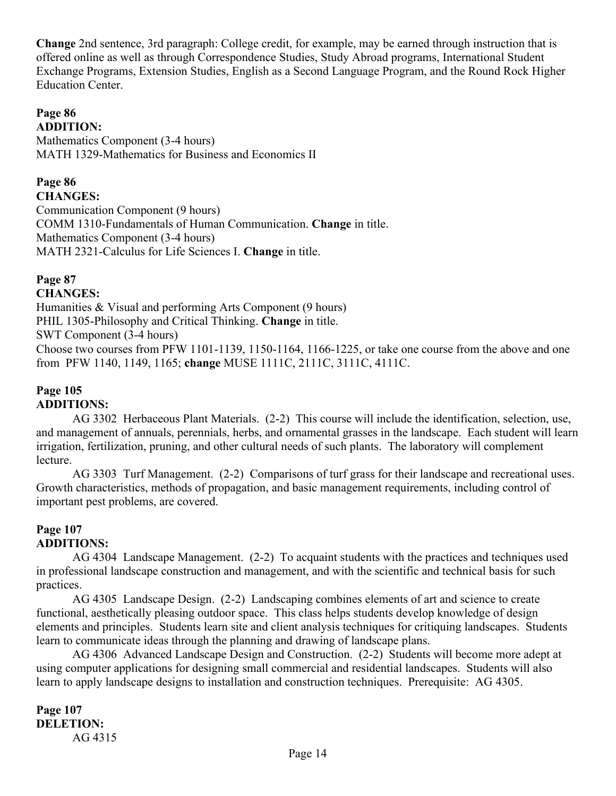**Change** 2nd sentence, 3rd paragraph: College credit, for example, may be earned through instruction that is offered online as well as through Correspondence Studies, Study Abroad programs, International Student Exchange Programs, Extension Studies, English as a Second Language Program, and the Round Rock Higher Education Center.

#### **Page 86 ADDITION:**

Mathematics Component (3-4 hours) MATH 1329-Mathematics for Business and Economics II

# **Page 86**

**CHANGES:**

Communication Component (9 hours) COMM 1310-Fundamentals of Human Communication. **Change** in title. Mathematics Component (3-4 hours) MATH 2321-Calculus for Life Sciences I. **Change** in title.

#### **Page 87 CHANGES:**

Humanities & Visual and performing Arts Component (9 hours)

PHIL 1305-Philosophy and Critical Thinking. **Change** in title.

SWT Component (3-4 hours)

Choose two courses from PFW 1101-1139, 1150-1164, 1166-1225, or take one course from the above and one from PFW 1140, 1149, 1165; **change** MUSE 1111C, 2111C, 3111C, 4111C.

## **Page 105 ADDITIONS:**

AG 3302 Herbaceous Plant Materials. (2-2) This course will include the identification, selection, use, and management of annuals, perennials, herbs, and ornamental grasses in the landscape. Each student will learn irrigation, fertilization, pruning, and other cultural needs of such plants. The laboratory will complement lecture.

AG 3303 Turf Management. (2-2) Comparisons of turf grass for their landscape and recreational uses. Growth characteristics, methods of propagation, and basic management requirements, including control of important pest problems, are covered.

## **Page 107 ADDITIONS:**

AG 4304 Landscape Management. (2-2) To acquaint students with the practices and techniques used in professional landscape construction and management, and with the scientific and technical basis for such practices.

AG 4305 Landscape Design. (2-2) Landscaping combines elements of art and science to create functional, aesthetically pleasing outdoor space. This class helps students develop knowledge of design elements and principles. Students learn site and client analysis techniques for critiquing landscapes. Students learn to communicate ideas through the planning and drawing of landscape plans.

AG 4306 Advanced Landscape Design and Construction. (2-2) Students will become more adept at using computer applications for designing small commercial and residential landscapes. Students will also learn to apply landscape designs to installation and construction techniques. Prerequisite: AG 4305.

**Page 107 DELETION:** AG 4315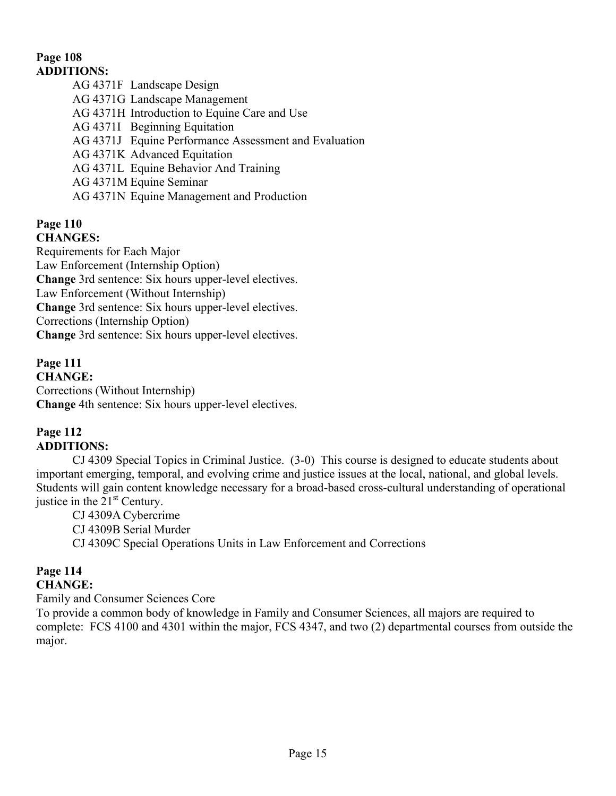## **Page 108 ADDITIONS:**

AG 4371F Landscape Design AG 4371G Landscape Management AG 4371H Introduction to Equine Care and Use AG 4371I Beginning Equitation AG 4371J Equine Performance Assessment and Evaluation AG 4371K Advanced Equitation AG 4371L Equine Behavior And Training AG 4371M Equine Seminar AG 4371N Equine Management and Production

#### **Page 110 CHANGES:**

Requirements for Each Major Law Enforcement (Internship Option) **Change** 3rd sentence: Six hours upper-level electives. Law Enforcement (Without Internship) **Change** 3rd sentence: Six hours upper-level electives. Corrections (Internship Option) **Change** 3rd sentence: Six hours upper-level electives.

**Page 111 CHANGE:** Corrections (Without Internship) **Change** 4th sentence: Six hours upper-level electives.

## **Page 112 ADDITIONS:**

CJ 4309 Special Topics in Criminal Justice. (3-0) This course is designed to educate students about important emerging, temporal, and evolving crime and justice issues at the local, national, and global levels. Students will gain content knowledge necessary for a broad-based cross-cultural understanding of operational justice in the  $21<sup>st</sup>$  Century.

CJ 4309A Cybercrime CJ 4309B Serial Murder CJ 4309C Special Operations Units in Law Enforcement and Corrections

### **Page 114 CHANGE:**

Family and Consumer Sciences Core

To provide a common body of knowledge in Family and Consumer Sciences, all majors are required to complete: FCS 4100 and 4301 within the major, FCS 4347, and two (2) departmental courses from outside the major.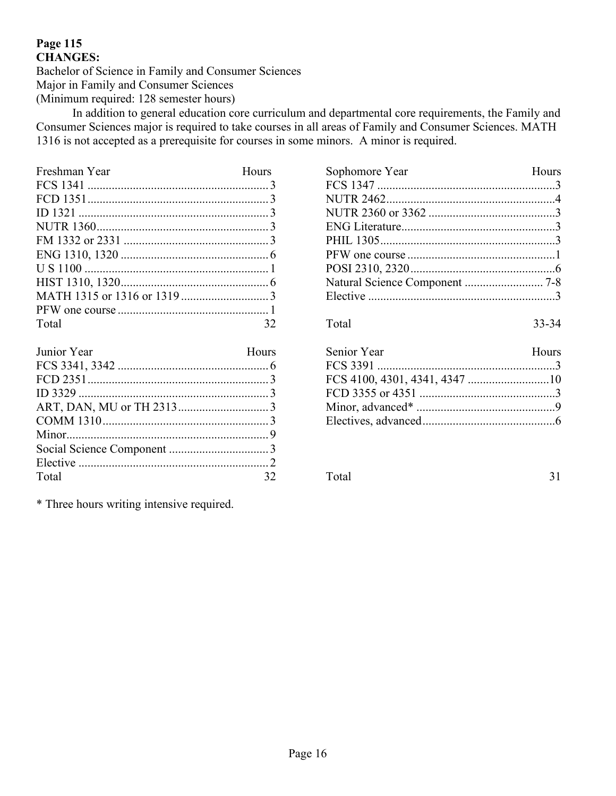## **Page 115 CHANGES:**

Bachelor of Science in Family and Consumer Sciences Major in Family and Consumer Sciences (Minimum required: 128 semester hours)

In addition to general education core curriculum and departmental core requirements, the Family and Consumer Sciences major is required to take courses in all areas of Family and Consumer Sciences. MATH 1316 is not accepted as a prerequisite for courses in some minors. A minor is required.

| Freshman Year | Hours |
|---------------|-------|
|               |       |
|               |       |
|               |       |
|               |       |
|               |       |
|               |       |
|               |       |
|               |       |
|               |       |
|               |       |
| Total         | 32    |

| Junior Year | Hours |
|-------------|-------|
|             |       |
|             |       |
|             |       |
|             |       |
|             |       |
|             |       |
|             |       |
|             |       |
| Total       |       |

\* Three hours writing intensive required.

| Sophomore Year | Hours |
|----------------|-------|
|                |       |
|                |       |
|                |       |
|                |       |
|                |       |
|                |       |
|                |       |
|                |       |
|                |       |
|                |       |

Total 33-34

| Senior Year | Hours |
|-------------|-------|
|             |       |
|             |       |
|             |       |
|             |       |
|             |       |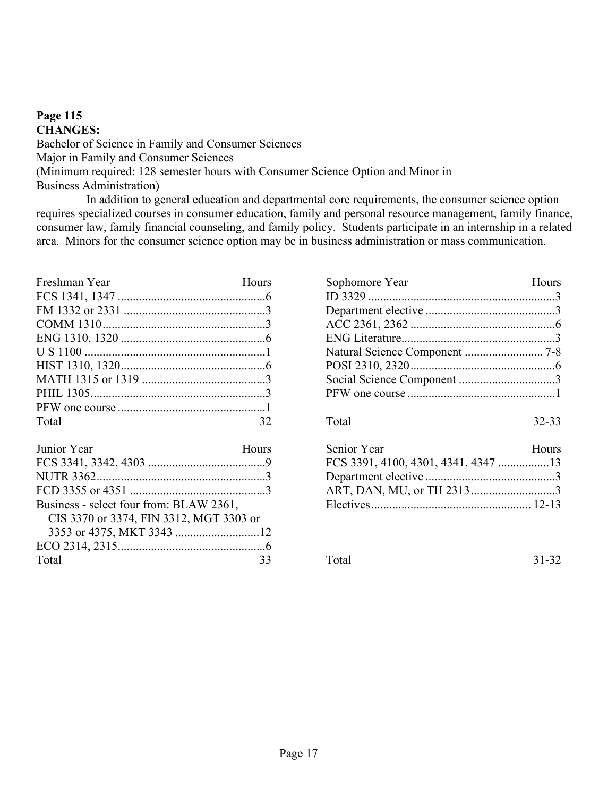### **Page 115 CHANGES:** Bachelor of Science in Family and Consumer Sciences Major in Family and Consumer Sciences (Minimum required: 128 semester hours with Consumer Science Option and Minor in Business Administration)

In addition to general education and departmental core requirements, the consumer science option requires specialized courses in consumer education, family and personal resource management, family finance, consumer law, family financial counseling, and family policy. Students participate in an internship in a related area. Minors for the consumer science option may be in business administration or mass communication.

| Freshman Year | Hours |
|---------------|-------|
|               |       |
|               |       |
|               |       |
|               |       |
|               |       |
|               |       |
|               |       |
|               |       |
|               |       |
| Total         | 32    |

| Junior Year                             | Hours |
|-----------------------------------------|-------|
|                                         |       |
|                                         |       |
|                                         |       |
| Business - select four from: BLAW 2361, |       |
| CIS 3370 or 3374, FIN 3312, MGT 3303 or |       |
|                                         |       |
|                                         |       |
| Total                                   |       |

| Hours     |
|-----------|
|           |
|           |
|           |
|           |
|           |
|           |
|           |
|           |
| $32 - 33$ |
|           |

| Senior Year | Hours |
|-------------|-------|
|             |       |
|             |       |
|             |       |
|             |       |

Total 31-32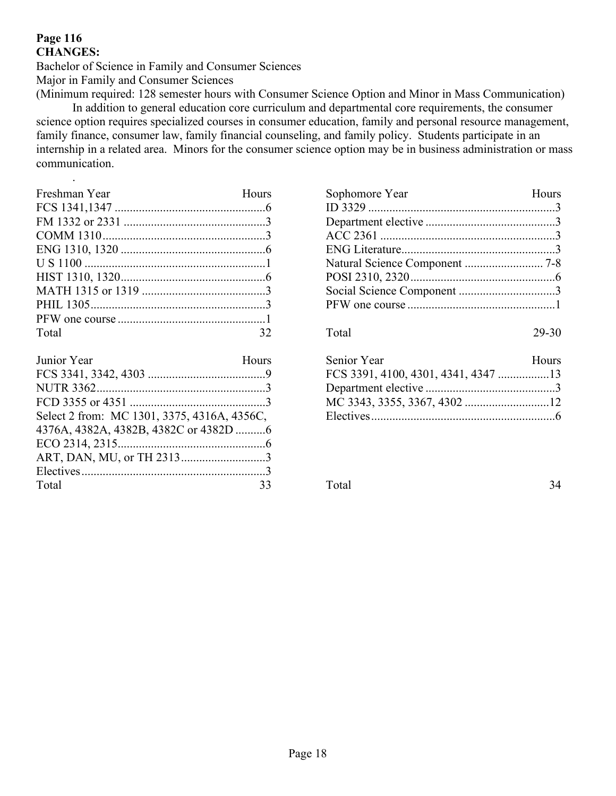### **Page 116 CHANGES:**

.

Bachelor of Science in Family and Consumer Sciences Major in Family and Consumer Sciences

(Minimum required: 128 semester hours with Consumer Science Option and Minor in Mass Communication) In addition to general education core curriculum and departmental core requirements, the consumer science option requires specialized courses in consumer education, family and personal resource management, family finance, consumer law, family financial counseling, and family policy. Students participate in an internship in a related area. Minors for the consumer science option may be in business administration or mass communication.

| Freshman Year | Hours |
|---------------|-------|
|               |       |
|               |       |
|               |       |
|               |       |
|               |       |
|               |       |
|               |       |
|               |       |
|               |       |
| Total         | 32    |

| Junior Year                                 | Hours |
|---------------------------------------------|-------|
|                                             |       |
|                                             |       |
|                                             |       |
| Select 2 from: MC 1301, 3375, 4316A, 4356C, |       |
|                                             |       |
|                                             |       |
|                                             |       |
|                                             |       |
| Total                                       | 33    |

| Sophomore Year | <b>Hours</b> |
|----------------|--------------|
|                |              |
|                |              |
|                |              |
|                |              |
|                |              |
|                |              |
|                |              |
|                |              |
|                |              |
| Total          | 29-30        |

| Senior Year | Hours |
|-------------|-------|
|             |       |
|             |       |
|             |       |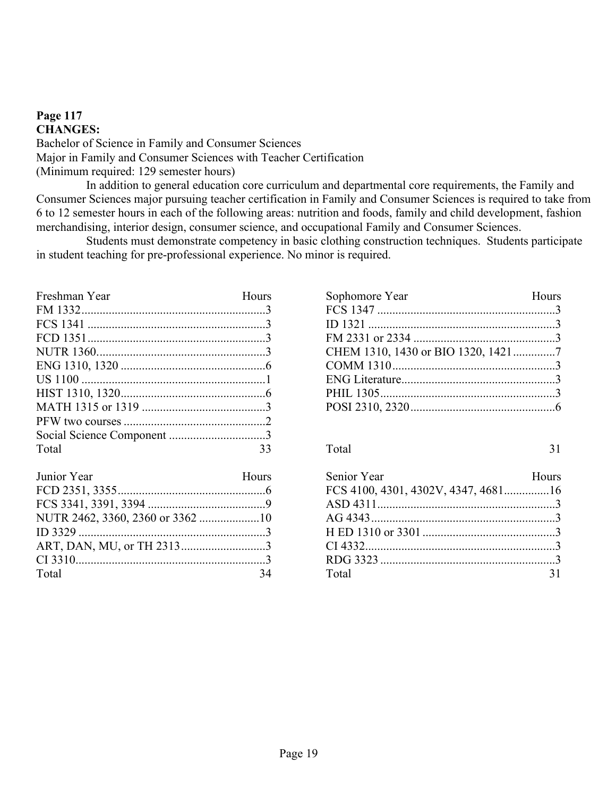#### **Page 117 CHANGES:**

Bachelor of Science in Family and Consumer Sciences Major in Family and Consumer Sciences with Teacher Certification (Minimum required: 129 semester hours)

In addition to general education core curriculum and departmental core requirements, the Family and Consumer Sciences major pursuing teacher certification in Family and Consumer Sciences is required to take from 6 to 12 semester hours in each of the following areas: nutrition and foods, family and child development, fashion merchandising, interior design, consumer science, and occupational Family and Consumer Sciences.

Students must demonstrate competency in basic clothing construction techniques. Students participate in student teaching for pre-professional experience. No minor is required.

| Freshman Year | Hours |
|---------------|-------|
|               |       |
|               |       |
|               |       |
|               |       |
|               |       |
|               |       |
|               |       |
|               |       |
|               |       |
|               |       |
| Total         | 33    |

| Junior Year | Hours |
|-------------|-------|
|             |       |
|             |       |
|             |       |
|             |       |
|             |       |
|             |       |
| Total       | -34   |

| Sophomore Year | Hours |
|----------------|-------|
|                |       |
|                |       |
|                |       |
|                |       |
|                |       |
|                |       |
|                |       |
|                |       |

| Senior Year                         | Hours |
|-------------------------------------|-------|
| FCS 4100, 4301, 4302V, 4347, 468116 |       |
|                                     |       |
|                                     |       |
|                                     |       |
|                                     |       |
|                                     |       |
| Total                               |       |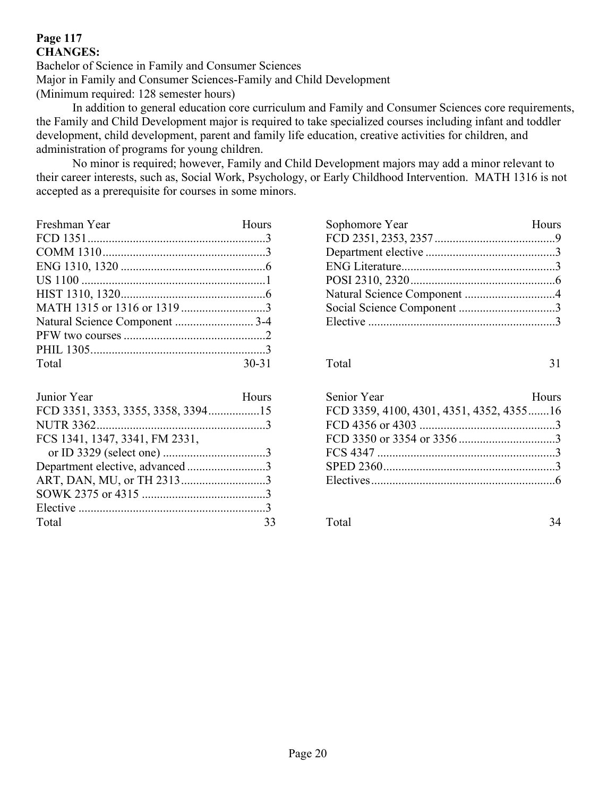## **Page 117 CHANGES:**

Bachelor of Science in Family and Consumer Sciences Major in Family and Consumer Sciences-Family and Child Development (Minimum required: 128 semester hours)

In addition to general education core curriculum and Family and Consumer Sciences core requirements, the Family and Child Development major is required to take specialized courses including infant and toddler development, child development, parent and family life education, creative activities for children, and administration of programs for young children.

No minor is required; however, Family and Child Development majors may add a minor relevant to their career interests, such as, Social Work, Psychology, or Early Childhood Intervention. MATH 1316 is not accepted as a prerequisite for courses in some minors.

| Freshman Year | Hours     |
|---------------|-----------|
|               |           |
|               |           |
|               |           |
|               |           |
|               |           |
|               |           |
|               |           |
|               |           |
|               |           |
| Total         | $30 - 31$ |
|               |           |

| Junior Year                     | Hours |
|---------------------------------|-------|
|                                 |       |
|                                 |       |
| FCS 1341, 1347, 3341, FM 2331,  |       |
|                                 |       |
| Department elective, advanced 3 |       |
|                                 |       |
|                                 |       |
|                                 |       |
| Total                           |       |

| Sophomore Year | Hours |
|----------------|-------|
|                |       |
|                |       |
|                |       |
|                |       |
|                |       |
|                |       |
|                |       |
|                |       |

Total 31

| Senior Year                              | Hours |
|------------------------------------------|-------|
| FCD 3359, 4100, 4301, 4351, 4352, 435516 |       |
|                                          |       |
|                                          |       |
|                                          |       |
|                                          |       |
|                                          |       |
|                                          |       |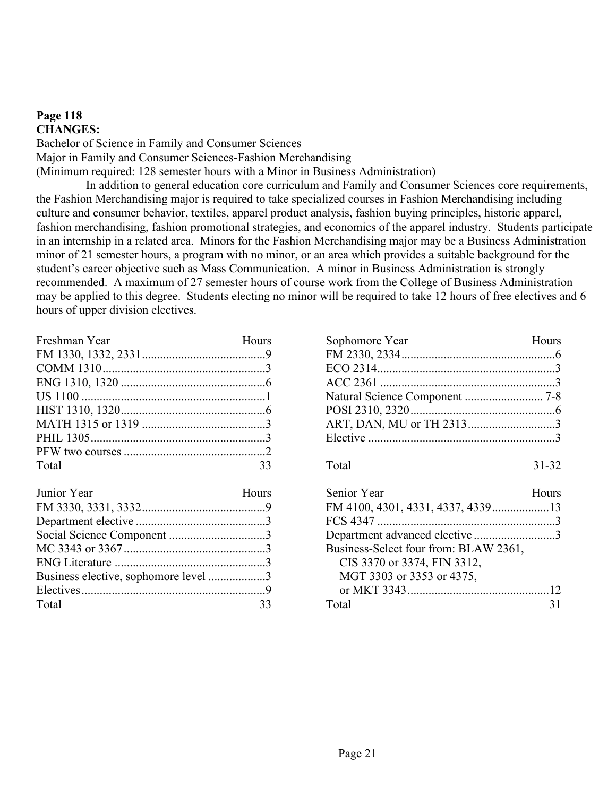### **Page 118 CHANGES:**

Bachelor of Science in Family and Consumer Sciences Major in Family and Consumer Sciences-Fashion Merchandising (Minimum required: 128 semester hours with a Minor in Business Administration)

In addition to general education core curriculum and Family and Consumer Sciences core requirements, the Fashion Merchandising major is required to take specialized courses in Fashion Merchandising including culture and consumer behavior, textiles, apparel product analysis, fashion buying principles, historic apparel, fashion merchandising, fashion promotional strategies, and economics of the apparel industry. Students participate in an internship in a related area. Minors for the Fashion Merchandising major may be a Business Administration minor of 21 semester hours, a program with no minor, or an area which provides a suitable background for the student"s career objective such as Mass Communication. A minor in Business Administration is strongly recommended. A maximum of 27 semester hours of course work from the College of Business Administration may be applied to this degree. Students electing no minor will be required to take 12 hours of free electives and 6 hours of upper division electives.

| Freshman Year | Hours |
|---------------|-------|
|               |       |
|               |       |
|               |       |
|               |       |
|               |       |
|               |       |
|               |       |
|               |       |
| Total         | 33    |

| Junior Year                          | Hours |
|--------------------------------------|-------|
|                                      |       |
|                                      |       |
|                                      |       |
|                                      |       |
|                                      |       |
| Business elective, sophomore level 3 |       |
|                                      |       |
| Total                                |       |

| Sophomore Year                        | <b>Hours</b> |
|---------------------------------------|--------------|
|                                       |              |
|                                       |              |
|                                       |              |
|                                       |              |
|                                       |              |
| ART, DAN, MU or TH 23133              |              |
|                                       |              |
| Total                                 | $31 - 32$    |
| Senior Year                           | Hours        |
| FM 4100, 4301, 4331, 4337, 433913     |              |
|                                       |              |
| Department advanced elective 3        |              |
| Business-Select four from: BLAW 2361, |              |
| CIS 3370 or 3374, FIN 3312,           |              |
| MGT 3303 or 3353 or 4375,             |              |

or MKT 3343...............................................12 Total 31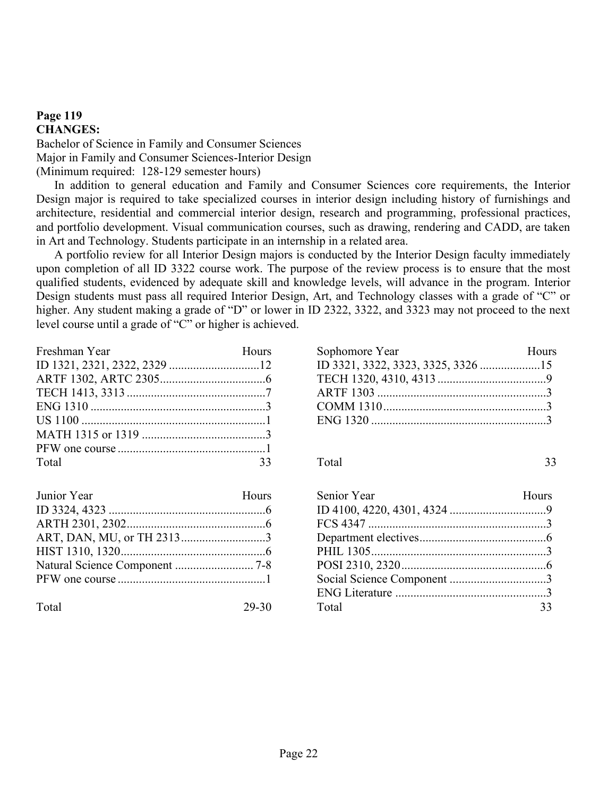#### **Page 119 CHANGES:**

Bachelor of Science in Family and Consumer Sciences Major in Family and Consumer Sciences-Interior Design (Minimum required: 128-129 semester hours)

In addition to general education and Family and Consumer Sciences core requirements, the Interior Design major is required to take specialized courses in interior design including history of furnishings and architecture, residential and commercial interior design, research and programming, professional practices, and portfolio development. Visual communication courses, such as drawing, rendering and CADD, are taken in Art and Technology. Students participate in an internship in a related area.

A portfolio review for all Interior Design majors is conducted by the Interior Design faculty immediately upon completion of all ID 3322 course work. The purpose of the review process is to ensure that the most qualified students, evidenced by adequate skill and knowledge levels, will advance in the program. Interior Design students must pass all required Interior Design, Art, and Technology classes with a grade of "C" or higher. Any student making a grade of "D" or lower in ID 2322, 3322, and 3323 may not proceed to the next level course until a grade of "C" or higher is achieved.

| Freshman Year | Hours |
|---------------|-------|
|               |       |
|               |       |
|               |       |
|               |       |
|               |       |
|               |       |
|               |       |
| Total         |       |

| Junior Year | Hours |
|-------------|-------|
|             |       |
|             |       |
|             |       |
|             |       |
|             |       |
|             |       |
|             |       |

Total 29-30

| Sophomore Year | Hours |
|----------------|-------|
|                |       |
|                |       |
|                |       |
|                |       |
|                |       |
|                |       |

| Senior Year | Hours |
|-------------|-------|
|             |       |
|             |       |
|             |       |
|             |       |
|             |       |
|             |       |
|             |       |
| Total       | 33    |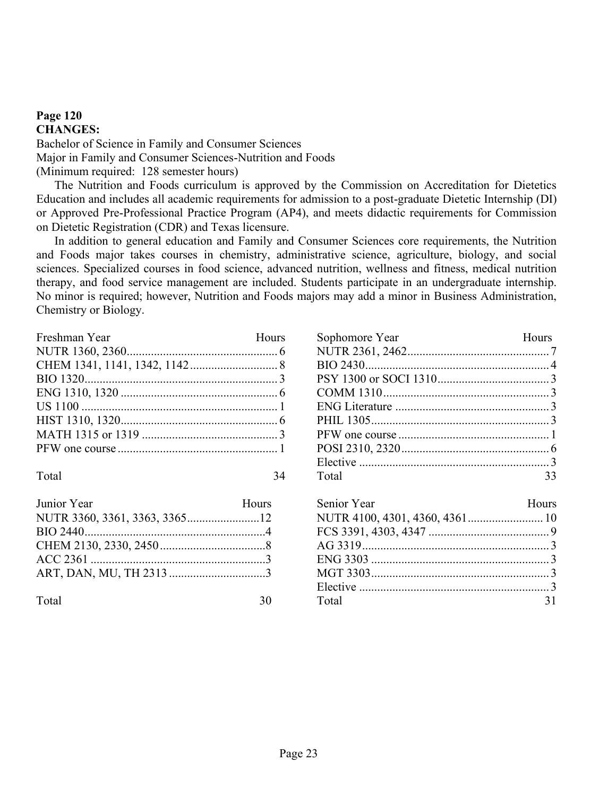### **Page 120 CHANGES:** Bachelor of Science in Family and Consumer Sciences Major in Family and Consumer Sciences-Nutrition and Foods (Minimum required: 128 semester hours)

The Nutrition and Foods curriculum is approved by the Commission on Accreditation for Dietetics Education and includes all academic requirements for admission to a post-graduate Dietetic Internship (DI) or Approved Pre-Professional Practice Program (AP4), and meets didactic requirements for Commission on Dietetic Registration (CDR) and Texas licensure.

In addition to general education and Family and Consumer Sciences core requirements, the Nutrition and Foods major takes courses in chemistry, administrative science, agriculture, biology, and social sciences. Specialized courses in food science, advanced nutrition, wellness and fitness, medical nutrition therapy, and food service management are included. Students participate in an undergraduate internship. No minor is required; however, Nutrition and Foods majors may add a minor in Business Administration, Chemistry or Biology.

| Freshman Year | Hours |
|---------------|-------|
|               |       |
|               |       |
|               |       |
|               |       |
|               |       |
|               |       |
|               |       |
|               |       |
|               |       |

Total 34

| Junior Year | Hours |
|-------------|-------|
|             |       |
|             |       |
|             |       |
|             |       |
|             |       |
|             |       |

| Sophomore Year           | Hours |
|--------------------------|-------|
|                          |       |
|                          |       |
|                          |       |
|                          |       |
|                          |       |
|                          |       |
|                          |       |
|                          |       |
|                          |       |
| Total<br>$\overline{33}$ |       |

| Senior Year | Hours |
|-------------|-------|
|             |       |
|             |       |
|             |       |
|             |       |
|             |       |
|             |       |
| Total       |       |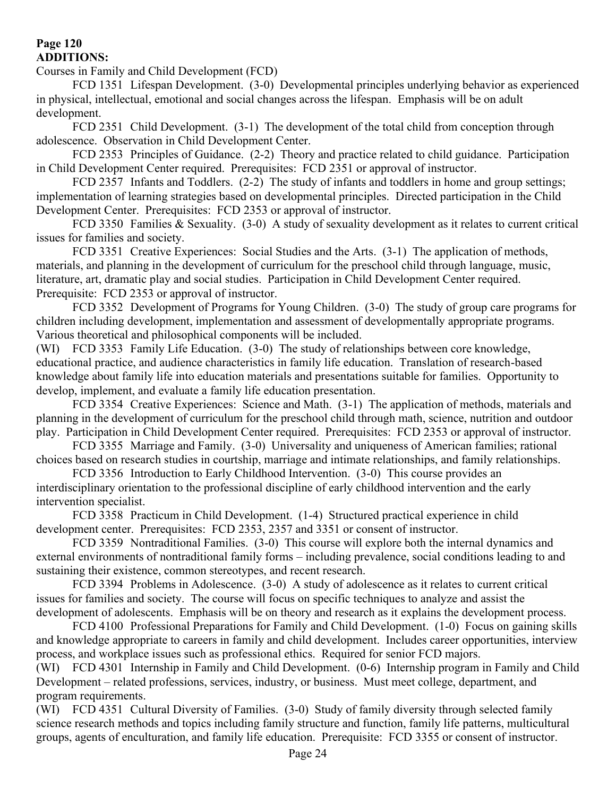## **Page 120 ADDITIONS:**

Courses in Family and Child Development (FCD)

FCD 1351 Lifespan Development. (3-0) Developmental principles underlying behavior as experienced in physical, intellectual, emotional and social changes across the lifespan. Emphasis will be on adult development.

FCD 2351 Child Development. (3-1) The development of the total child from conception through adolescence. Observation in Child Development Center.

FCD 2353 Principles of Guidance. (2-2) Theory and practice related to child guidance. Participation in Child Development Center required. Prerequisites: FCD 2351 or approval of instructor.

FCD 2357 Infants and Toddlers. (2-2) The study of infants and toddlers in home and group settings; implementation of learning strategies based on developmental principles. Directed participation in the Child Development Center. Prerequisites: FCD 2353 or approval of instructor.

FCD 3350 Families & Sexuality. (3-0) A study of sexuality development as it relates to current critical issues for families and society.

FCD 3351 Creative Experiences: Social Studies and the Arts. (3-1) The application of methods, materials, and planning in the development of curriculum for the preschool child through language, music, literature, art, dramatic play and social studies. Participation in Child Development Center required. Prerequisite: FCD 2353 or approval of instructor.

FCD 3352 Development of Programs for Young Children. (3-0) The study of group care programs for children including development, implementation and assessment of developmentally appropriate programs. Various theoretical and philosophical components will be included.

(WI) FCD 3353 Family Life Education. (3-0) The study of relationships between core knowledge, educational practice, and audience characteristics in family life education. Translation of research-based knowledge about family life into education materials and presentations suitable for families. Opportunity to develop, implement, and evaluate a family life education presentation.

FCD 3354 Creative Experiences: Science and Math. (3-1) The application of methods, materials and planning in the development of curriculum for the preschool child through math, science, nutrition and outdoor play. Participation in Child Development Center required. Prerequisites: FCD 2353 or approval of instructor.

FCD 3355 Marriage and Family. (3-0) Universality and uniqueness of American families; rational choices based on research studies in courtship, marriage and intimate relationships, and family relationships.

FCD 3356 Introduction to Early Childhood Intervention. (3-0) This course provides an interdisciplinary orientation to the professional discipline of early childhood intervention and the early intervention specialist.

FCD 3358 Practicum in Child Development. (1-4) Structured practical experience in child development center. Prerequisites: FCD 2353, 2357 and 3351 or consent of instructor.

FCD 3359 Nontraditional Families. (3-0) This course will explore both the internal dynamics and external environments of nontraditional family forms – including prevalence, social conditions leading to and sustaining their existence, common stereotypes, and recent research.

FCD 3394 Problems in Adolescence. (3-0) A study of adolescence as it relates to current critical issues for families and society. The course will focus on specific techniques to analyze and assist the development of adolescents. Emphasis will be on theory and research as it explains the development process.

FCD 4100 Professional Preparations for Family and Child Development. (1-0) Focus on gaining skills and knowledge appropriate to careers in family and child development. Includes career opportunities, interview process, and workplace issues such as professional ethics. Required for senior FCD majors.

(WI) FCD 4301 Internship in Family and Child Development. (0-6) Internship program in Family and Child Development – related professions, services, industry, or business. Must meet college, department, and program requirements.

(WI) FCD 4351 Cultural Diversity of Families. (3-0) Study of family diversity through selected family science research methods and topics including family structure and function, family life patterns, multicultural groups, agents of enculturation, and family life education. Prerequisite: FCD 3355 or consent of instructor.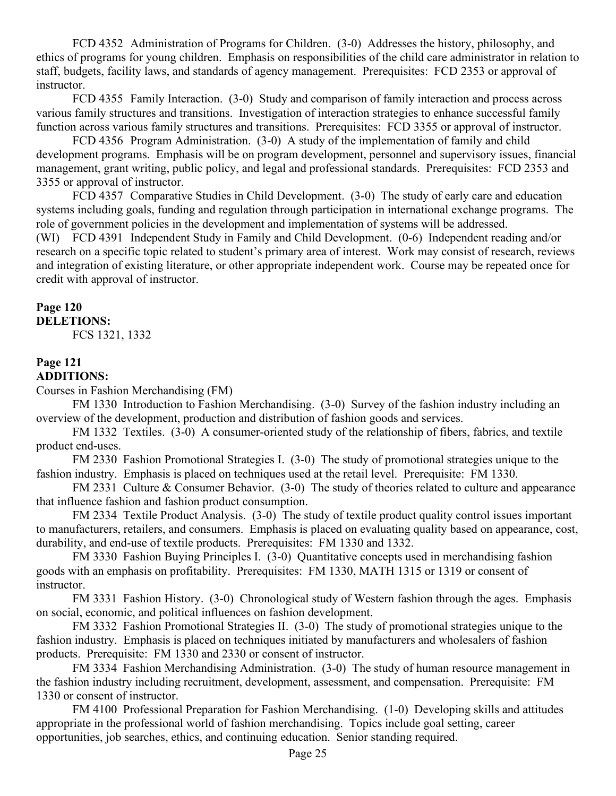FCD 4352 Administration of Programs for Children. (3-0) Addresses the history, philosophy, and ethics of programs for young children. Emphasis on responsibilities of the child care administrator in relation to staff, budgets, facility laws, and standards of agency management. Prerequisites: FCD 2353 or approval of instructor.

FCD 4355 Family Interaction. (3-0) Study and comparison of family interaction and process across various family structures and transitions. Investigation of interaction strategies to enhance successful family function across various family structures and transitions. Prerequisites: FCD 3355 or approval of instructor.

FCD 4356 Program Administration. (3-0) A study of the implementation of family and child development programs. Emphasis will be on program development, personnel and supervisory issues, financial management, grant writing, public policy, and legal and professional standards. Prerequisites: FCD 2353 and 3355 or approval of instructor.

FCD 4357 Comparative Studies in Child Development. (3-0) The study of early care and education systems including goals, funding and regulation through participation in international exchange programs. The role of government policies in the development and implementation of systems will be addressed.

(WI) FCD 4391 Independent Study in Family and Child Development. (0-6) Independent reading and/or research on a specific topic related to student"s primary area of interest. Work may consist of research, reviews and integration of existing literature, or other appropriate independent work. Course may be repeated once for credit with approval of instructor.

# **Page 120**

# **DELETIONS:**

FCS 1321, 1332

#### **Page 121 ADDITIONS:**

Courses in Fashion Merchandising (FM)

FM 1330 Introduction to Fashion Merchandising. (3-0) Survey of the fashion industry including an overview of the development, production and distribution of fashion goods and services.

FM 1332 Textiles. (3-0) A consumer-oriented study of the relationship of fibers, fabrics, and textile product end-uses.

FM 2330 Fashion Promotional Strategies I. (3-0) The study of promotional strategies unique to the fashion industry. Emphasis is placed on techniques used at the retail level. Prerequisite: FM 1330.

FM 2331 Culture & Consumer Behavior. (3-0) The study of theories related to culture and appearance that influence fashion and fashion product consumption.

FM 2334 Textile Product Analysis. (3-0) The study of textile product quality control issues important to manufacturers, retailers, and consumers. Emphasis is placed on evaluating quality based on appearance, cost, durability, and end-use of textile products. Prerequisites: FM 1330 and 1332.

FM 3330 Fashion Buying Principles I. (3-0) Quantitative concepts used in merchandising fashion goods with an emphasis on profitability. Prerequisites: FM 1330, MATH 1315 or 1319 or consent of instructor.

FM 3331 Fashion History. (3-0) Chronological study of Western fashion through the ages. Emphasis on social, economic, and political influences on fashion development.

FM 3332 Fashion Promotional Strategies II. (3-0) The study of promotional strategies unique to the fashion industry. Emphasis is placed on techniques initiated by manufacturers and wholesalers of fashion products. Prerequisite: FM 1330 and 2330 or consent of instructor.

FM 3334 Fashion Merchandising Administration. (3-0) The study of human resource management in the fashion industry including recruitment, development, assessment, and compensation. Prerequisite: FM 1330 or consent of instructor.

FM 4100 Professional Preparation for Fashion Merchandising. (1-0) Developing skills and attitudes appropriate in the professional world of fashion merchandising. Topics include goal setting, career opportunities, job searches, ethics, and continuing education. Senior standing required.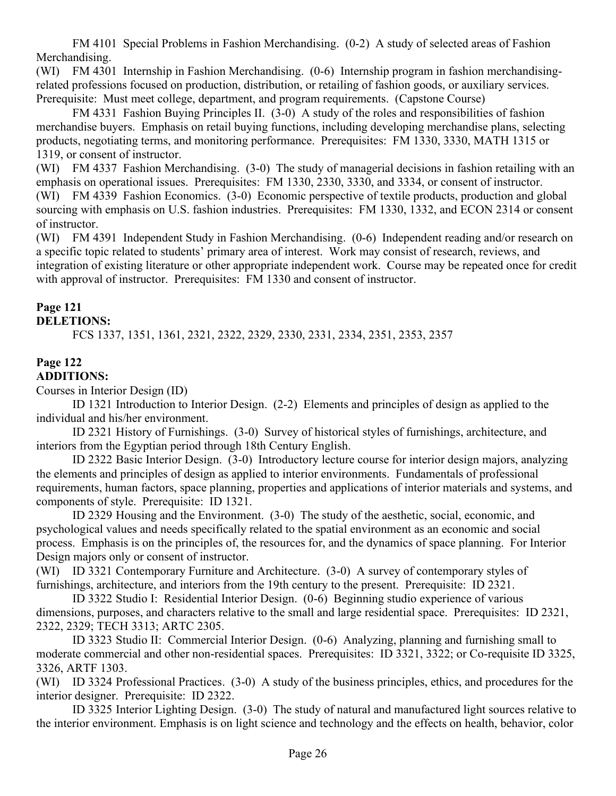FM 4101 Special Problems in Fashion Merchandising. (0-2) A study of selected areas of Fashion Merchandising.

(WI) FM 4301 Internship in Fashion Merchandising. (0-6) Internship program in fashion merchandisingrelated professions focused on production, distribution, or retailing of fashion goods, or auxiliary services. Prerequisite: Must meet college, department, and program requirements. (Capstone Course)

FM 4331 Fashion Buying Principles II. (3-0) A study of the roles and responsibilities of fashion merchandise buyers. Emphasis on retail buying functions, including developing merchandise plans, selecting products, negotiating terms, and monitoring performance. Prerequisites: FM 1330, 3330, MATH 1315 or 1319, or consent of instructor.

(WI) FM 4337 Fashion Merchandising. (3-0) The study of managerial decisions in fashion retailing with an emphasis on operational issues. Prerequisites: FM 1330, 2330, 3330, and 3334, or consent of instructor. (WI) FM 4339 Fashion Economics. (3-0) Economic perspective of textile products, production and global sourcing with emphasis on U.S. fashion industries. Prerequisites: FM 1330, 1332, and ECON 2314 or consent of instructor.

(WI) FM 4391 Independent Study in Fashion Merchandising. (0-6) Independent reading and/or research on a specific topic related to students' primary area of interest. Work may consist of research, reviews, and integration of existing literature or other appropriate independent work. Course may be repeated once for credit with approval of instructor. Prerequisites: FM 1330 and consent of instructor.

# **Page 121**

# **DELETIONS:**

FCS 1337, 1351, 1361, 2321, 2322, 2329, 2330, 2331, 2334, 2351, 2353, 2357

## **Page 122 ADDITIONS:**

Courses in Interior Design (ID)

ID 1321 Introduction to Interior Design. (2-2) Elements and principles of design as applied to the individual and his/her environment.

ID 2321 History of Furnishings. (3-0) Survey of historical styles of furnishings, architecture, and interiors from the Egyptian period through 18th Century English.

ID 2322 Basic Interior Design. (3-0) Introductory lecture course for interior design majors, analyzing the elements and principles of design as applied to interior environments. Fundamentals of professional requirements, human factors, space planning, properties and applications of interior materials and systems, and components of style. Prerequisite: ID 1321.

ID 2329 Housing and the Environment. (3-0) The study of the aesthetic, social, economic, and psychological values and needs specifically related to the spatial environment as an economic and social process. Emphasis is on the principles of, the resources for, and the dynamics of space planning. For Interior Design majors only or consent of instructor.

(WI) ID 3321 Contemporary Furniture and Architecture. (3-0) A survey of contemporary styles of furnishings, architecture, and interiors from the 19th century to the present. Prerequisite: ID 2321.

ID 3322 Studio I: Residential Interior Design. (0-6) Beginning studio experience of various dimensions, purposes, and characters relative to the small and large residential space. Prerequisites: ID 2321, 2322, 2329; TECH 3313; ARTC 2305.

ID 3323 Studio II: Commercial Interior Design. (0-6) Analyzing, planning and furnishing small to moderate commercial and other non-residential spaces. Prerequisites: ID 3321, 3322; or Co-requisite ID 3325, 3326, ARTF 1303.

(WI) ID 3324 Professional Practices. (3-0) A study of the business principles, ethics, and procedures for the interior designer. Prerequisite: ID 2322.

ID 3325 Interior Lighting Design. (3-0) The study of natural and manufactured light sources relative to the interior environment. Emphasis is on light science and technology and the effects on health, behavior, color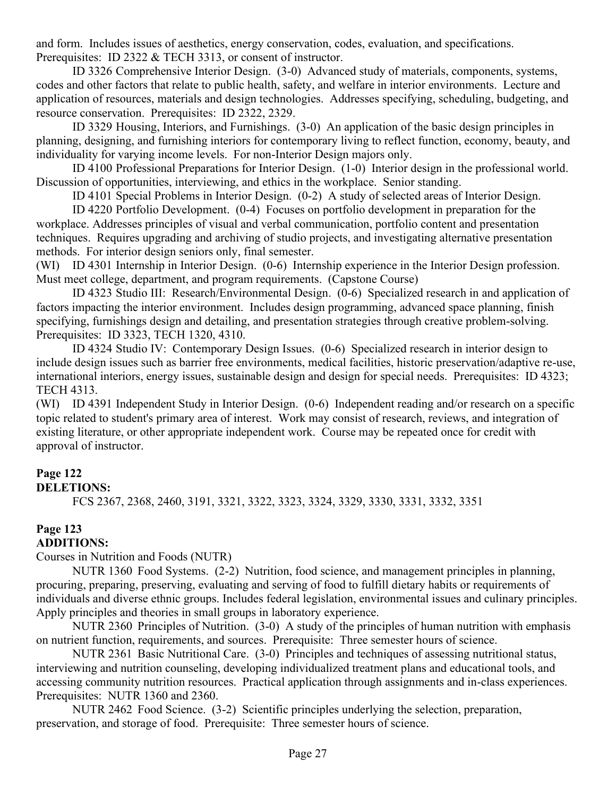and form. Includes issues of aesthetics, energy conservation, codes, evaluation, and specifications. Prerequisites: ID 2322 & TECH 3313, or consent of instructor.

ID 3326 Comprehensive Interior Design. (3-0) Advanced study of materials, components, systems, codes and other factors that relate to public health, safety, and welfare in interior environments. Lecture and application of resources, materials and design technologies. Addresses specifying, scheduling, budgeting, and resource conservation. Prerequisites: ID 2322, 2329.

ID 3329 Housing, Interiors, and Furnishings. (3-0) An application of the basic design principles in planning, designing, and furnishing interiors for contemporary living to reflect function, economy, beauty, and individuality for varying income levels. For non-Interior Design majors only.

ID 4100 Professional Preparations for Interior Design. (1-0) Interior design in the professional world. Discussion of opportunities, interviewing, and ethics in the workplace. Senior standing.

ID 4101 Special Problems in Interior Design. (0-2) A study of selected areas of Interior Design.

ID 4220 Portfolio Development. (0-4) Focuses on portfolio development in preparation for the workplace. Addresses principles of visual and verbal communication, portfolio content and presentation techniques. Requires upgrading and archiving of studio projects, and investigating alternative presentation methods. For interior design seniors only, final semester.

(WI) ID 4301 Internship in Interior Design. (0-6) Internship experience in the Interior Design profession. Must meet college, department, and program requirements. (Capstone Course)

ID 4323 Studio III: Research/Environmental Design. (0-6) Specialized research in and application of factors impacting the interior environment. Includes design programming, advanced space planning, finish specifying, furnishings design and detailing, and presentation strategies through creative problem-solving. Prerequisites: ID 3323, TECH 1320, 4310.

ID 4324 Studio IV: Contemporary Design Issues. (0-6) Specialized research in interior design to include design issues such as barrier free environments, medical facilities, historic preservation/adaptive re-use, international interiors, energy issues, sustainable design and design for special needs. Prerequisites: ID 4323; TECH 4313.

(WI) ID 4391 Independent Study in Interior Design. (0-6) Independent reading and/or research on a specific topic related to student's primary area of interest. Work may consist of research, reviews, and integration of existing literature, or other appropriate independent work. Course may be repeated once for credit with approval of instructor.

## **Page 122**

## **DELETIONS:**

FCS 2367, 2368, 2460, 3191, 3321, 3322, 3323, 3324, 3329, 3330, 3331, 3332, 3351

# **Page 123**

## **ADDITIONS:**

Courses in Nutrition and Foods (NUTR)

NUTR 1360 Food Systems. (2-2) Nutrition, food science, and management principles in planning, procuring, preparing, preserving, evaluating and serving of food to fulfill dietary habits or requirements of individuals and diverse ethnic groups. Includes federal legislation, environmental issues and culinary principles. Apply principles and theories in small groups in laboratory experience.

NUTR 2360 Principles of Nutrition. (3-0) A study of the principles of human nutrition with emphasis on nutrient function, requirements, and sources. Prerequisite: Three semester hours of science.

NUTR 2361 Basic Nutritional Care. (3-0) Principles and techniques of assessing nutritional status, interviewing and nutrition counseling, developing individualized treatment plans and educational tools, and accessing community nutrition resources. Practical application through assignments and in-class experiences. Prerequisites: NUTR 1360 and 2360.

NUTR 2462 Food Science. (3-2) Scientific principles underlying the selection, preparation, preservation, and storage of food. Prerequisite: Three semester hours of science.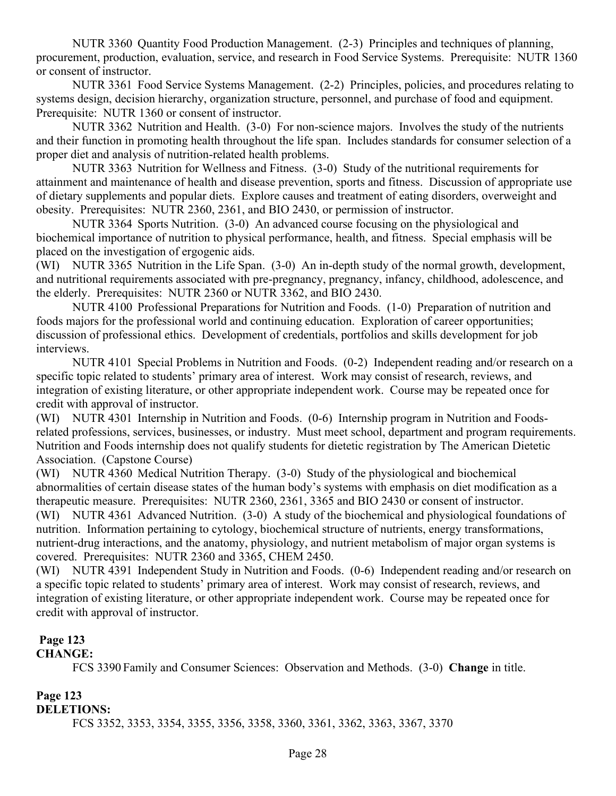NUTR 3360 Quantity Food Production Management. (2-3) Principles and techniques of planning, procurement, production, evaluation, service, and research in Food Service Systems. Prerequisite: NUTR 1360 or consent of instructor.

NUTR 3361 Food Service Systems Management. (2-2) Principles, policies, and procedures relating to systems design, decision hierarchy, organization structure, personnel, and purchase of food and equipment. Prerequisite: NUTR 1360 or consent of instructor.

NUTR 3362 Nutrition and Health. (3-0) For non-science majors. Involves the study of the nutrients and their function in promoting health throughout the life span. Includes standards for consumer selection of a proper diet and analysis of nutrition-related health problems.

NUTR 3363 Nutrition for Wellness and Fitness. (3-0) Study of the nutritional requirements for attainment and maintenance of health and disease prevention, sports and fitness. Discussion of appropriate use of dietary supplements and popular diets. Explore causes and treatment of eating disorders, overweight and obesity. Prerequisites: NUTR 2360, 2361, and BIO 2430, or permission of instructor.

NUTR 3364 Sports Nutrition. (3-0) An advanced course focusing on the physiological and biochemical importance of nutrition to physical performance, health, and fitness. Special emphasis will be placed on the investigation of ergogenic aids.

(WI) NUTR 3365 Nutrition in the Life Span. (3-0) An in-depth study of the normal growth, development, and nutritional requirements associated with pre-pregnancy, pregnancy, infancy, childhood, adolescence, and the elderly. Prerequisites: NUTR 2360 or NUTR 3362, and BIO 2430.

NUTR 4100 Professional Preparations for Nutrition and Foods. (1-0) Preparation of nutrition and foods majors for the professional world and continuing education. Exploration of career opportunities; discussion of professional ethics. Development of credentials, portfolios and skills development for job interviews.

NUTR 4101 Special Problems in Nutrition and Foods. (0-2) Independent reading and/or research on a specific topic related to students' primary area of interest. Work may consist of research, reviews, and integration of existing literature, or other appropriate independent work. Course may be repeated once for credit with approval of instructor.

(WI) NUTR 4301 Internship in Nutrition and Foods. (0-6) Internship program in Nutrition and Foodsrelated professions, services, businesses, or industry. Must meet school, department and program requirements. Nutrition and Foods internship does not qualify students for dietetic registration by The American Dietetic Association. (Capstone Course)

(WI) NUTR 4360 Medical Nutrition Therapy. (3-0) Study of the physiological and biochemical abnormalities of certain disease states of the human body"s systems with emphasis on diet modification as a therapeutic measure. Prerequisites: NUTR 2360, 2361, 3365 and BIO 2430 or consent of instructor.

(WI) NUTR 4361 Advanced Nutrition. (3-0) A study of the biochemical and physiological foundations of nutrition. Information pertaining to cytology, biochemical structure of nutrients, energy transformations, nutrient-drug interactions, and the anatomy, physiology, and nutrient metabolism of major organ systems is covered. Prerequisites: NUTR 2360 and 3365, CHEM 2450.

(WI) NUTR 4391 Independent Study in Nutrition and Foods. (0-6) Independent reading and/or research on a specific topic related to students' primary area of interest. Work may consist of research, reviews, and integration of existing literature, or other appropriate independent work. Course may be repeated once for credit with approval of instructor.

## **Page 123**

**CHANGE:**

FCS 3390 Family and Consumer Sciences: Observation and Methods. (3-0) **Change** in title.

## **Page 123**

**DELETIONS:**

FCS 3352, 3353, 3354, 3355, 3356, 3358, 3360, 3361, 3362, 3363, 3367, 3370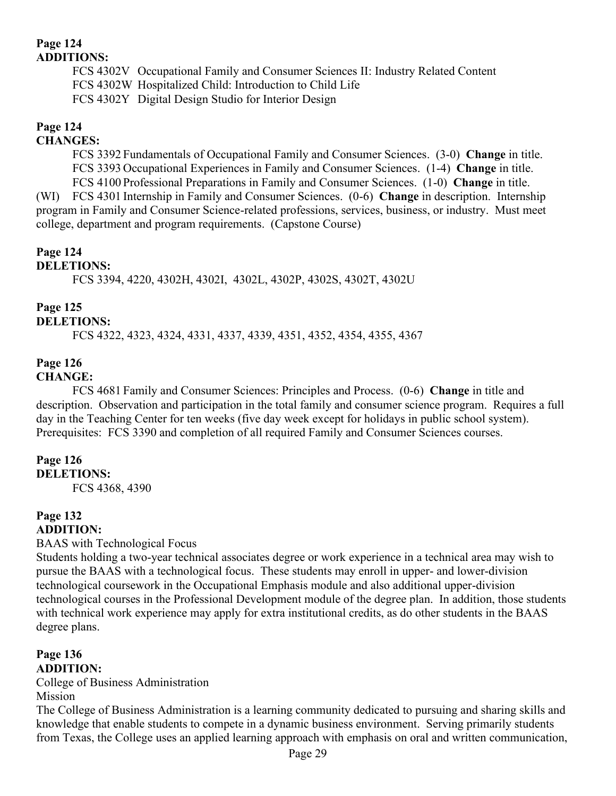## **Page 124 ADDITIONS:**

FCS 4302V Occupational Family and Consumer Sciences II: Industry Related Content FCS 4302W Hospitalized Child: Introduction to Child Life FCS 4302Y Digital Design Studio for Interior Design

## **Page 124**

## **CHANGES:**

FCS 3392 Fundamentals of Occupational Family and Consumer Sciences. (3-0) **Change** in title. FCS 3393 Occupational Experiences in Family and Consumer Sciences. (1-4) **Change** in title. FCS 4100 Professional Preparations in Family and Consumer Sciences. (1-0) **Change** in title. (WI) FCS 4301 Internship in Family and Consumer Sciences. (0-6) **Change** in description. Internship program in Family and Consumer Science-related professions, services, business, or industry. Must meet college, department and program requirements. (Capstone Course)

## **Page 124**

## **DELETIONS:**

FCS 3394, 4220, 4302H, 4302I, 4302L, 4302P, 4302S, 4302T, 4302U

## **Page 125**

## **DELETIONS:**

FCS 4322, 4323, 4324, 4331, 4337, 4339, 4351, 4352, 4354, 4355, 4367

#### **Page 126 CHANGE:**

FCS 4681 Family and Consumer Sciences: Principles and Process. (0-6) **Change** in title and description. Observation and participation in the total family and consumer science program. Requires a full day in the Teaching Center for ten weeks (five day week except for holidays in public school system). Prerequisites: FCS 3390 and completion of all required Family and Consumer Sciences courses.

#### **Page 126 DELETIONS:**

FCS 4368, 4390

#### **Page 132 ADDITION:**

## BAAS with Technological Focus

Students holding a two-year technical associates degree or work experience in a technical area may wish to pursue the BAAS with a technological focus. These students may enroll in upper- and lower-division technological coursework in the Occupational Emphasis module and also additional upper-division technological courses in the Professional Development module of the degree plan. In addition, those students with technical work experience may apply for extra institutional credits, as do other students in the BAAS degree plans.

## **Page 136 ADDITION:**

College of Business Administration Mission

The College of Business Administration is a learning community dedicated to pursuing and sharing skills and knowledge that enable students to compete in a dynamic business environment. Serving primarily students from Texas, the College uses an applied learning approach with emphasis on oral and written communication,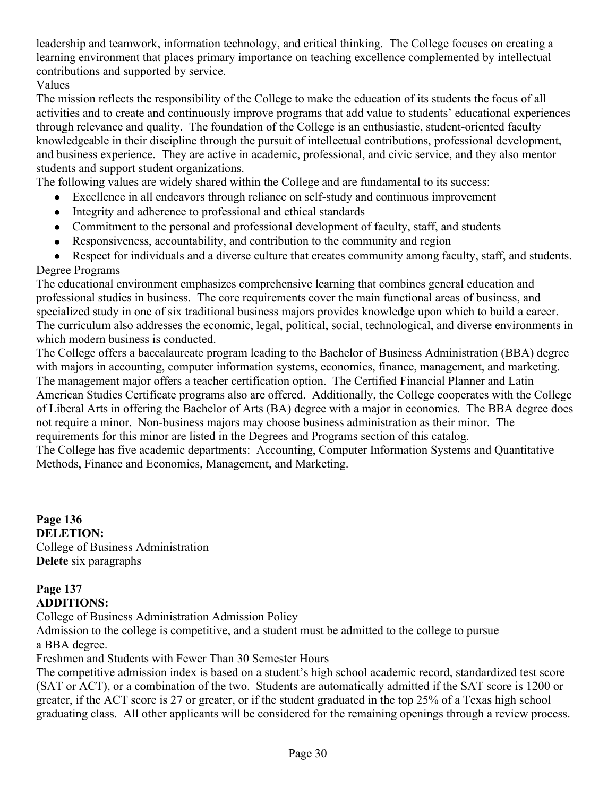leadership and teamwork, information technology, and critical thinking. The College focuses on creating a learning environment that places primary importance on teaching excellence complemented by intellectual contributions and supported by service.

Values

The mission reflects the responsibility of the College to make the education of its students the focus of all activities and to create and continuously improve programs that add value to students" educational experiences through relevance and quality. The foundation of the College is an enthusiastic, student-oriented faculty knowledgeable in their discipline through the pursuit of intellectual contributions, professional development, and business experience. They are active in academic, professional, and civic service, and they also mentor students and support student organizations.

The following values are widely shared within the College and are fundamental to its success:

- Excellence in all endeavors through reliance on self-study and continuous improvement
- Integrity and adherence to professional and ethical standards
- Commitment to the personal and professional development of faculty, staff, and students
- Responsiveness, accountability, and contribution to the community and region
- Respect for individuals and a diverse culture that creates community among faculty, staff, and students. Degree Programs

The educational environment emphasizes comprehensive learning that combines general education and professional studies in business. The core requirements cover the main functional areas of business, and specialized study in one of six traditional business majors provides knowledge upon which to build a career. The curriculum also addresses the economic, legal, political, social, technological, and diverse environments in which modern business is conducted.

The College offers a baccalaureate program leading to the Bachelor of Business Administration (BBA) degree with majors in accounting, computer information systems, economics, finance, management, and marketing. The management major offers a teacher certification option. The Certified Financial Planner and Latin American Studies Certificate programs also are offered. Additionally, the College cooperates with the College of Liberal Arts in offering the Bachelor of Arts (BA) degree with a major in economics. The BBA degree does not require a minor. Non-business majors may choose business administration as their minor. The requirements for this minor are listed in the Degrees and Programs section of this catalog. The College has five academic departments: Accounting, Computer Information Systems and Quantitative Methods, Finance and Economics, Management, and Marketing.

**Page 136 DELETION:** College of Business Administration **Delete** six paragraphs

## **Page 137 ADDITIONS:**

College of Business Administration Admission Policy

Admission to the college is competitive, and a student must be admitted to the college to pursue a BBA degree.

Freshmen and Students with Fewer Than 30 Semester Hours

The competitive admission index is based on a student"s high school academic record, standardized test score (SAT or ACT), or a combination of the two. Students are automatically admitted if the SAT score is 1200 or greater, if the ACT score is 27 or greater, or if the student graduated in the top 25% of a Texas high school graduating class. All other applicants will be considered for the remaining openings through a review process.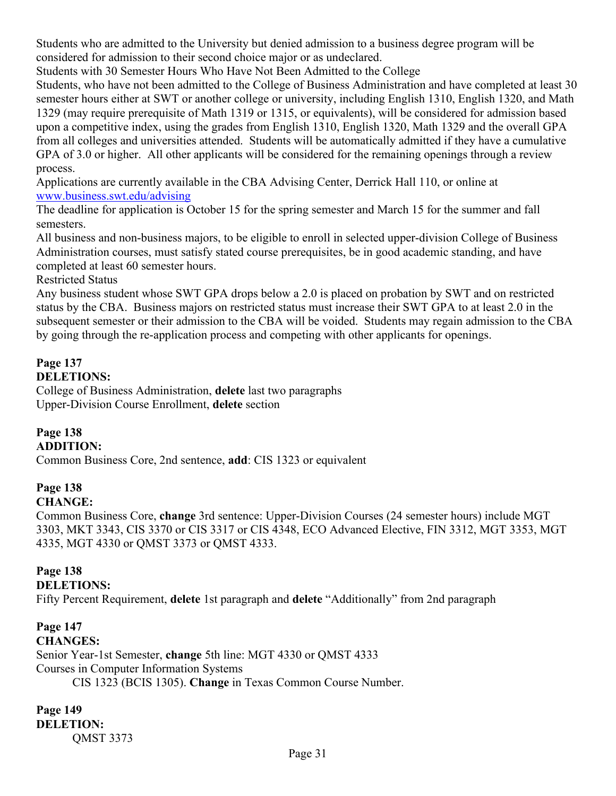Students who are admitted to the University but denied admission to a business degree program will be considered for admission to their second choice major or as undeclared.

Students with 30 Semester Hours Who Have Not Been Admitted to the College

Students, who have not been admitted to the College of Business Administration and have completed at least 30 semester hours either at SWT or another college or university, including English 1310, English 1320, and Math 1329 (may require prerequisite of Math 1319 or 1315, or equivalents), will be considered for admission based upon a competitive index, using the grades from English 1310, English 1320, Math 1329 and the overall GPA from all colleges and universities attended. Students will be automatically admitted if they have a cumulative GPA of 3.0 or higher. All other applicants will be considered for the remaining openings through a review process.

Applications are currently available in the CBA Advising Center, Derrick Hall 110, or online at [www.business.swt.edu/advising](http://www.business.swt.edu/advising)

The deadline for application is October 15 for the spring semester and March 15 for the summer and fall semesters.

All business and non-business majors, to be eligible to enroll in selected upper-division College of Business Administration courses, must satisfy stated course prerequisites, be in good academic standing, and have completed at least 60 semester hours.

Restricted Status

Any business student whose SWT GPA drops below a 2.0 is placed on probation by SWT and on restricted status by the CBA. Business majors on restricted status must increase their SWT GPA to at least 2.0 in the subsequent semester or their admission to the CBA will be voided. Students may regain admission to the CBA by going through the re-application process and competing with other applicants for openings.

#### **Page 137 DELETIONS:**

College of Business Administration, **delete** last two paragraphs Upper-Division Course Enrollment, **delete** section

# **Page 138**

**ADDITION:**

Common Business Core, 2nd sentence, **add**: CIS 1323 or equivalent

#### **Page 138 CHANGE:**

Common Business Core, **change** 3rd sentence: Upper-Division Courses (24 semester hours) include MGT 3303, MKT 3343, CIS 3370 or CIS 3317 or CIS 4348, ECO Advanced Elective, FIN 3312, MGT 3353, MGT 4335, MGT 4330 or QMST 3373 or QMST 4333.

# **Page 138**

**DELETIONS:**

Fifty Percent Requirement, **delete** 1st paragraph and **delete** "Additionally" from 2nd paragraph

## **Page 147 CHANGES:**

Senior Year-1st Semester, **change** 5th line: MGT 4330 or QMST 4333 Courses in Computer Information Systems

CIS 1323 (BCIS 1305). **Change** in Texas Common Course Number.

**Page 149 DELETION:** QMST 3373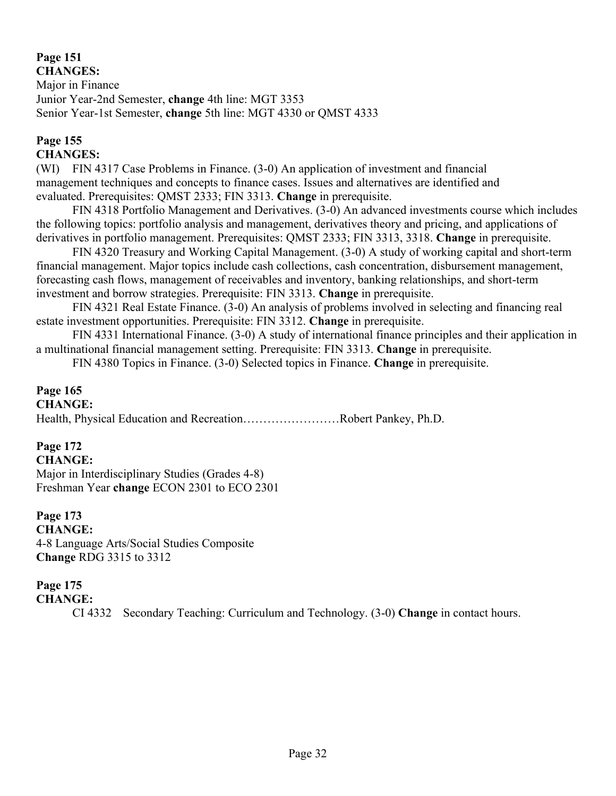# **Page 151**

**CHANGES:** Major in Finance Junior Year-2nd Semester, **change** 4th line: MGT 3353 Senior Year-1st Semester, **change** 5th line: MGT 4330 or QMST 4333

#### **Page 155 CHANGES:**

(WI) FIN 4317 Case Problems in Finance. (3-0) An application of investment and financial management techniques and concepts to finance cases. Issues and alternatives are identified and evaluated. Prerequisites: QMST 2333; FIN 3313. **Change** in prerequisite.

FIN 4318 Portfolio Management and Derivatives. (3-0) An advanced investments course which includes the following topics: portfolio analysis and management, derivatives theory and pricing, and applications of derivatives in portfolio management. Prerequisites: QMST 2333; FIN 3313, 3318. **Change** in prerequisite.

FIN 4320 Treasury and Working Capital Management. (3-0) A study of working capital and short-term financial management. Major topics include cash collections, cash concentration, disbursement management, forecasting cash flows, management of receivables and inventory, banking relationships, and short-term investment and borrow strategies. Prerequisite: FIN 3313. **Change** in prerequisite.

FIN 4321 Real Estate Finance. (3-0) An analysis of problems involved in selecting and financing real estate investment opportunities. Prerequisite: FIN 3312. **Change** in prerequisite.

FIN 4331 International Finance. (3-0) A study of international finance principles and their application in a multinational financial management setting. Prerequisite: FIN 3313. **Change** in prerequisite.

FIN 4380 Topics in Finance. (3-0) Selected topics in Finance. **Change** in prerequisite.

#### **Page 165 CHANGE:**

Health, Physical Education and Recreation……………………Robert Pankey, Ph.D.

## **Page 172**

**CHANGE:** Major in Interdisciplinary Studies (Grades 4-8) Freshman Year **change** ECON 2301 to ECO 2301

**Page 173 CHANGE:** 4-8 Language Arts/Social Studies Composite **Change** RDG 3315 to 3312

# **Page 175**

**CHANGE:**

CI 4332 Secondary Teaching: Curriculum and Technology. (3-0) **Change** in contact hours.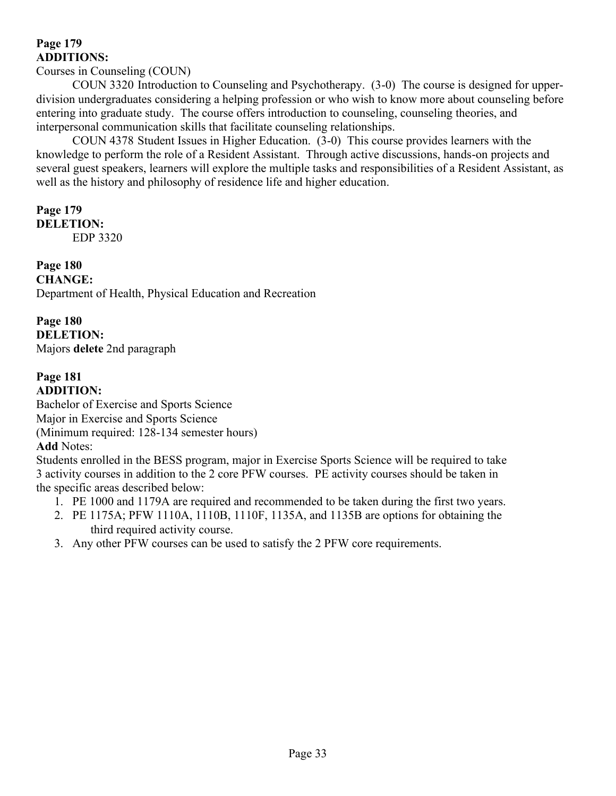## **Page 179 ADDITIONS:**

### Courses in Counseling (COUN)

COUN 3320 Introduction to Counseling and Psychotherapy. (3-0) The course is designed for upperdivision undergraduates considering a helping profession or who wish to know more about counseling before entering into graduate study. The course offers introduction to counseling, counseling theories, and interpersonal communication skills that facilitate counseling relationships.

COUN 4378 Student Issues in Higher Education. (3-0) This course provides learners with the knowledge to perform the role of a Resident Assistant. Through active discussions, hands-on projects and several guest speakers, learners will explore the multiple tasks and responsibilities of a Resident Assistant, as well as the history and philosophy of residence life and higher education.

#### **Page 179 DELETION:**

EDP 3320

### **Page 180 CHANGE:** Department of Health, Physical Education and Recreation

### **Page 180 DELETION:** Majors **delete** 2nd paragraph

## **Page 181 ADDITION:**

Bachelor of Exercise and Sports Science Major in Exercise and Sports Science (Minimum required: 128-134 semester hours) **Add** Notes:

Students enrolled in the BESS program, major in Exercise Sports Science will be required to take 3 activity courses in addition to the 2 core PFW courses. PE activity courses should be taken in the specific areas described below:

- 1. PE 1000 and 1179A are required and recommended to be taken during the first two years.
- 2. PE 1175A; PFW 1110A, 1110B, 1110F, 1135A, and 1135B are options for obtaining the third required activity course.
- 3. Any other PFW courses can be used to satisfy the 2 PFW core requirements.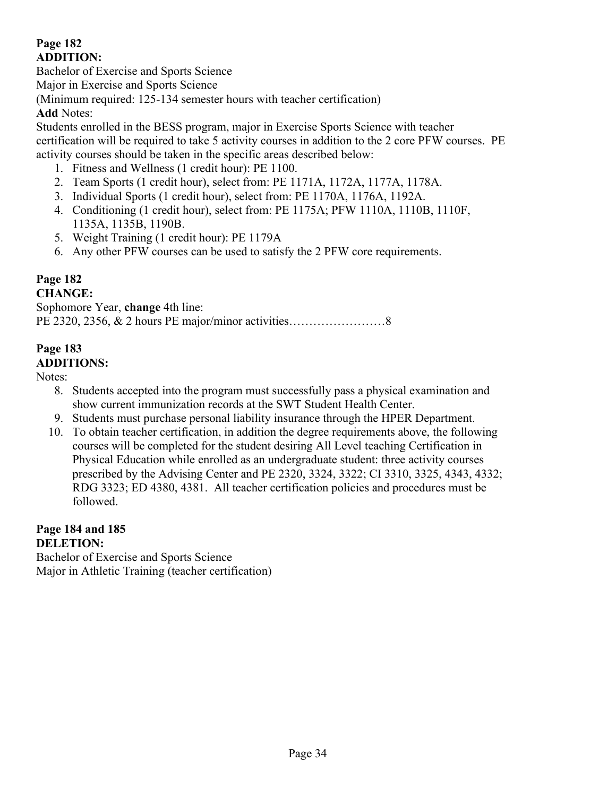## **Page 182 ADDITION:**

Bachelor of Exercise and Sports Science

Major in Exercise and Sports Science

(Minimum required: 125-134 semester hours with teacher certification) **Add** Notes:

Students enrolled in the BESS program, major in Exercise Sports Science with teacher certification will be required to take 5 activity courses in addition to the 2 core PFW courses. PE activity courses should be taken in the specific areas described below:

- 1. Fitness and Wellness (1 credit hour): PE 1100.
- 2. Team Sports (1 credit hour), select from: PE 1171A, 1172A, 1177A, 1178A.
- 3. Individual Sports (1 credit hour), select from: PE 1170A, 1176A, 1192A.
- 4. Conditioning (1 credit hour), select from: PE 1175A; PFW 1110A, 1110B, 1110F, 1135A, 1135B, 1190B.
- 5. Weight Training (1 credit hour): PE 1179A
- 6. Any other PFW courses can be used to satisfy the 2 PFW core requirements.

# **Page 182**

## **CHANGE:**

Sophomore Year, **change** 4th line: PE 2320, 2356, & 2 hours PE major/minor activities……………………8

## **Page 183 ADDITIONS:**

Notes:

- 8. Students accepted into the program must successfully pass a physical examination and show current immunization records at the SWT Student Health Center.
- 9. Students must purchase personal liability insurance through the HPER Department.
- 10. To obtain teacher certification, in addition the degree requirements above, the following courses will be completed for the student desiring All Level teaching Certification in Physical Education while enrolled as an undergraduate student: three activity courses prescribed by the Advising Center and PE 2320, 3324, 3322; CI 3310, 3325, 4343, 4332; RDG 3323; ED 4380, 4381. All teacher certification policies and procedures must be followed.

## **Page 184 and 185 DELETION:**

Bachelor of Exercise and Sports Science Major in Athletic Training (teacher certification)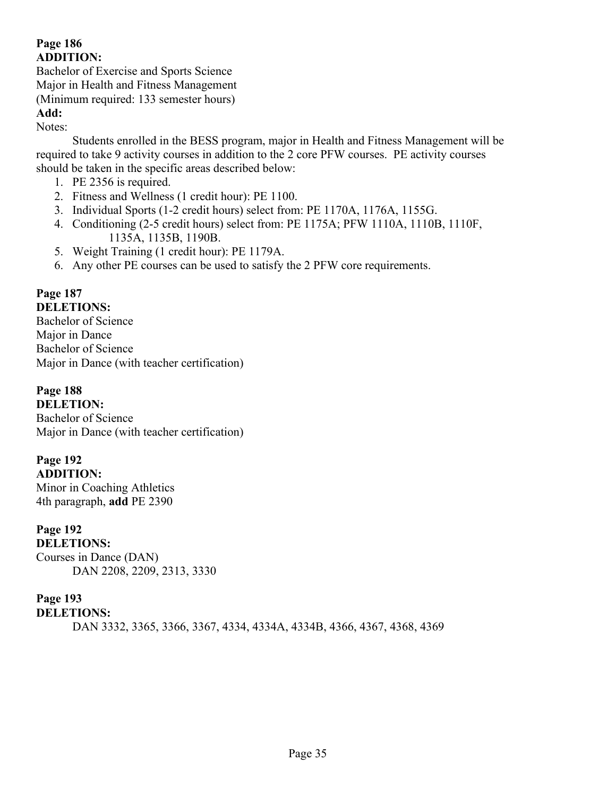## **Page 186 ADDITION:**

Bachelor of Exercise and Sports Science Major in Health and Fitness Management (Minimum required: 133 semester hours) **Add:**

Notes:

Students enrolled in the BESS program, major in Health and Fitness Management will be required to take 9 activity courses in addition to the 2 core PFW courses. PE activity courses should be taken in the specific areas described below:

- 1. PE 2356 is required.
- 2. Fitness and Wellness (1 credit hour): PE 1100.
- 3. Individual Sports (1-2 credit hours) select from: PE 1170A, 1176A, 1155G.
- 4. Conditioning (2-5 credit hours) select from: PE 1175A; PFW 1110A, 1110B, 1110F, 1135A, 1135B, 1190B.
- 5. Weight Training (1 credit hour): PE 1179A.
- 6. Any other PE courses can be used to satisfy the 2 PFW core requirements.

#### **Page 187 DELETIONS:**

Bachelor of Science Major in Dance Bachelor of Science Major in Dance (with teacher certification)

**Page 188 DELETION:**

Bachelor of Science Major in Dance (with teacher certification)

# **Page 192**

**ADDITION:** Minor in Coaching Athletics 4th paragraph, **add** PE 2390

**Page 192 DELETIONS:** Courses in Dance (DAN) DAN 2208, 2209, 2313, 3330

## **Page 193**

**DELETIONS:**

DAN 3332, 3365, 3366, 3367, 4334, 4334A, 4334B, 4366, 4367, 4368, 4369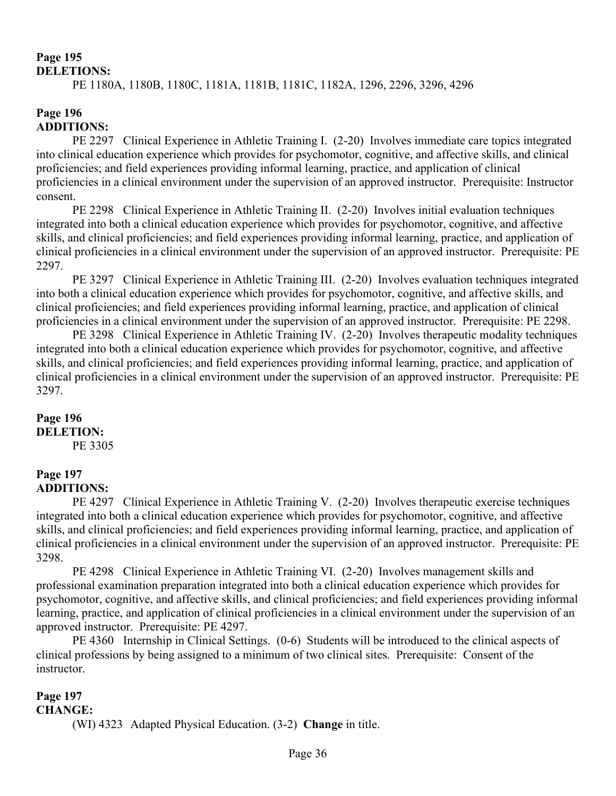# **Page 195**

## **DELETIONS:**

PE 1180A, 1180B, 1180C, 1181A, 1181B, 1181C, 1182A, 1296, 2296, 3296, 4296

## **Page 196 ADDITIONS:**

PE 2297 Clinical Experience in Athletic Training I. (2-20) Involves immediate care topics integrated into clinical education experience which provides for psychomotor, cognitive, and affective skills, and clinical proficiencies; and field experiences providing informal learning, practice, and application of clinical proficiencies in a clinical environment under the supervision of an approved instructor. Prerequisite: Instructor consent.

PE 2298 Clinical Experience in Athletic Training II. (2-20) Involves initial evaluation techniques integrated into both a clinical education experience which provides for psychomotor, cognitive, and affective skills, and clinical proficiencies; and field experiences providing informal learning, practice, and application of clinical proficiencies in a clinical environment under the supervision of an approved instructor. Prerequisite: PE 2297.

PE 3297 Clinical Experience in Athletic Training III. (2-20) Involves evaluation techniques integrated into both a clinical education experience which provides for psychomotor, cognitive, and affective skills, and clinical proficiencies; and field experiences providing informal learning, practice, and application of clinical proficiencies in a clinical environment under the supervision of an approved instructor. Prerequisite: PE 2298.

PE 3298 Clinical Experience in Athletic Training IV. (2-20) Involves therapeutic modality techniques integrated into both a clinical education experience which provides for psychomotor, cognitive, and affective skills, and clinical proficiencies; and field experiences providing informal learning, practice, and application of clinical proficiencies in a clinical environment under the supervision of an approved instructor. Prerequisite: PE 3297.

## **Page 196 DELETION:**

PE 3305

## **Page 197 ADDITIONS:**

PE 4297 Clinical Experience in Athletic Training V. (2-20) Involves therapeutic exercise techniques integrated into both a clinical education experience which provides for psychomotor, cognitive, and affective skills, and clinical proficiencies; and field experiences providing informal learning, practice, and application of clinical proficiencies in a clinical environment under the supervision of an approved instructor. Prerequisite: PE 3298.

PE 4298 Clinical Experience in Athletic Training VI. (2-20) Involves management skills and professional examination preparation integrated into both a clinical education experience which provides for psychomotor, cognitive, and affective skills, and clinical proficiencies; and field experiences providing informal learning, practice, and application of clinical proficiencies in a clinical environment under the supervision of an approved instructor. Prerequisite: PE 4297.

PE 4360 Internship in Clinical Settings. (0-6) Students will be introduced to the clinical aspects of clinical professions by being assigned to a minimum of two clinical sites. Prerequisite: Consent of the instructor.

#### **Page 197 CHANGE:**

(WI) 4323 Adapted Physical Education. (3-2) **Change** in title.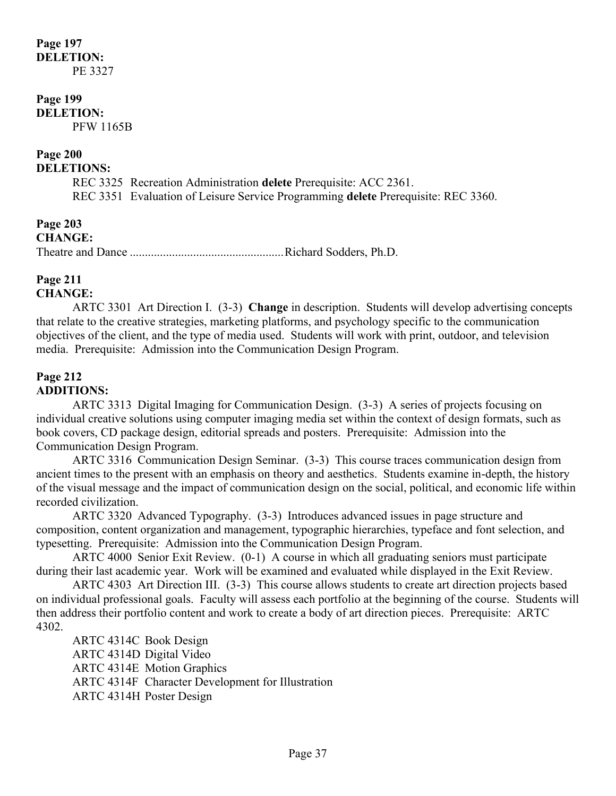## **Page 197 DELETION:** PE 3327

# **Page 199**

**DELETION:** PFW 1165B

## **Page 200**

**DELETIONS:**

- REC 3325 Recreation Administration **delete** Prerequisite: ACC 2361.
- REC 3351 Evaluation of Leisure Service Programming **delete** Prerequisite: REC 3360.

**Page 203 CHANGE:** Theatre and Dance ...................................................Richard Sodders, Ph.D.

### **Page 211 CHANGE:**

ARTC 3301 Art Direction I. (3-3) **Change** in description. Students will develop advertising concepts that relate to the creative strategies, marketing platforms, and psychology specific to the communication objectives of the client, and the type of media used. Students will work with print, outdoor, and television media. Prerequisite: Admission into the Communication Design Program.

## **Page 212 ADDITIONS:**

ARTC 3313 Digital Imaging for Communication Design. (3-3) A series of projects focusing on individual creative solutions using computer imaging media set within the context of design formats, such as book covers, CD package design, editorial spreads and posters. Prerequisite: Admission into the Communication Design Program.

ARTC 3316 Communication Design Seminar. (3-3) This course traces communication design from ancient times to the present with an emphasis on theory and aesthetics. Students examine in-depth, the history of the visual message and the impact of communication design on the social, political, and economic life within recorded civilization.

ARTC 3320 Advanced Typography. (3-3) Introduces advanced issues in page structure and composition, content organization and management, typographic hierarchies, typeface and font selection, and typesetting. Prerequisite: Admission into the Communication Design Program.

ARTC 4000 Senior Exit Review. (0-1) A course in which all graduating seniors must participate during their last academic year. Work will be examined and evaluated while displayed in the Exit Review.

ARTC 4303 Art Direction III. (3-3) This course allows students to create art direction projects based on individual professional goals. Faculty will assess each portfolio at the beginning of the course. Students will then address their portfolio content and work to create a body of art direction pieces. Prerequisite: ARTC 4302.

ARTC 4314C Book Design ARTC 4314D Digital Video ARTC 4314E Motion Graphics ARTC 4314F Character Development for Illustration ARTC 4314H Poster Design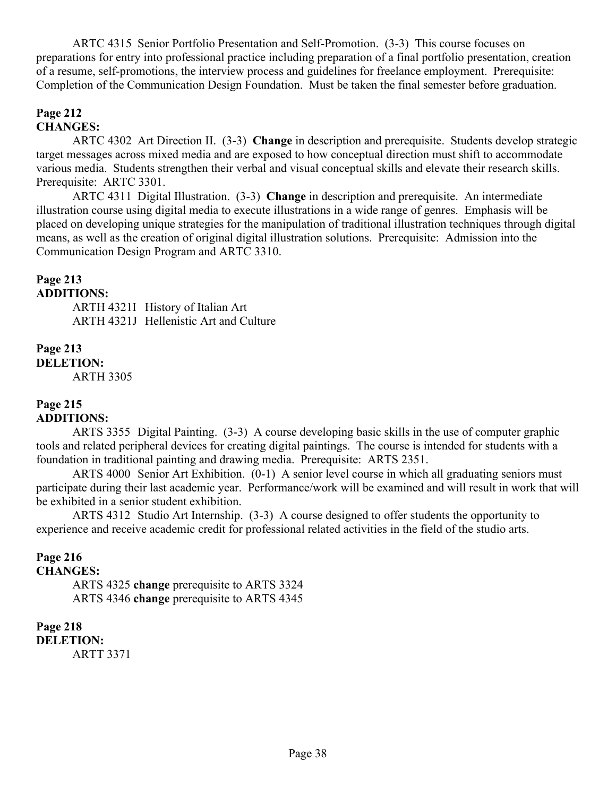ARTC 4315 Senior Portfolio Presentation and Self-Promotion. (3-3) This course focuses on preparations for entry into professional practice including preparation of a final portfolio presentation, creation of a resume, self-promotions, the interview process and guidelines for freelance employment. Prerequisite: Completion of the Communication Design Foundation. Must be taken the final semester before graduation.

## **Page 212 CHANGES:**

ARTC 4302 Art Direction II. (3-3) **Change** in description and prerequisite. Students develop strategic target messages across mixed media and are exposed to how conceptual direction must shift to accommodate various media. Students strengthen their verbal and visual conceptual skills and elevate their research skills. Prerequisite: ARTC 3301.

ARTC 4311 Digital Illustration. (3-3) **Change** in description and prerequisite. An intermediate illustration course using digital media to execute illustrations in a wide range of genres. Emphasis will be placed on developing unique strategies for the manipulation of traditional illustration techniques through digital means, as well as the creation of original digital illustration solutions. Prerequisite: Admission into the Communication Design Program and ARTC 3310.

#### **Page 213 ADDITIONS:**

ARTH 4321I History of Italian Art ARTH 4321J Hellenistic Art and Culture

**Page 213 DELETION:** ARTH 3305

#### **Page 215 ADDITIONS:**

ARTS 3355 Digital Painting. (3-3) A course developing basic skills in the use of computer graphic tools and related peripheral devices for creating digital paintings. The course is intended for students with a foundation in traditional painting and drawing media. Prerequisite: ARTS 2351.

ARTS 4000 Senior Art Exhibition. (0-1) A senior level course in which all graduating seniors must participate during their last academic year. Performance/work will be examined and will result in work that will be exhibited in a senior student exhibition.

ARTS 4312 Studio Art Internship. (3-3) A course designed to offer students the opportunity to experience and receive academic credit for professional related activities in the field of the studio arts.

## **Page 216**

## **CHANGES:**

ARTS 4325 **change** prerequisite to ARTS 3324 ARTS 4346 **change** prerequisite to ARTS 4345

**Page 218 DELETION:**

ARTT 3371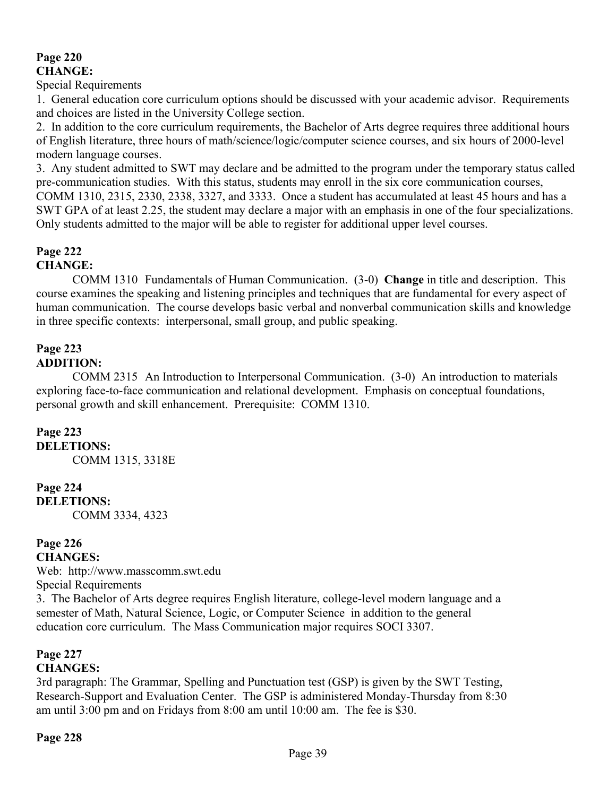## **Page 220 CHANGE:**

Special Requirements

1. General education core curriculum options should be discussed with your academic advisor. Requirements and choices are listed in the University College section.

2. In addition to the core curriculum requirements, the Bachelor of Arts degree requires three additional hours of English literature, three hours of math/science/logic/computer science courses, and six hours of 2000-level modern language courses.

3. Any student admitted to SWT may declare and be admitted to the program under the temporary status called pre-communication studies. With this status, students may enroll in the six core communication courses, COMM 1310, 2315, 2330, 2338, 3327, and 3333. Once a student has accumulated at least 45 hours and has a SWT GPA of at least 2.25, the student may declare a major with an emphasis in one of the four specializations. Only students admitted to the major will be able to register for additional upper level courses.

#### **Page 222 CHANGE:**

COMM 1310 Fundamentals of Human Communication. (3-0) **Change** in title and description. This course examines the speaking and listening principles and techniques that are fundamental for every aspect of human communication. The course develops basic verbal and nonverbal communication skills and knowledge in three specific contexts: interpersonal, small group, and public speaking.

# **Page 223**

**ADDITION:**

COMM 2315 An Introduction to Interpersonal Communication. (3-0) An introduction to materials exploring face-to-face communication and relational development. Emphasis on conceptual foundations, personal growth and skill enhancement. Prerequisite: COMM 1310.

## **Page 223**

**DELETIONS:** COMM 1315, 3318E

## **Page 224**

**DELETIONS:** COMM 3334, 4323

#### **Page 226 CHANGES:**

Web: http://www.masscomm.swt.edu Special Requirements 3. The Bachelor of Arts degree requires English literature, college-level modern language and a semester of Math, Natural Science, Logic, or Computer Science in addition to the general education core curriculum. The Mass Communication major requires SOCI 3307.

# **Page 227**

## **CHANGES:**

3rd paragraph: The Grammar, Spelling and Punctuation test (GSP) is given by the SWT Testing, Research-Support and Evaluation Center. The GSP is administered Monday-Thursday from 8:30 am until 3:00 pm and on Fridays from 8:00 am until 10:00 am. The fee is \$30.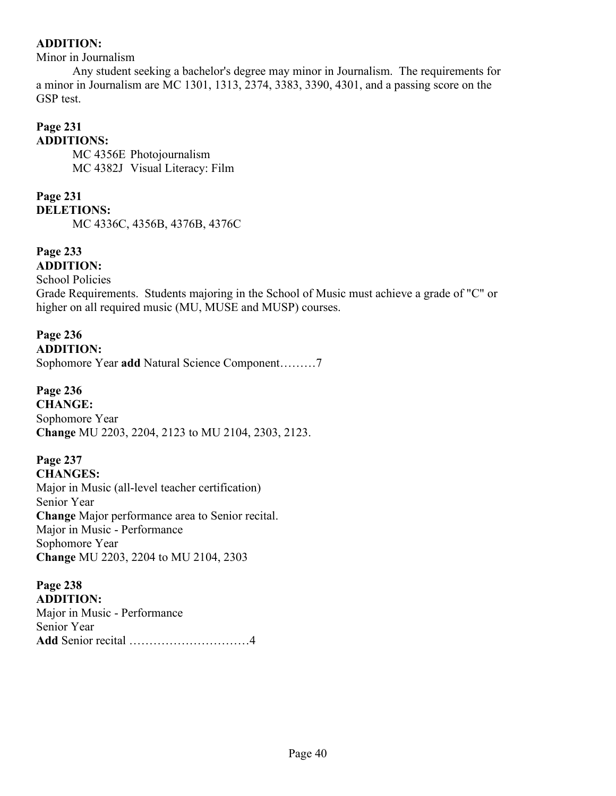## **ADDITION:**

Minor in Journalism

Any student seeking a bachelor's degree may minor in Journalism. The requirements for a minor in Journalism are MC 1301, 1313, 2374, 3383, 3390, 4301, and a passing score on the GSP test.

#### **Page 231 ADDITIONS:**

MC 4356E Photojournalism MC 4382J Visual Literacy: Film

# **Page 231**

**DELETIONS:** MC 4336C, 4356B, 4376B, 4376C

#### **Page 233 ADDITION:**

School Policies

Grade Requirements. Students majoring in the School of Music must achieve a grade of "C" or higher on all required music (MU, MUSE and MUSP) courses.

# **Page 236**

**ADDITION:** Sophomore Year **add** Natural Science Component………7

**Page 236 CHANGE:** Sophomore Year **Change** MU 2203, 2204, 2123 to MU 2104, 2303, 2123.

#### **Page 237 CHANGES:**

Major in Music (all-level teacher certification) Senior Year **Change** Major performance area to Senior recital. Major in Music - Performance Sophomore Year **Change** MU 2203, 2204 to MU 2104, 2303

# **Page 238**

**ADDITION:** Major in Music - Performance Senior Year **Add** Senior recital …………………………4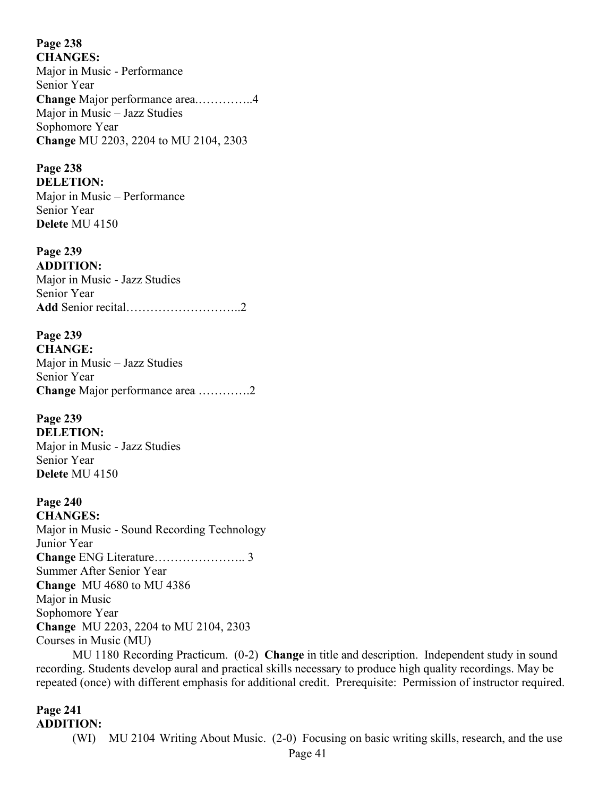**Page 238 CHANGES:**

Major in Music - Performance Senior Year **Change** Major performance area.…………..4 Major in Music – Jazz Studies Sophomore Year **Change** MU 2203, 2204 to MU 2104, 2303

## **Page 238**

**DELETION:** Major in Music – Performance Senior Year **Delete** MU 4150

**Page 239 ADDITION:** Major in Music - Jazz Studies Senior Year **Add** Senior recital………………………..2

**Page 239 CHANGE:** Major in Music – Jazz Studies Senior Year **Change** Major performance area ………….2

**Page 239 DELETION:** Major in Music - Jazz Studies Senior Year **Delete** MU 4150

**Page 240 CHANGES:** Major in Music - Sound Recording Technology Junior Year **Change** ENG Literature………………….. 3 Summer After Senior Year **Change** MU 4680 to MU 4386 Major in Music Sophomore Year **Change** MU 2203, 2204 to MU 2104, 2303 Courses in Music (MU)

MU 1180 Recording Practicum. (0-2) **Change** in title and description. Independent study in sound recording. Students develop aural and practical skills necessary to produce high quality recordings. May be repeated (once) with different emphasis for additional credit. Prerequisite: Permission of instructor required.

#### **Page 241 ADDITION:**

(WI) MU 2104 Writing About Music. (2-0) Focusing on basic writing skills, research, and the use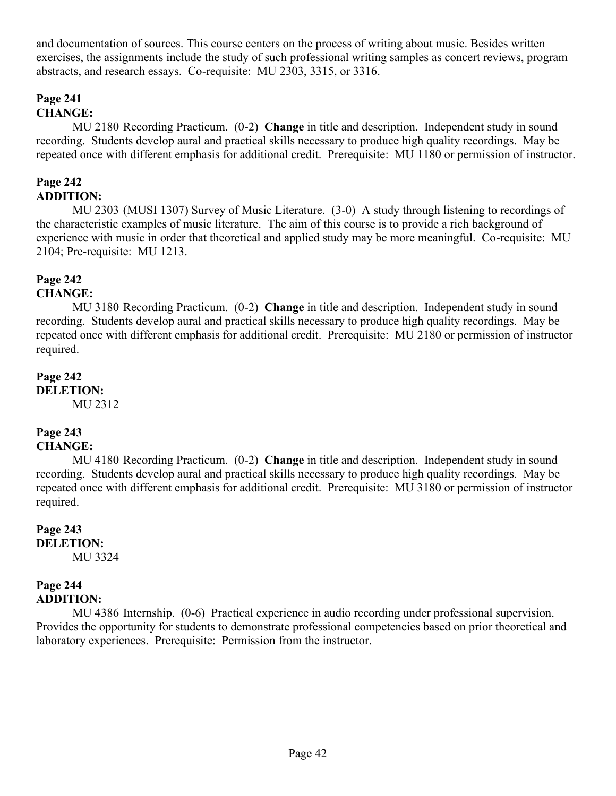and documentation of sources. This course centers on the process of writing about music. Besides written exercises, the assignments include the study of such professional writing samples as concert reviews, program abstracts, and research essays. Co-requisite: MU 2303, 3315, or 3316.

# **Page 241**

# **CHANGE:**

MU 2180 Recording Practicum. (0-2) **Change** in title and description. Independent study in sound recording. Students develop aural and practical skills necessary to produce high quality recordings. May be repeated once with different emphasis for additional credit. Prerequisite: MU 1180 or permission of instructor.

## **Page 242 ADDITION:**

MU 2303 (MUSI 1307) Survey of Music Literature. (3-0) A study through listening to recordings of the characteristic examples of music literature. The aim of this course is to provide a rich background of experience with music in order that theoretical and applied study may be more meaningful. Co-requisite: MU 2104; Pre-requisite: MU 1213.

# **Page 242**

## **CHANGE:**

MU 3180 Recording Practicum. (0-2) **Change** in title and description. Independent study in sound recording. Students develop aural and practical skills necessary to produce high quality recordings. May be repeated once with different emphasis for additional credit. Prerequisite: MU 2180 or permission of instructor required.

#### **Page 242 DELETION:** MU 2312

# **Page 243**

## **CHANGE:**

MU 4180 Recording Practicum. (0-2) **Change** in title and description. Independent study in sound recording. Students develop aural and practical skills necessary to produce high quality recordings. May be repeated once with different emphasis for additional credit. Prerequisite: MU 3180 or permission of instructor required.

#### **Page 243 DELETION:** MU 3324

#### **Page 244 ADDITION:**

MU 4386 Internship. (0-6) Practical experience in audio recording under professional supervision. Provides the opportunity for students to demonstrate professional competencies based on prior theoretical and laboratory experiences. Prerequisite: Permission from the instructor.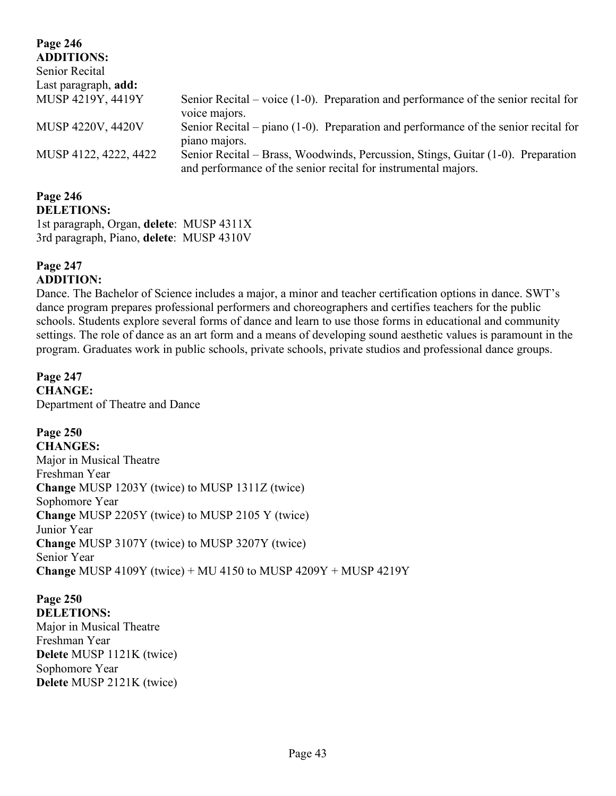| Page 246                    |                                                                                                                                                    |
|-----------------------------|----------------------------------------------------------------------------------------------------------------------------------------------------|
| <b>ADDITIONS:</b>           |                                                                                                                                                    |
| Senior Recital              |                                                                                                                                                    |
| Last paragraph, <b>add:</b> |                                                                                                                                                    |
| MUSP 4219Y, 4419Y           | Senior Recital – voice $(1-0)$ . Preparation and performance of the senior recital for<br>voice majors.                                            |
| MUSP 4220V, 4420V           | Senior Recital – piano $(1-0)$ . Preparation and performance of the senior recital for<br>piano majors.                                            |
| MUSP 4122, 4222, 4422       | Senior Recital – Brass, Woodwinds, Percussion, Stings, Guitar (1-0). Preparation<br>and performance of the senior recital for instrumental majors. |

#### **Page 246 DELETIONS:**

1st paragraph, Organ, **delete**: MUSP 4311X 3rd paragraph, Piano, **delete**: MUSP 4310V

#### **Page 247 ADDITION:**

Dance. The Bachelor of Science includes a major, a minor and teacher certification options in dance. SWT"s dance program prepares professional performers and choreographers and certifies teachers for the public schools. Students explore several forms of dance and learn to use those forms in educational and community settings. The role of dance as an art form and a means of developing sound aesthetic values is paramount in the program. Graduates work in public schools, private schools, private studios and professional dance groups.

**Page 247 CHANGE:** Department of Theatre and Dance

**Page 250 CHANGES:** Major in Musical Theatre Freshman Year **Change** MUSP 1203Y (twice) to MUSP 1311Z (twice) Sophomore Year **Change** MUSP 2205Y (twice) to MUSP 2105 Y (twice) Junior Year **Change** MUSP 3107Y (twice) to MUSP 3207Y (twice) Senior Year **Change** MUSP 4109Y (twice) + MU 4150 to MUSP 4209Y + MUSP 4219Y

**Page 250 DELETIONS:** Major in Musical Theatre Freshman Year **Delete** MUSP 1121K (twice) Sophomore Year **Delete** MUSP 2121K (twice)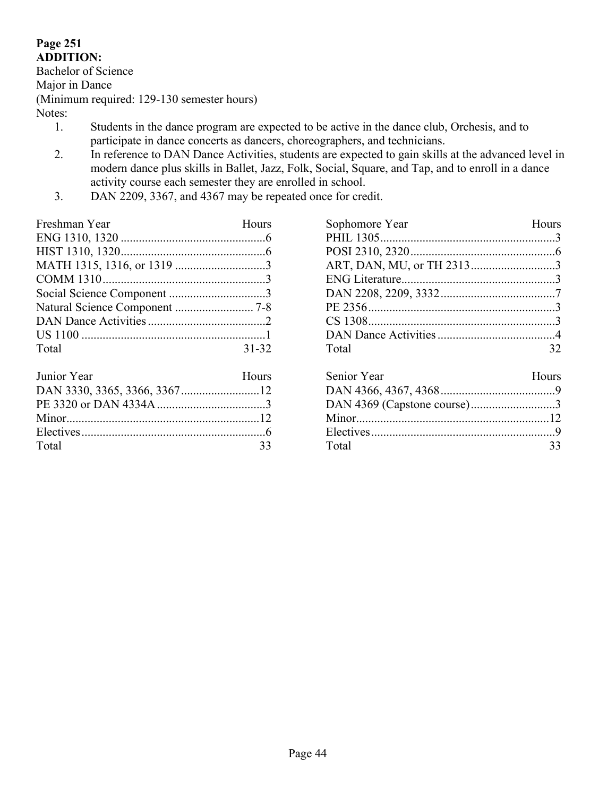## **Page 251 ADDITION:**

Bachelor of Science

Major in Dance

(Minimum required: 129-130 semester hours)

Notes:

- 1. Students in the dance program are expected to be active in the dance club, Orchesis, and to participate in dance concerts as dancers, choreographers, and technicians.
- 2. In reference to DAN Dance Activities, students are expected to gain skills at the advanced level in modern dance plus skills in Ballet, Jazz, Folk, Social, Square, and Tap, and to enroll in a dance activity course each semester they are enrolled in school.
- 3. DAN 2209, 3367, and 4367 may be repeated once for credit.

| Freshman Year | Hours     |
|---------------|-----------|
|               |           |
|               |           |
|               |           |
|               |           |
|               |           |
|               |           |
|               |           |
|               |           |
| Total         | $31 - 32$ |
|               |           |

| Junior Year | Hours |
|-------------|-------|
|             |       |
|             |       |
|             |       |
|             |       |
| Total       | 33    |

| Sophomore Year | <b>Hours</b> |
|----------------|--------------|
|                |              |
|                |              |
|                |              |
|                |              |
|                |              |
|                |              |
|                |              |
|                |              |
| Total          | 32           |
|                |              |

| Senior Year                 | Hours |
|-----------------------------|-------|
|                             |       |
| DAN 4369 (Capstone course)3 |       |
|                             |       |
|                             |       |
| Total                       | 33    |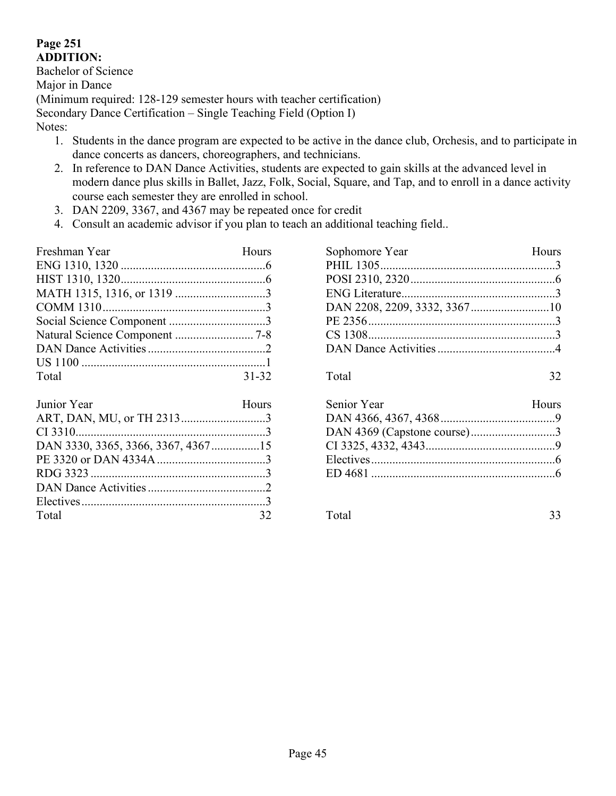## **Page 251 ADDITION:**

Bachelor of Science Major in Dance (Minimum required: 128-129 semester hours with teacher certification) Secondary Dance Certification – Single Teaching Field (Option I) Notes:

- 1. Students in the dance program are expected to be active in the dance club, Orchesis, and to participate in dance concerts as dancers, choreographers, and technicians.
- 2. In reference to DAN Dance Activities, students are expected to gain skills at the advanced level in modern dance plus skills in Ballet, Jazz, Folk, Social, Square, and Tap, and to enroll in a dance activity course each semester they are enrolled in school.
- 3. DAN 2209, 3367, and 4367 may be repeated once for credit
- 4. Consult an academic advisor if you plan to teach an additional teaching field..

| Freshman Year | Hours     |
|---------------|-----------|
|               |           |
|               |           |
|               |           |
|               |           |
|               |           |
|               |           |
|               |           |
|               |           |
| Total         | $31 - 32$ |

| Junior Year | Hours |
|-------------|-------|
|             |       |
|             |       |
|             |       |
|             |       |
|             |       |
|             |       |
|             |       |
| Total       |       |

| Sophomore Year | Hours |
|----------------|-------|
|                |       |
|                |       |
|                |       |
|                |       |
|                |       |
|                |       |
|                |       |
|                |       |

Total 32

| Senior Year                 | Hours |
|-----------------------------|-------|
|                             |       |
| DAN 4369 (Capstone course)3 |       |
|                             |       |
|                             |       |
|                             |       |
|                             |       |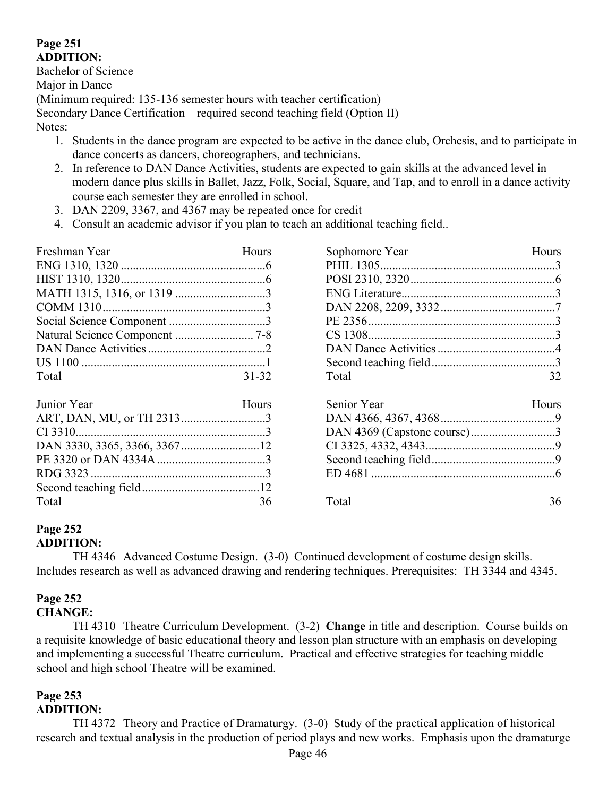## **Page 251 ADDITION:**

Bachelor of Science Major in Dance (Minimum required: 135-136 semester hours with teacher certification) Secondary Dance Certification – required second teaching field (Option II) Notes:

- 1. Students in the dance program are expected to be active in the dance club, Orchesis, and to participate in dance concerts as dancers, choreographers, and technicians.
- 2. In reference to DAN Dance Activities, students are expected to gain skills at the advanced level in modern dance plus skills in Ballet, Jazz, Folk, Social, Square, and Tap, and to enroll in a dance activity course each semester they are enrolled in school.
- 3. DAN 2209, 3367, and 4367 may be repeated once for credit
- 4. Consult an academic advisor if you plan to teach an additional teaching field..

| Freshman Year | Hours        | Sophomore Year | <b>Hours</b> |
|---------------|--------------|----------------|--------------|
|               |              |                |              |
|               |              |                |              |
|               |              |                |              |
|               |              |                |              |
|               |              |                |              |
|               |              |                |              |
|               |              |                |              |
|               |              |                |              |
| Total         | $31 - 32$    | Total          | 32           |
| Junior Year   | <b>Hours</b> | Senior Year    | <b>Hours</b> |
|               |              |                |              |
|               |              |                |              |
|               |              |                |              |
|               |              |                |              |
|               |              |                |              |
|               |              |                |              |
| Total         | 36           | Total          | 36           |

# **Page 252**

## **ADDITION:**

TH 4346 Advanced Costume Design. (3-0) Continued development of costume design skills. Includes research as well as advanced drawing and rendering techniques. Prerequisites: TH 3344 and 4345.

## **Page 252**

## **CHANGE:**

TH 4310 Theatre Curriculum Development. (3-2) **Change** in title and description. Course builds on a requisite knowledge of basic educational theory and lesson plan structure with an emphasis on developing and implementing a successful Theatre curriculum. Practical and effective strategies for teaching middle school and high school Theatre will be examined.

## **Page 253**

## **ADDITION:**

TH 4372 Theory and Practice of Dramaturgy. (3-0) Study of the practical application of historical research and textual analysis in the production of period plays and new works. Emphasis upon the dramaturge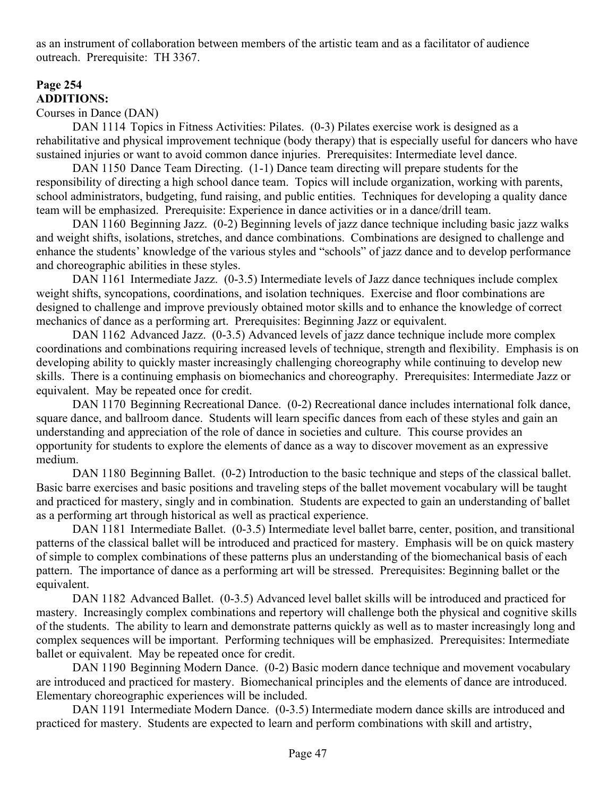as an instrument of collaboration between members of the artistic team and as a facilitator of audience outreach. Prerequisite: TH 3367.

## **Page 254 ADDITIONS:**

### Courses in Dance (DAN)

DAN 1114 Topics in Fitness Activities: Pilates. (0-3) Pilates exercise work is designed as a rehabilitative and physical improvement technique (body therapy) that is especially useful for dancers who have sustained injuries or want to avoid common dance injuries. Prerequisites: Intermediate level dance.

DAN 1150 Dance Team Directing. (1-1) Dance team directing will prepare students for the responsibility of directing a high school dance team. Topics will include organization, working with parents, school administrators, budgeting, fund raising, and public entities. Techniques for developing a quality dance team will be emphasized. Prerequisite: Experience in dance activities or in a dance/drill team.

DAN 1160 Beginning Jazz. (0-2) Beginning levels of jazz dance technique including basic jazz walks and weight shifts, isolations, stretches, and dance combinations. Combinations are designed to challenge and enhance the students" knowledge of the various styles and "schools" of jazz dance and to develop performance and choreographic abilities in these styles.

DAN 1161 Intermediate Jazz. (0-3.5) Intermediate levels of Jazz dance techniques include complex weight shifts, syncopations, coordinations, and isolation techniques. Exercise and floor combinations are designed to challenge and improve previously obtained motor skills and to enhance the knowledge of correct mechanics of dance as a performing art. Prerequisites: Beginning Jazz or equivalent.

DAN 1162 Advanced Jazz. (0-3.5) Advanced levels of jazz dance technique include more complex coordinations and combinations requiring increased levels of technique, strength and flexibility. Emphasis is on developing ability to quickly master increasingly challenging choreography while continuing to develop new skills. There is a continuing emphasis on biomechanics and choreography. Prerequisites: Intermediate Jazz or equivalent. May be repeated once for credit.

DAN 1170 Beginning Recreational Dance. (0-2) Recreational dance includes international folk dance, square dance, and ballroom dance. Students will learn specific dances from each of these styles and gain an understanding and appreciation of the role of dance in societies and culture. This course provides an opportunity for students to explore the elements of dance as a way to discover movement as an expressive medium.

DAN 1180 Beginning Ballet. (0-2) Introduction to the basic technique and steps of the classical ballet. Basic barre exercises and basic positions and traveling steps of the ballet movement vocabulary will be taught and practiced for mastery, singly and in combination. Students are expected to gain an understanding of ballet as a performing art through historical as well as practical experience.

DAN 1181 Intermediate Ballet. (0-3.5) Intermediate level ballet barre, center, position, and transitional patterns of the classical ballet will be introduced and practiced for mastery. Emphasis will be on quick mastery of simple to complex combinations of these patterns plus an understanding of the biomechanical basis of each pattern. The importance of dance as a performing art will be stressed. Prerequisites: Beginning ballet or the equivalent.

DAN 1182 Advanced Ballet. (0-3.5) Advanced level ballet skills will be introduced and practiced for mastery. Increasingly complex combinations and repertory will challenge both the physical and cognitive skills of the students. The ability to learn and demonstrate patterns quickly as well as to master increasingly long and complex sequences will be important. Performing techniques will be emphasized. Prerequisites: Intermediate ballet or equivalent. May be repeated once for credit.

DAN 1190 Beginning Modern Dance. (0-2) Basic modern dance technique and movement vocabulary are introduced and practiced for mastery. Biomechanical principles and the elements of dance are introduced. Elementary choreographic experiences will be included.

DAN 1191 Intermediate Modern Dance. (0-3.5) Intermediate modern dance skills are introduced and practiced for mastery. Students are expected to learn and perform combinations with skill and artistry,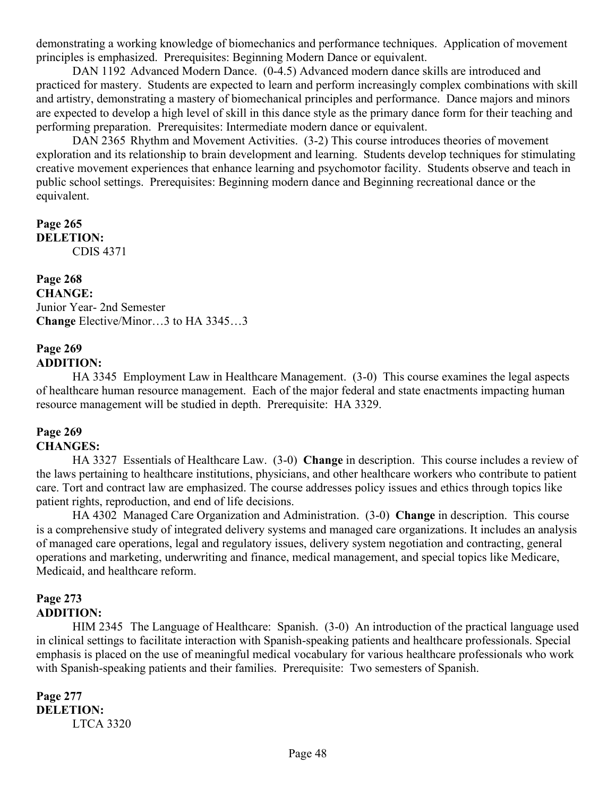demonstrating a working knowledge of biomechanics and performance techniques. Application of movement principles is emphasized. Prerequisites: Beginning Modern Dance or equivalent.

DAN 1192 Advanced Modern Dance. (0-4.5) Advanced modern dance skills are introduced and practiced for mastery. Students are expected to learn and perform increasingly complex combinations with skill and artistry, demonstrating a mastery of biomechanical principles and performance. Dance majors and minors are expected to develop a high level of skill in this dance style as the primary dance form for their teaching and performing preparation. Prerequisites: Intermediate modern dance or equivalent.

DAN 2365 Rhythm and Movement Activities. (3-2) This course introduces theories of movement exploration and its relationship to brain development and learning. Students develop techniques for stimulating creative movement experiences that enhance learning and psychomotor facility. Students observe and teach in public school settings. Prerequisites: Beginning modern dance and Beginning recreational dance or the equivalent.

### **Page 265 DELETION:** CDIS 4371

**Page 268 CHANGE:** Junior Year- 2nd Semester **Change** Elective/Minor…3 to HA 3345…3

#### **Page 269 ADDITION:**

HA 3345 Employment Law in Healthcare Management. (3-0) This course examines the legal aspects of healthcare human resource management. Each of the major federal and state enactments impacting human resource management will be studied in depth. Prerequisite: HA 3329.

# **Page 269**

## **CHANGES:**

HA 3327 Essentials of Healthcare Law. (3-0) **Change** in description. This course includes a review of the laws pertaining to healthcare institutions, physicians, and other healthcare workers who contribute to patient care. Tort and contract law are emphasized. The course addresses policy issues and ethics through topics like patient rights, reproduction, and end of life decisions.

HA 4302 Managed Care Organization and Administration. (3-0) **Change** in description. This course is a comprehensive study of integrated delivery systems and managed care organizations. It includes an analysis of managed care operations, legal and regulatory issues, delivery system negotiation and contracting, general operations and marketing, underwriting and finance, medical management, and special topics like Medicare, Medicaid, and healthcare reform.

### **Page 273 ADDITION:**

HIM 2345 The Language of Healthcare: Spanish. (3-0) An introduction of the practical language used in clinical settings to facilitate interaction with Spanish-speaking patients and healthcare professionals. Special emphasis is placed on the use of meaningful medical vocabulary for various healthcare professionals who work with Spanish-speaking patients and their families. Prerequisite: Two semesters of Spanish.

#### **Page 277 DELETION:** LTCA 3320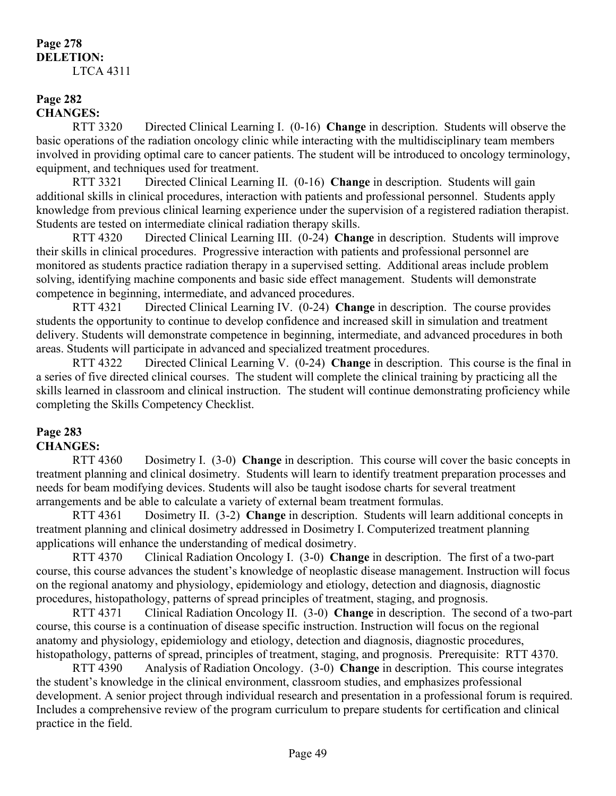#### **Page 278 DELETION:** LTCA 4311

## **Page 282 CHANGES:**

RTT 3320 Directed Clinical Learning I. (0-16) **Change** in description. Students will observe the basic operations of the radiation oncology clinic while interacting with the multidisciplinary team members involved in providing optimal care to cancer patients. The student will be introduced to oncology terminology, equipment, and techniques used for treatment.

RTT 3321 Directed Clinical Learning II. (0-16) **Change** in description. Students will gain additional skills in clinical procedures, interaction with patients and professional personnel. Students apply knowledge from previous clinical learning experience under the supervision of a registered radiation therapist. Students are tested on intermediate clinical radiation therapy skills.

RTT 4320 Directed Clinical Learning III. (0-24) **Change** in description. Students will improve their skills in clinical procedures. Progressive interaction with patients and professional personnel are monitored as students practice radiation therapy in a supervised setting. Additional areas include problem solving, identifying machine components and basic side effect management. Students will demonstrate competence in beginning, intermediate, and advanced procedures.

RTT 4321 Directed Clinical Learning IV. (0-24) **Change** in description. The course provides students the opportunity to continue to develop confidence and increased skill in simulation and treatment delivery. Students will demonstrate competence in beginning, intermediate, and advanced procedures in both areas. Students will participate in advanced and specialized treatment procedures.

RTT 4322 Directed Clinical Learning V. (0-24) **Change** in description. This course is the final in a series of five directed clinical courses. The student will complete the clinical training by practicing all the skills learned in classroom and clinical instruction. The student will continue demonstrating proficiency while completing the Skills Competency Checklist.

## **Page 283**

## **CHANGES:**

RTT 4360 Dosimetry I. (3-0) **Change** in description. This course will cover the basic concepts in treatment planning and clinical dosimetry. Students will learn to identify treatment preparation processes and needs for beam modifying devices. Students will also be taught isodose charts for several treatment arrangements and be able to calculate a variety of external beam treatment formulas.

RTT 4361 Dosimetry II. (3-2) **Change** in description. Students will learn additional concepts in treatment planning and clinical dosimetry addressed in Dosimetry I. Computerized treatment planning applications will enhance the understanding of medical dosimetry.

RTT 4370 Clinical Radiation Oncology I. (3-0) **Change** in description. The first of a two-part course, this course advances the student"s knowledge of neoplastic disease management. Instruction will focus on the regional anatomy and physiology, epidemiology and etiology, detection and diagnosis, diagnostic procedures, histopathology, patterns of spread principles of treatment, staging, and prognosis.

RTT 4371 Clinical Radiation Oncology II. (3-0) **Change** in description. The second of a two-part course, this course is a continuation of disease specific instruction. Instruction will focus on the regional anatomy and physiology, epidemiology and etiology, detection and diagnosis, diagnostic procedures, histopathology, patterns of spread, principles of treatment, staging, and prognosis. Prerequisite: RTT 4370.

RTT 4390 Analysis of Radiation Oncology. (3-0) **Change** in description. This course integrates the student"s knowledge in the clinical environment, classroom studies, and emphasizes professional development. A senior project through individual research and presentation in a professional forum is required. Includes a comprehensive review of the program curriculum to prepare students for certification and clinical practice in the field.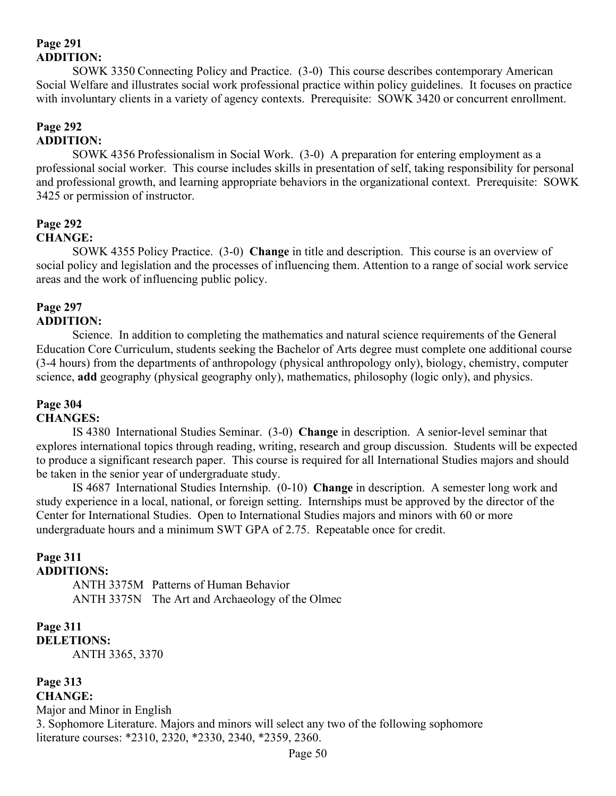## **Page 291 ADDITION:**

SOWK 3350 Connecting Policy and Practice. (3-0) This course describes contemporary American Social Welfare and illustrates social work professional practice within policy guidelines. It focuses on practice with involuntary clients in a variety of agency contexts. Prerequisite: SOWK 3420 or concurrent enrollment.

## **Page 292 ADDITION:**

SOWK 4356 Professionalism in Social Work. (3-0) A preparation for entering employment as a professional social worker. This course includes skills in presentation of self, taking responsibility for personal and professional growth, and learning appropriate behaviors in the organizational context. Prerequisite: SOWK 3425 or permission of instructor.

# **Page 292**

## **CHANGE:**

SOWK 4355 Policy Practice. (3-0) **Change** in title and description. This course is an overview of social policy and legislation and the processes of influencing them. Attention to a range of social work service areas and the work of influencing public policy.

#### **Page 297 ADDITION:**

Science. In addition to completing the mathematics and natural science requirements of the General Education Core Curriculum, students seeking the Bachelor of Arts degree must complete one additional course (3-4 hours) from the departments of anthropology (physical anthropology only), biology, chemistry, computer science, **add** geography (physical geography only), mathematics, philosophy (logic only), and physics.

## **Page 304**

## **CHANGES:**

IS 4380 International Studies Seminar. (3-0) **Change** in description. A senior-level seminar that explores international topics through reading, writing, research and group discussion. Students will be expected to produce a significant research paper. This course is required for all International Studies majors and should be taken in the senior year of undergraduate study.

IS 4687 International Studies Internship. (0-10) **Change** in description. A semester long work and study experience in a local, national, or foreign setting. Internships must be approved by the director of the Center for International Studies. Open to International Studies majors and minors with 60 or more undergraduate hours and a minimum SWT GPA of 2.75. Repeatable once for credit.

# **Page 311**

## **ADDITIONS:**

ANTH 3375M Patterns of Human Behavior ANTH 3375N The Art and Archaeology of the Olmec

## **Page 311 DELETIONS:**

ANTH 3365, 3370

#### **Page 313 CHANGE:**

Major and Minor in English 3. Sophomore Literature. Majors and minors will select any two of the following sophomore literature courses: \*2310, 2320, \*2330, 2340, \*2359, 2360.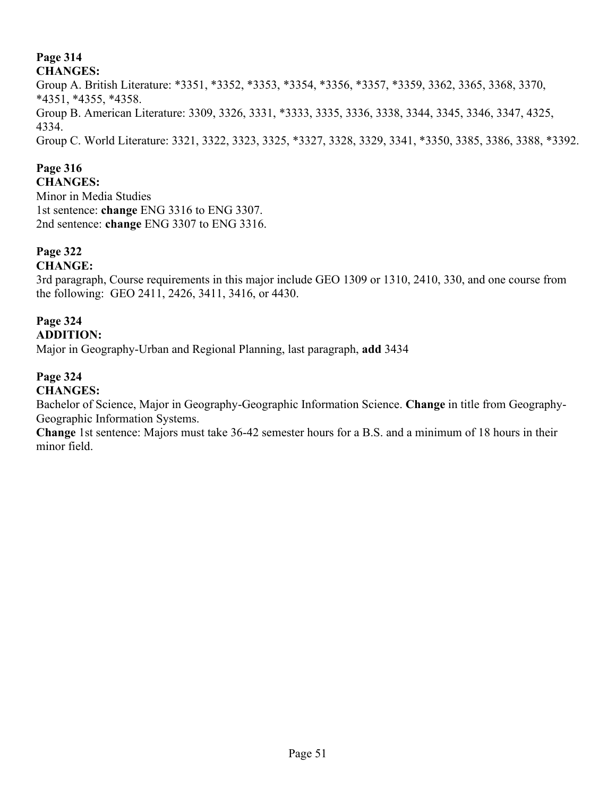## **Page 314**

## **CHANGES:**

Group A. British Literature: \*3351, \*3352, \*3353, \*3354, \*3356, \*3357, \*3359, 3362, 3365, 3368, 3370, \*4351, \*4355, \*4358. Group B. American Literature: 3309, 3326, 3331, \*3333, 3335, 3336, 3338, 3344, 3345, 3346, 3347, 4325, 4334. Group C. World Literature: 3321, 3322, 3323, 3325, \*3327, 3328, 3329, 3341, \*3350, 3385, 3386, 3388, \*3392.

## **Page 316**

**CHANGES:** Minor in Media Studies 1st sentence: **change** ENG 3316 to ENG 3307. 2nd sentence: **change** ENG 3307 to ENG 3316.

## **Page 322**

**CHANGE:**

3rd paragraph, Course requirements in this major include GEO 1309 or 1310, 2410, 330, and one course from the following: GEO 2411, 2426, 3411, 3416, or 4430.

# **Page 324**

**ADDITION:**

Major in Geography-Urban and Regional Planning, last paragraph, **add** 3434

## **Page 324**

**CHANGES:**

Bachelor of Science, Major in Geography-Geographic Information Science. **Change** in title from Geography-Geographic Information Systems.

**Change** 1st sentence: Majors must take 36-42 semester hours for a B.S. and a minimum of 18 hours in their minor field.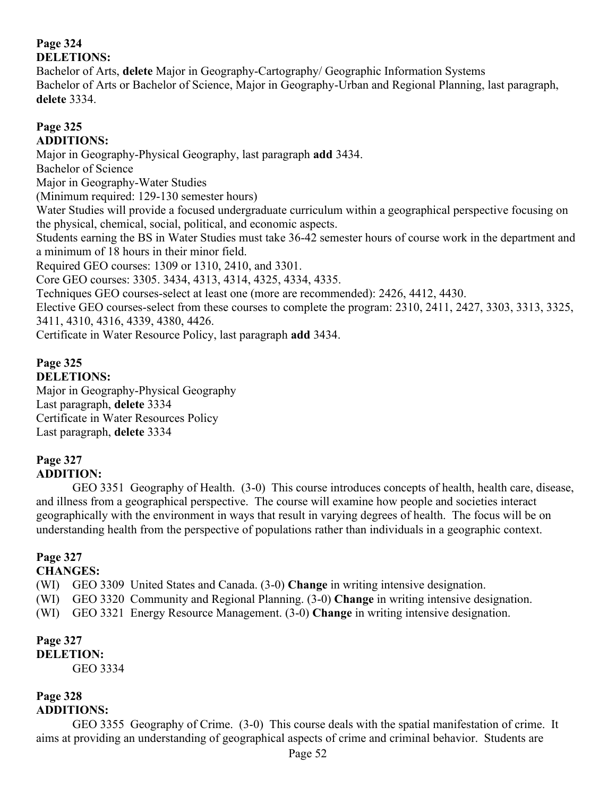## **Page 324 DELETIONS:**

Bachelor of Arts, **delete** Major in Geography-Cartography/ Geographic Information Systems Bachelor of Arts or Bachelor of Science, Major in Geography-Urban and Regional Planning, last paragraph, **delete** 3334.

## **Page 325 ADDITIONS:**

Major in Geography-Physical Geography, last paragraph **add** 3434.

Bachelor of Science

Major in Geography-Water Studies

(Minimum required: 129-130 semester hours)

Water Studies will provide a focused undergraduate curriculum within a geographical perspective focusing on the physical, chemical, social, political, and economic aspects.

Students earning the BS in Water Studies must take 36-42 semester hours of course work in the department and a minimum of 18 hours in their minor field.

Required GEO courses: 1309 or 1310, 2410, and 3301.

Core GEO courses: 3305. 3434, 4313, 4314, 4325, 4334, 4335.

Techniques GEO courses-select at least one (more are recommended): 2426, 4412, 4430.

Elective GEO courses-select from these courses to complete the program: 2310, 2411, 2427, 3303, 3313, 3325, 3411, 4310, 4316, 4339, 4380, 4426.

Certificate in Water Resource Policy, last paragraph **add** 3434.

## **Page 325 DELETIONS:**

Major in Geography-Physical Geography Last paragraph, **delete** 3334 Certificate in Water Resources Policy Last paragraph, **delete** 3334

## **Page 327 ADDITION:**

GEO 3351 Geography of Health. (3-0) This course introduces concepts of health, health care, disease, and illness from a geographical perspective. The course will examine how people and societies interact geographically with the environment in ways that result in varying degrees of health. The focus will be on understanding health from the perspective of populations rather than individuals in a geographic context.

## **Page 327**

## **CHANGES:**

(WI) GEO 3309 United States and Canada. (3-0) **Change** in writing intensive designation.

(WI) GEO 3320 Community and Regional Planning. (3-0) **Change** in writing intensive designation.

(WI) GEO 3321 Energy Resource Management. (3-0) **Change** in writing intensive designation.

#### **Page 327 DELETION:** GEO 3334

## **Page 328 ADDITIONS:**

GEO 3355 Geography of Crime. (3-0) This course deals with the spatial manifestation of crime. It aims at providing an understanding of geographical aspects of crime and criminal behavior. Students are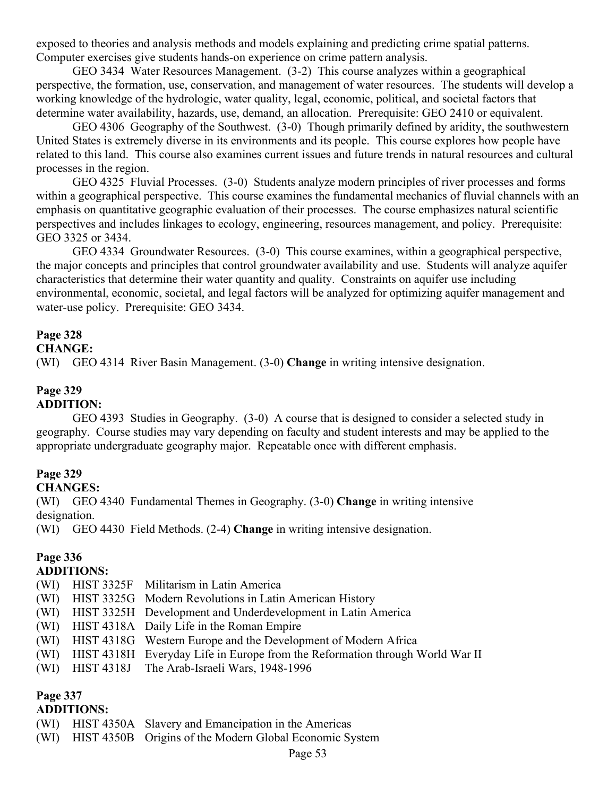exposed to theories and analysis methods and models explaining and predicting crime spatial patterns. Computer exercises give students hands-on experience on crime pattern analysis.

GEO 3434 Water Resources Management. (3-2) This course analyzes within a geographical perspective, the formation, use, conservation, and management of water resources. The students will develop a working knowledge of the hydrologic, water quality, legal, economic, political, and societal factors that determine water availability, hazards, use, demand, an allocation. Prerequisite: GEO 2410 or equivalent.

GEO 4306 Geography of the Southwest. (3-0) Though primarily defined by aridity, the southwestern United States is extremely diverse in its environments and its people. This course explores how people have related to this land. This course also examines current issues and future trends in natural resources and cultural processes in the region.

GEO 4325 Fluvial Processes. (3-0) Students analyze modern principles of river processes and forms within a geographical perspective. This course examines the fundamental mechanics of fluvial channels with an emphasis on quantitative geographic evaluation of their processes. The course emphasizes natural scientific perspectives and includes linkages to ecology, engineering, resources management, and policy. Prerequisite: GEO 3325 or 3434.

GEO 4334 Groundwater Resources. (3-0) This course examines, within a geographical perspective, the major concepts and principles that control groundwater availability and use. Students will analyze aquifer characteristics that determine their water quantity and quality. Constraints on aquifer use including environmental, economic, societal, and legal factors will be analyzed for optimizing aquifer management and water-use policy. Prerequisite: GEO 3434.

#### **Page 328**

#### **CHANGE:**

(WI) GEO 4314 River Basin Management. (3-0) **Change** in writing intensive designation.

# **Page 329**

# **ADDITION:**

GEO 4393 Studies in Geography. (3-0) A course that is designed to consider a selected study in geography. Course studies may vary depending on faculty and student interests and may be applied to the appropriate undergraduate geography major. Repeatable once with different emphasis.

#### **Page 329**

**CHANGES:**

(WI) GEO 4340 Fundamental Themes in Geography. (3-0) **Change** in writing intensive designation.

(WI) GEO 4430 Field Methods. (2-4) **Change** in writing intensive designation.

## **Page 336**

#### **ADDITIONS:**

- (WI) HIST 3325F Militarism in Latin America
- (WI) HIST 3325G Modern Revolutions in Latin American History
- (WI) HIST 3325H Development and Underdevelopment in Latin America
- (WI) HIST 4318A Daily Life in the Roman Empire
- (WI) HIST 4318G Western Europe and the Development of Modern Africa
- (WI) HIST 4318H Everyday Life in Europe from the Reformation through World War II
- (WI) HIST 4318J The Arab-Israeli Wars, 1948-1996

## **Page 337**

## **ADDITIONS:**

- (WI) HIST 4350A Slavery and Emancipation in the Americas
- (WI) HIST 4350B Origins of the Modern Global Economic System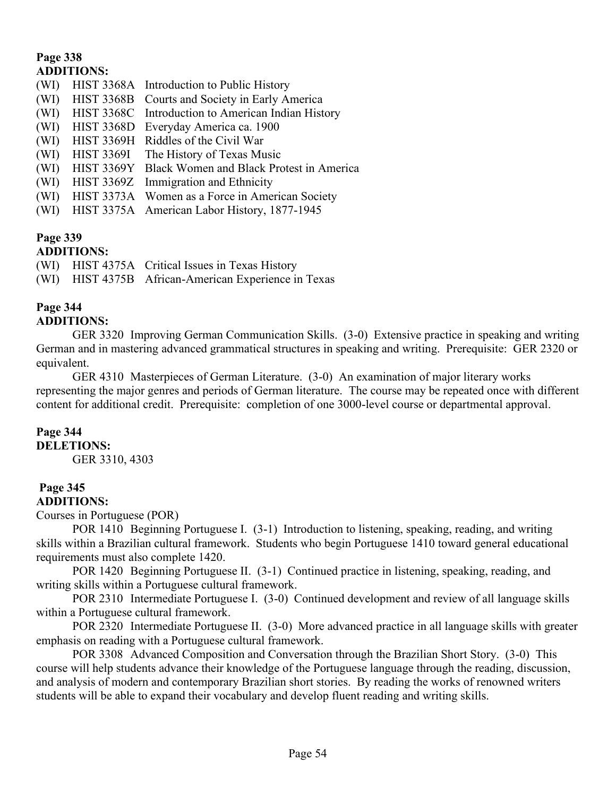## **Page 338 ADDITIONS:**

| (WI) | HIST 3368A Introduction to Public History           |
|------|-----------------------------------------------------|
| (WI) | HIST 3368B Courts and Society in Early America      |
| (WI) | HIST 3368C Introduction to American Indian History  |
| (WI) | HIST 3368D Everyday America ca. 1900                |
| (WI) | HIST 3369H Riddles of the Civil War                 |
| (WI) | HIST 3369I The History of Texas Music               |
| (WI) | HIST 3369Y Black Women and Black Protest in America |
| (WI) | HIST 3369Z Immigration and Ethnicity                |
| (WI) | HIST 3373A Women as a Force in American Society     |
| (WI) | HIST 3375A American Labor History, 1877-1945        |
|      |                                                     |

# **Page 339**

# **ADDITIONS:**

|  | (WI) HIST 4375A Critical Issues in Texas History     |
|--|------------------------------------------------------|
|  | (WI) HIST 4375B African-American Experience in Texas |

# **Page 344**

# **ADDITIONS:**

GER 3320 Improving German Communication Skills. (3-0) Extensive practice in speaking and writing German and in mastering advanced grammatical structures in speaking and writing. Prerequisite: GER 2320 or equivalent.

GER 4310 Masterpieces of German Literature. (3-0) An examination of major literary works representing the major genres and periods of German literature. The course may be repeated once with different content for additional credit. Prerequisite: completion of one 3000-level course or departmental approval.

## **Page 344**

**DELETIONS:** GER 3310, 4303

#### **Page 345 ADDITIONS:**

Courses in Portuguese (POR)

POR 1410 Beginning Portuguese I. (3-1) Introduction to listening, speaking, reading, and writing skills within a Brazilian cultural framework. Students who begin Portuguese 1410 toward general educational requirements must also complete 1420.

POR 1420 Beginning Portuguese II. (3-1) Continued practice in listening, speaking, reading, and writing skills within a Portuguese cultural framework.

POR 2310 Intermediate Portuguese I. (3-0) Continued development and review of all language skills within a Portuguese cultural framework.

POR 2320 Intermediate Portuguese II. (3-0) More advanced practice in all language skills with greater emphasis on reading with a Portuguese cultural framework.

POR 3308 Advanced Composition and Conversation through the Brazilian Short Story. (3-0) This course will help students advance their knowledge of the Portuguese language through the reading, discussion, and analysis of modern and contemporary Brazilian short stories. By reading the works of renowned writers students will be able to expand their vocabulary and develop fluent reading and writing skills.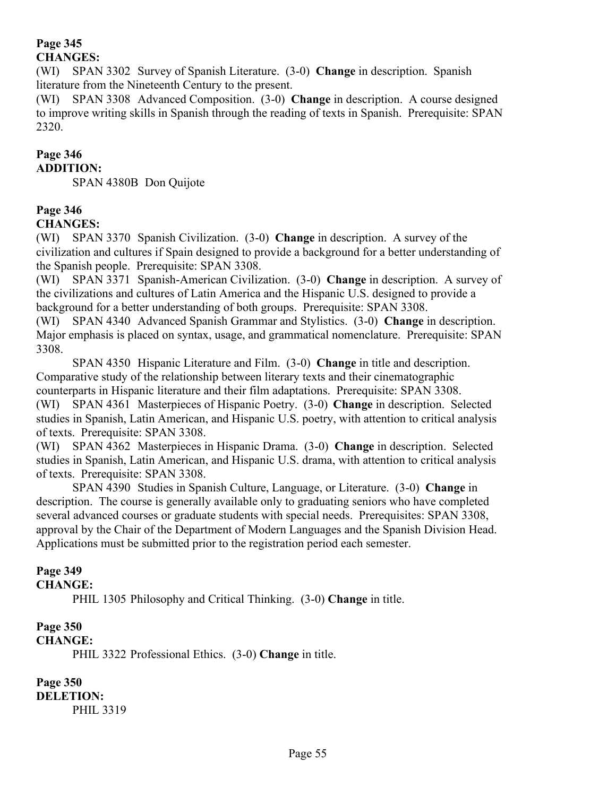### **Page 345 CHANGES:**

(WI) SPAN 3302 Survey of Spanish Literature. (3-0) **Change** in description. Spanish literature from the Nineteenth Century to the present.

(WI) SPAN 3308 Advanced Composition. (3-0) **Change** in description. A course designed to improve writing skills in Spanish through the reading of texts in Spanish. Prerequisite: SPAN 2320.

#### **Page 346 ADDITION:**

SPAN 4380B Don Quijote

#### **Page 346 CHANGES:**

(WI) SPAN 3370 Spanish Civilization. (3-0) **Change** in description. A survey of the civilization and cultures if Spain designed to provide a background for a better understanding of the Spanish people. Prerequisite: SPAN 3308.

(WI) SPAN 3371 Spanish-American Civilization. (3-0) **Change** in description. A survey of the civilizations and cultures of Latin America and the Hispanic U.S. designed to provide a background for a better understanding of both groups. Prerequisite: SPAN 3308.

(WI) SPAN 4340 Advanced Spanish Grammar and Stylistics. (3-0) **Change** in description. Major emphasis is placed on syntax, usage, and grammatical nomenclature. Prerequisite: SPAN 3308.

SPAN 4350 Hispanic Literature and Film. (3-0) **Change** in title and description. Comparative study of the relationship between literary texts and their cinematographic counterparts in Hispanic literature and their film adaptations. Prerequisite: SPAN 3308.

(WI) SPAN 4361 Masterpieces of Hispanic Poetry. (3-0) **Change** in description. Selected studies in Spanish, Latin American, and Hispanic U.S. poetry, with attention to critical analysis of texts. Prerequisite: SPAN 3308.

(WI) SPAN 4362 Masterpieces in Hispanic Drama. (3-0) **Change** in description. Selected studies in Spanish, Latin American, and Hispanic U.S. drama, with attention to critical analysis of texts. Prerequisite: SPAN 3308.

SPAN 4390 Studies in Spanish Culture, Language, or Literature. (3-0) **Change** in description. The course is generally available only to graduating seniors who have completed several advanced courses or graduate students with special needs. Prerequisites: SPAN 3308, approval by the Chair of the Department of Modern Languages and the Spanish Division Head. Applications must be submitted prior to the registration period each semester.

# **Page 349**

### **CHANGE:**

PHIL 1305 Philosophy and Critical Thinking. (3-0) **Change** in title.

#### **Page 350 CHANGE:**

PHIL 3322 Professional Ethics. (3-0) **Change** in title.

**Page 350 DELETION:** PHIL 3319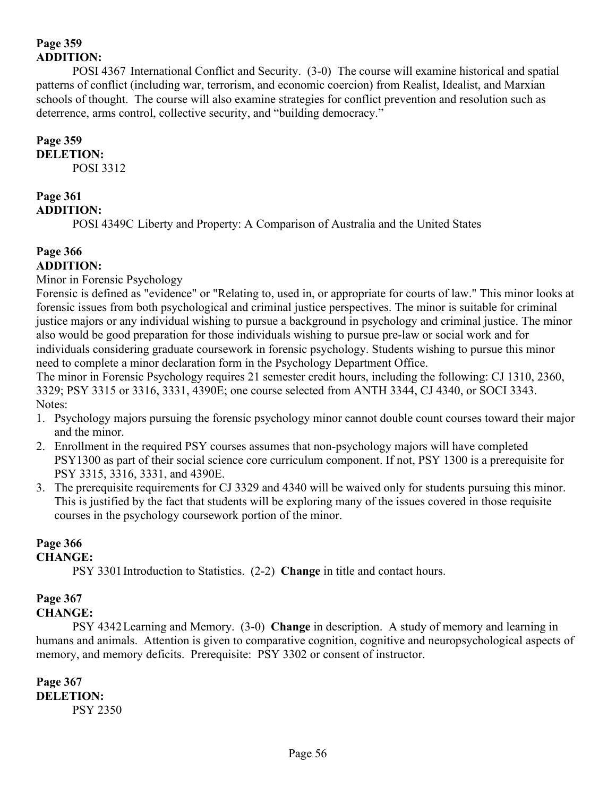## **Page 359 ADDITION:**

POSI 4367 International Conflict and Security. (3-0) The course will examine historical and spatial patterns of conflict (including war, terrorism, and economic coercion) from Realist, Idealist, and Marxian schools of thought. The course will also examine strategies for conflict prevention and resolution such as deterrence, arms control, collective security, and "building democracy."

## **Page 359**

**DELETION:**

POSI 3312

# **Page 361**

## **ADDITION:**

POSI 4349C Liberty and Property: A Comparison of Australia and the United States

## **Page 366 ADDITION:**

Minor in Forensic Psychology

Forensic is defined as "evidence" or "Relating to, used in, or appropriate for courts of law." This minor looks at forensic issues from both psychological and criminal justice perspectives. The minor is suitable for criminal justice majors or any individual wishing to pursue a background in psychology and criminal justice. The minor also would be good preparation for those individuals wishing to pursue pre-law or social work and for individuals considering graduate coursework in forensic psychology. Students wishing to pursue this minor need to complete a minor declaration form in the Psychology Department Office.

The minor in Forensic Psychology requires 21 semester credit hours, including the following: CJ 1310, 2360, 3329; PSY 3315 or 3316, 3331, 4390E; one course selected from ANTH 3344, CJ 4340, or SOCI 3343. Notes:

- 1. Psychology majors pursuing the forensic psychology minor cannot double count courses toward their major and the minor.
- 2. Enrollment in the required PSY courses assumes that non-psychology majors will have completed PSY1300 as part of their social science core curriculum component. If not, PSY 1300 is a prerequisite for PSY 3315, 3316, 3331, and 4390E.
- 3. The prerequisite requirements for CJ 3329 and 4340 will be waived only for students pursuing this minor. This is justified by the fact that students will be exploring many of the issues covered in those requisite courses in the psychology coursework portion of the minor.

# **Page 366**

## **CHANGE:**

PSY 3301Introduction to Statistics. (2-2) **Change** in title and contact hours.

## **Page 367**

## **CHANGE:**

PSY 4342Learning and Memory. (3-0) **Change** in description. A study of memory and learning in humans and animals. Attention is given to comparative cognition, cognitive and neuropsychological aspects of memory, and memory deficits. Prerequisite: PSY 3302 or consent of instructor.

**Page 367 DELETION:** PSY 2350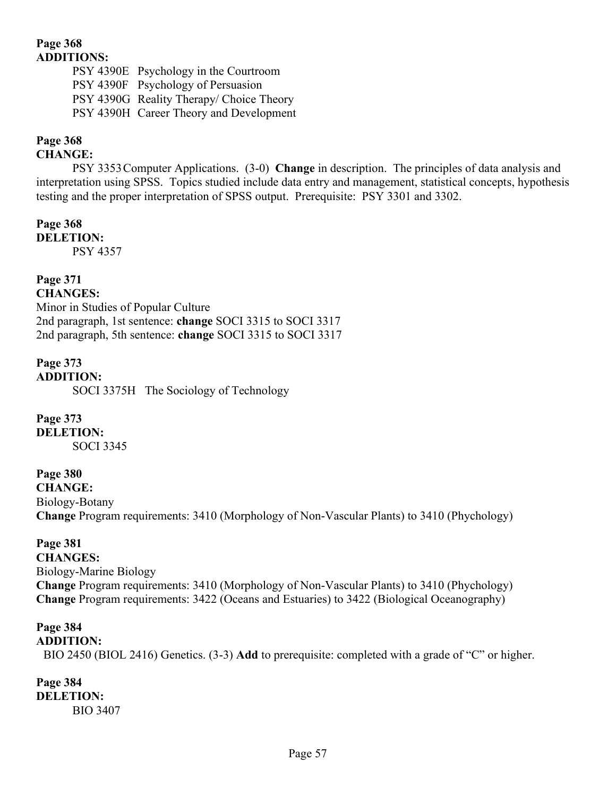## **Page 368 ADDITIONS:**

PSY 4390E Psychology in the Courtroom PSY 4390F Psychology of Persuasion PSY 4390G Reality Therapy/ Choice Theory PSY 4390H Career Theory and Development

## **Page 368**

## **CHANGE:**

PSY 3353Computer Applications. (3-0) **Change** in description. The principles of data analysis and interpretation using SPSS. Topics studied include data entry and management, statistical concepts, hypothesis testing and the proper interpretation of SPSS output. Prerequisite: PSY 3301 and 3302.

#### **Page 368 DELETION:**

PSY 4357

# **Page 371**

**CHANGES:** Minor in Studies of Popular Culture 2nd paragraph, 1st sentence: **change** SOCI 3315 to SOCI 3317 2nd paragraph, 5th sentence: **change** SOCI 3315 to SOCI 3317

**Page 373 ADDITION:** SOCI 3375H The Sociology of Technology

**Page 373 DELETION:** SOCI 3345

## **Page 380**

**CHANGE:** Biology-Botany **Change** Program requirements: 3410 (Morphology of Non-Vascular Plants) to 3410 (Phychology)

**Page 381 CHANGES:** Biology-Marine Biology **Change** Program requirements: 3410 (Morphology of Non-Vascular Plants) to 3410 (Phychology) **Change** Program requirements: 3422 (Oceans and Estuaries) to 3422 (Biological Oceanography)

#### **Page 384 ADDITION:**

BIO 2450 (BIOL 2416) Genetics. (3-3) **Add** to prerequisite: completed with a grade of "C" or higher.

**Page 384 DELETION:** BIO 3407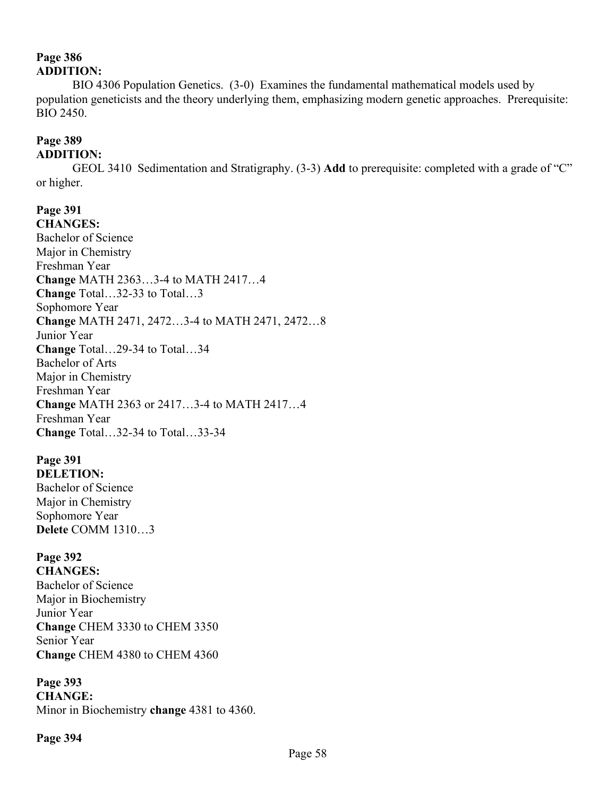## **Page 386 ADDITION:**

BIO 4306 Population Genetics. (3-0) Examines the fundamental mathematical models used by population geneticists and the theory underlying them, emphasizing modern genetic approaches. Prerequisite: BIO 2450.

# **Page 389**

## **ADDITION:**

GEOL 3410 Sedimentation and Stratigraphy. (3-3) **Add** to prerequisite: completed with a grade of "C" or higher.

**Page 391 CHANGES:** Bachelor of Science Major in Chemistry Freshman Year **Change** MATH 2363…3-4 to MATH 2417…4 **Change** Total…32-33 to Total…3 Sophomore Year **Change** MATH 2471, 2472…3-4 to MATH 2471, 2472…8 Junior Year **Change** Total…29-34 to Total…34 Bachelor of Arts Major in Chemistry Freshman Year **Change** MATH 2363 or 2417…3-4 to MATH 2417…4 Freshman Year **Change** Total…32-34 to Total…33-34

#### **Page 391 DELETION:**

Bachelor of Science Major in Chemistry Sophomore Year **Delete** COMM 1310…3

# **Page 392**

**CHANGES:** Bachelor of Science Major in Biochemistry Junior Year **Change** CHEM 3330 to CHEM 3350 Senior Year **Change** CHEM 4380 to CHEM 4360

## **Page 393**

**CHANGE:** Minor in Biochemistry **change** 4381 to 4360.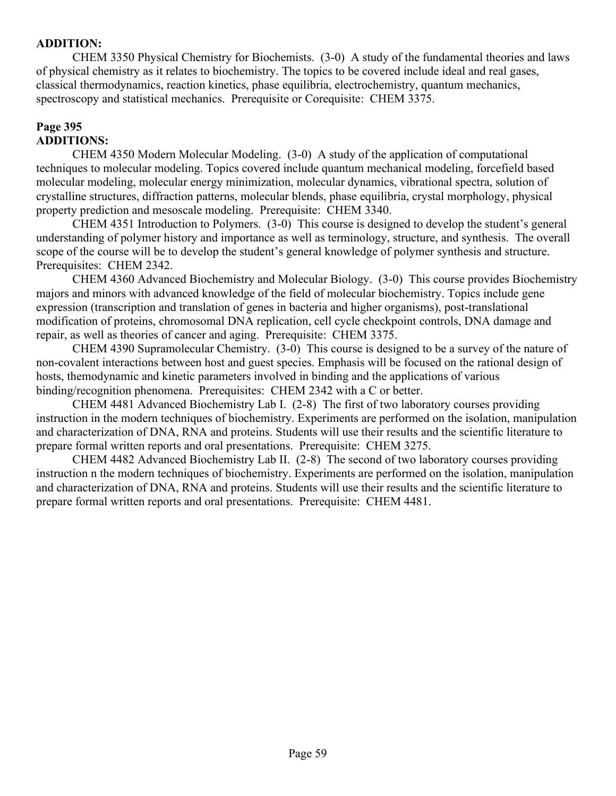## **ADDITION:**

CHEM 3350 Physical Chemistry for Biochemists. (3-0) A study of the fundamental theories and laws of physical chemistry as it relates to biochemistry. The topics to be covered include ideal and real gases, classical thermodynamics, reaction kinetics, phase equilibria, electrochemistry, quantum mechanics, spectroscopy and statistical mechanics. Prerequisite or Corequisite: CHEM 3375.

## **Page 395 ADDITIONS:**

CHEM 4350 Modern Molecular Modeling. (3-0) A study of the application of computational techniques to molecular modeling. Topics covered include quantum mechanical modeling, forcefield based molecular modeling, molecular energy minimization, molecular dynamics, vibrational spectra, solution of crystalline structures, diffraction patterns, molecular blends, phase equilibria, crystal morphology, physical property prediction and mesoscale modeling. Prerequisite: CHEM 3340.

CHEM 4351 Introduction to Polymers. (3-0) This course is designed to develop the student"s general understanding of polymer history and importance as well as terminology, structure, and synthesis. The overall scope of the course will be to develop the student's general knowledge of polymer synthesis and structure. Prerequisites: CHEM 2342.

CHEM 4360 Advanced Biochemistry and Molecular Biology. (3-0) This course provides Biochemistry majors and minors with advanced knowledge of the field of molecular biochemistry. Topics include gene expression (transcription and translation of genes in bacteria and higher organisms), post-translational modification of proteins, chromosomal DNA replication, cell cycle checkpoint controls, DNA damage and repair, as well as theories of cancer and aging. Prerequisite: CHEM 3375.

CHEM 4390 Supramolecular Chemistry. (3-0) This course is designed to be a survey of the nature of non-covalent interactions between host and guest species. Emphasis will be focused on the rational design of hosts, themodynamic and kinetic parameters involved in binding and the applications of various binding/recognition phenomena. Prerequisites: CHEM 2342 with a C or better.

CHEM 4481 Advanced Biochemistry Lab I. (2-8) The first of two laboratory courses providing instruction in the modern techniques of biochemistry. Experiments are performed on the isolation, manipulation and characterization of DNA, RNA and proteins. Students will use their results and the scientific literature to prepare formal written reports and oral presentations. Prerequisite: CHEM 3275.

CHEM 4482 Advanced Biochemistry Lab II. (2-8) The second of two laboratory courses providing instruction n the modern techniques of biochemistry. Experiments are performed on the isolation, manipulation and characterization of DNA, RNA and proteins. Students will use their results and the scientific literature to prepare formal written reports and oral presentations. Prerequisite: CHEM 4481.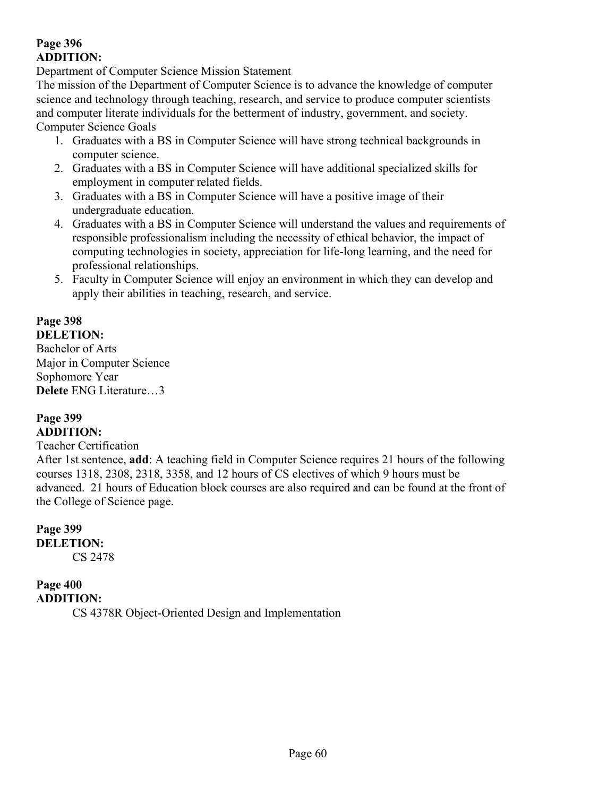## **Page 396 ADDITION:**

Department of Computer Science Mission Statement

The mission of the Department of Computer Science is to advance the knowledge of computer science and technology through teaching, research, and service to produce computer scientists and computer literate individuals for the betterment of industry, government, and society. Computer Science Goals

- 1. Graduates with a BS in Computer Science will have strong technical backgrounds in computer science.
- 2. Graduates with a BS in Computer Science will have additional specialized skills for employment in computer related fields.
- 3. Graduates with a BS in Computer Science will have a positive image of their undergraduate education.
- 4. Graduates with a BS in Computer Science will understand the values and requirements of responsible professionalism including the necessity of ethical behavior, the impact of computing technologies in society, appreciation for life-long learning, and the need for professional relationships.
- 5. Faculty in Computer Science will enjoy an environment in which they can develop and apply their abilities in teaching, research, and service.

# **Page 398**

**DELETION:**

Bachelor of Arts Major in Computer Science Sophomore Year **Delete** ENG Literature…3

### **Page 399 ADDITION:**

## Teacher Certification

After 1st sentence, **add**: A teaching field in Computer Science requires 21 hours of the following courses 1318, 2308, 2318, 3358, and 12 hours of CS electives of which 9 hours must be advanced. 21 hours of Education block courses are also required and can be found at the front of the College of Science page.

# **Page 399 DELETION:**

CS 2478

# **Page 400**

**ADDITION:**

CS 4378R Object-Oriented Design and Implementation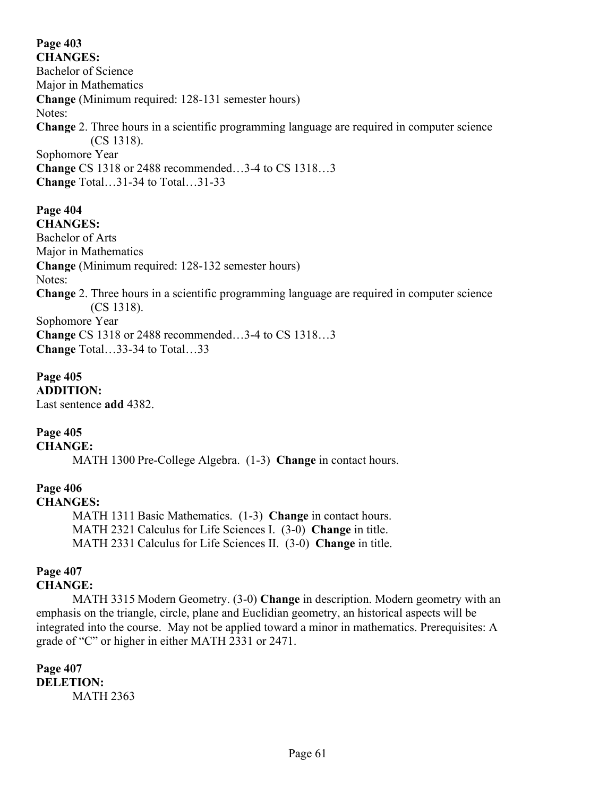# **Page 403**

**CHANGES:** Bachelor of Science Major in Mathematics **Change** (Minimum required: 128-131 semester hours) Notes: **Change** 2. Three hours in a scientific programming language are required in computer science (CS 1318). Sophomore Year **Change** CS 1318 or 2488 recommended…3-4 to CS 1318…3 **Change** Total…31-34 to Total…31-33

#### **Page 404 CHANGES:**

Bachelor of Arts Major in Mathematics **Change** (Minimum required: 128-132 semester hours) Notes: **Change** 2. Three hours in a scientific programming language are required in computer science (CS 1318). Sophomore Year **Change** CS 1318 or 2488 recommended…3-4 to CS 1318…3 **Change** Total…33-34 to Total…33

## **Page 405**

**ADDITION:** Last sentence **add** 4382.

## **Page 405**

**CHANGE:**

MATH 1300 Pre-College Algebra. (1-3) **Change** in contact hours.

# **Page 406**

**CHANGES:**

MATH 1311 Basic Mathematics. (1-3) **Change** in contact hours. MATH 2321 Calculus for Life Sciences I. (3-0) **Change** in title. MATH 2331 Calculus for Life Sciences II. (3-0) **Change** in title.

# **Page 407**

## **CHANGE:**

MATH 3315 Modern Geometry. (3-0) **Change** in description. Modern geometry with an emphasis on the triangle, circle, plane and Euclidian geometry, an historical aspects will be integrated into the course. May not be applied toward a minor in mathematics. Prerequisites: A grade of "C" or higher in either MATH 2331 or 2471.

## **Page 407 DELETION:** MATH 2363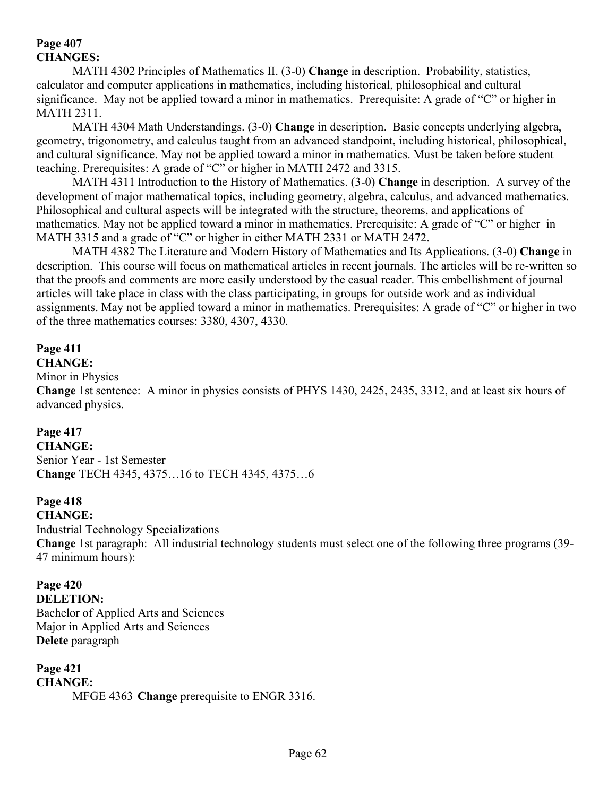## **Page 407 CHANGES:**

MATH 4302 Principles of Mathematics II. (3-0) **Change** in description. Probability, statistics, calculator and computer applications in mathematics, including historical, philosophical and cultural significance. May not be applied toward a minor in mathematics. Prerequisite: A grade of "C" or higher in MATH 2311.

MATH 4304 Math Understandings. (3-0) **Change** in description. Basic concepts underlying algebra, geometry, trigonometry, and calculus taught from an advanced standpoint, including historical, philosophical, and cultural significance. May not be applied toward a minor in mathematics. Must be taken before student teaching. Prerequisites: A grade of "C" or higher in MATH 2472 and 3315.

MATH 4311 Introduction to the History of Mathematics. (3-0) **Change** in description. A survey of the development of major mathematical topics, including geometry, algebra, calculus, and advanced mathematics. Philosophical and cultural aspects will be integrated with the structure, theorems, and applications of mathematics. May not be applied toward a minor in mathematics. Prerequisite: A grade of "C" or higher in MATH 3315 and a grade of "C" or higher in either MATH 2331 or MATH 2472.

MATH 4382 The Literature and Modern History of Mathematics and Its Applications. (3-0) **Change** in description. This course will focus on mathematical articles in recent journals. The articles will be re-written so that the proofs and comments are more easily understood by the casual reader. This embellishment of journal articles will take place in class with the class participating, in groups for outside work and as individual assignments. May not be applied toward a minor in mathematics. Prerequisites: A grade of "C" or higher in two of the three mathematics courses: 3380, 4307, 4330.

# **Page 411**

**CHANGE:**

Minor in Physics

**Change** 1st sentence:A minor in physics consists of PHYS 1430, 2425, 2435, 3312, and at least six hours of advanced physics.

## **Page 417**

**CHANGE:** Senior Year - 1st Semester **Change** TECH 4345, 4375…16 to TECH 4345, 4375…6

## **Page 418**

**CHANGE:**

Industrial Technology Specializations

**Change** 1st paragraph: All industrial technology students must select one of the following three programs (39- 47 minimum hours):

# **Page 420**

**DELETION:** Bachelor of Applied Arts and Sciences Major in Applied Arts and Sciences **Delete** paragraph

## **Page 421 CHANGE:** MFGE 4363 **Change** prerequisite to ENGR 3316.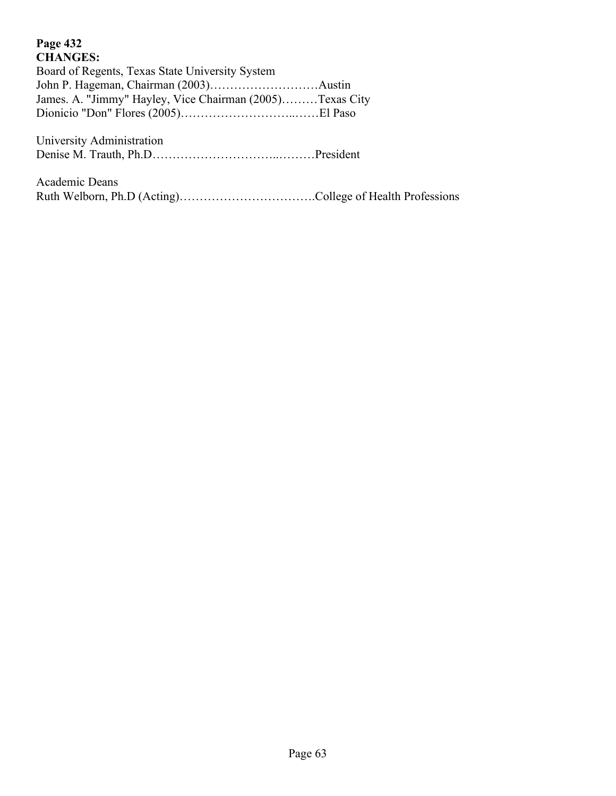## **Page 432 CHANGES:**

Board of Regents, Texas State University System John P. Hageman, Chairman (2003)………………………Austin James. A. "Jimmy" Hayley, Vice Chairman (2005)………Texas City Dionicio "Don" Flores (2005)………………………..……El Paso

University Administration Denise M. Trauth, Ph.D…………………………..………President

| Academic Deans |  |
|----------------|--|
|                |  |